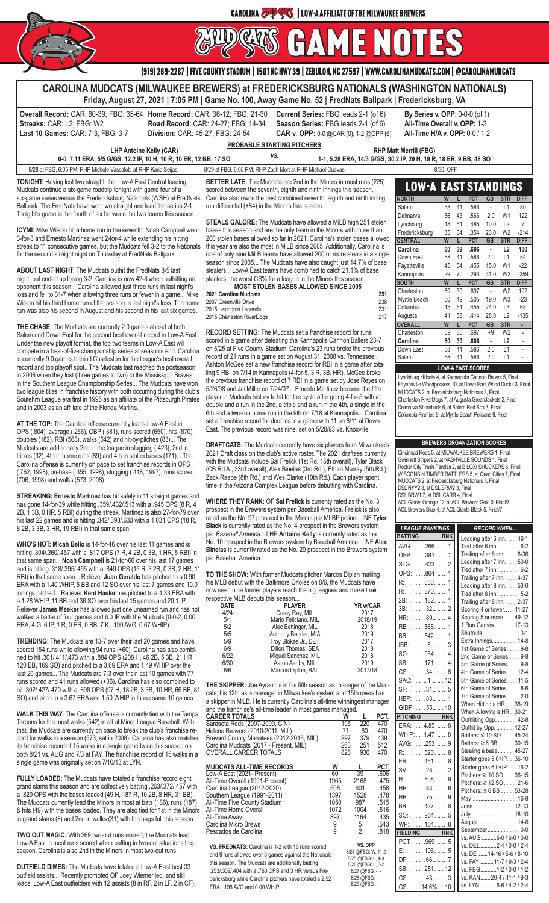

CAROLINA 299995 | LOW-A AFFILIATE OF THE MILWAUKEE BREWERS<br>DIESES **FUDGUS** 

|                                                                                                                                                                                                                                                                                                                                                                                                                                                                                                                                                                                                                                                                                                                                                                                                                  | (919) 269-2287   FIVE COUNTY STADIUM   1501 NC HWY 39   ZEBULON, NC 27597   WWW.CAROLINAMUDCATS.COM   @CAROLINAMUDCATS                                                                                                                                                                                                                                                                                                                                                                                                                                                                                                                                                                                                                                                                                                      |                                                                                                                                                                                                                                                                                                                                                                                                                                                                                                                                                                                                                                                                           |
|------------------------------------------------------------------------------------------------------------------------------------------------------------------------------------------------------------------------------------------------------------------------------------------------------------------------------------------------------------------------------------------------------------------------------------------------------------------------------------------------------------------------------------------------------------------------------------------------------------------------------------------------------------------------------------------------------------------------------------------------------------------------------------------------------------------|-----------------------------------------------------------------------------------------------------------------------------------------------------------------------------------------------------------------------------------------------------------------------------------------------------------------------------------------------------------------------------------------------------------------------------------------------------------------------------------------------------------------------------------------------------------------------------------------------------------------------------------------------------------------------------------------------------------------------------------------------------------------------------------------------------------------------------|---------------------------------------------------------------------------------------------------------------------------------------------------------------------------------------------------------------------------------------------------------------------------------------------------------------------------------------------------------------------------------------------------------------------------------------------------------------------------------------------------------------------------------------------------------------------------------------------------------------------------------------------------------------------------|
|                                                                                                                                                                                                                                                                                                                                                                                                                                                                                                                                                                                                                                                                                                                                                                                                                  | CAROLINA MUDCATS (MILWAUKEE BREWERS) at FREDERICKSBURG NATIONALS (WASHINGTON NATIONALS)<br>Friday, August 27, 2021   7:05 PM   Game No. 100, Away Game No. 52   FredNats Ballpark   Fredericksburg, VA                                                                                                                                                                                                                                                                                                                                                                                                                                                                                                                                                                                                                      |                                                                                                                                                                                                                                                                                                                                                                                                                                                                                                                                                                                                                                                                           |
| Overall Record: CAR: 60-39; FBG: 35-64 Home Record: CAR: 36-12; FBG: 21-30<br>Streaks: CAR: L2; FBG: W2<br>Last 10 Games: CAR: 7-3, FBG: 3-7<br>Division: CAR: 45-27; FBG: 24-54                                                                                                                                                                                                                                                                                                                                                                                                                                                                                                                                                                                                                                 | Current Series: FBG leads 2-1 (of 6)<br>Road Record: CAR: 24-27; FBG: 14-34<br>Season Series: FBG leads 2-1 (of 6)<br>CAR v. OPP: 0-0 @CAR (0), 1-2 @OPP (6)                                                                                                                                                                                                                                                                                                                                                                                                                                                                                                                                                                                                                                                                | By Series v. OPP: 0-0-0 (of 1)<br>All-Time Overall v. OPP: 1-2<br>All-Time H/A v. OPP: 0-0 / 1-2                                                                                                                                                                                                                                                                                                                                                                                                                                                                                                                                                                          |
| <b>LHP Antoine Kelly (CAR)</b>                                                                                                                                                                                                                                                                                                                                                                                                                                                                                                                                                                                                                                                                                                                                                                                   | PROBABLE STARTING PITCHERS                                                                                                                                                                                                                                                                                                                                                                                                                                                                                                                                                                                                                                                                                                                                                                                                  | <b>RHP Matt Merrill (FBG)</b>                                                                                                                                                                                                                                                                                                                                                                                                                                                                                                                                                                                                                                             |
| 0-0, 7.11 ERA, 5/5 G/GS, 12.2 IP, 10 H, 10 R, 10 ER, 12 BB, 17 SO                                                                                                                                                                                                                                                                                                                                                                                                                                                                                                                                                                                                                                                                                                                                                | VS.                                                                                                                                                                                                                                                                                                                                                                                                                                                                                                                                                                                                                                                                                                                                                                                                                         | 1-1, 5.28 ERA, 14/3 G/GS, 30.2 IP, 29 H, 19 R, 18 ER, 9 BB, 48 SO                                                                                                                                                                                                                                                                                                                                                                                                                                                                                                                                                                                                         |
| 8/28 at FBG, 6:05 PM; RHP Michele Vassalotti at RHP Kario Seijas                                                                                                                                                                                                                                                                                                                                                                                                                                                                                                                                                                                                                                                                                                                                                 | 8/29 at FBG. 6:05 PM: RHP Zach Mort at RHP Michael Cuevas                                                                                                                                                                                                                                                                                                                                                                                                                                                                                                                                                                                                                                                                                                                                                                   | 8/30: OFF                                                                                                                                                                                                                                                                                                                                                                                                                                                                                                                                                                                                                                                                 |
| <b>TONIGHT:</b> Having lost two straight, the Low-A East Central leading<br>Mudcats continue a six-game roadtrip tonight with game four of a<br>six-game series versus the Fredericksburg Nationals (WSH) at FredNats<br>Ballpark. The FredNats have won two straight and lead the series 2-1.<br>Tonigiht's game is the fourth of six between the two teams this season.                                                                                                                                                                                                                                                                                                                                                                                                                                        | <b>BETTER LATE:</b> The Mudcats are 2nd in the Minors in most runs (225)<br>scored between the seventh, eighth and ninth innings this season.<br>Carolina also owns the best combined seventh, eighth and ninth inning<br>run differential (+84) in the Minors this season.                                                                                                                                                                                                                                                                                                                                                                                                                                                                                                                                                 | <b>LOW-A EAST STANDINGS</b><br><b>NORTH</b><br><b>PCT</b><br>GB<br><b>STR</b><br><b>DIFF</b><br>Salem<br>58<br>41<br>.586<br>L1<br>80<br>$\mathcal{L}$<br>W1<br>56 43<br>2.0<br>122<br>Delmarva<br>.566                                                                                                                                                                                                                                                                                                                                                                                                                                                                   |
| <b>ICYMI:</b> Mike Wilson hit a home run in the seventh, Noah Campbell went<br>3-for-3 and Ernesto Martinez went 2-for-4 while extending his hitting<br>streak to 11 consecutive games, but the Mudcats fell 3-2 to the Nationals<br>for the second straight night on Thursday at FredNats Ballpark.                                                                                                                                                                                                                                                                                                                                                                                                                                                                                                             | STEALS GALORE: The Mudcats have allowed a MiLB high 251 stolen<br>bases this season and are the only team in the Minors with more than<br>200 stolen bases allowed so far in 2021. Carolina's stolen bases allowed<br>this year are also the most in MiLB since 2005. Additionally, Carolina is<br>one of only nine MiLB teams have allowed 200 or more steals in a single<br>season since 2005 The Mudcats have also caught just 14.7% of base                                                                                                                                                                                                                                                                                                                                                                             | Lynchburg<br>48 51<br>.485<br>10.0<br>L2<br>$\overline{7}$<br>$-214$<br>Fredericksburg<br>35<br>64<br>.354<br>23.0<br>W <sub>2</sub><br><b>CENTRAL</b><br>W<br><b>PCT</b><br><b>GB</b><br><b>DIFF</b><br>L<br><b>STR</b><br>Carolina<br>39<br>.606<br>130<br>60<br>$\mathcal{L}_{\mathcal{A}}$<br>L2<br>Down East<br>58 41<br>.586<br>2.0<br>L1<br>54                                                                                                                                                                                                                                                                                                                     |
| <b>ABOUT LAST NIGHT:</b> The Mudcats outhit the FredNats 8-5 last<br>night, but ended up losing 3-2. Carolina is now 42-8 when outhitting an<br>opponent this season Carolina alllowed just three runs in last night's<br>loss and fell to 31-7 when allowing three runs or fewer in a game Mike<br>Wilson hit his third home run of the season in last night's loss. The home<br>run was also his second in August and his second in his last six games.                                                                                                                                                                                                                                                                                                                                                        | stealers Low-A East teams have combined to catch 21.1% of base<br>stealers; the worst CS% for a league in the Minors this season<br><b>MOST STOLEN BASES ALLOWED SINCE 2005</b><br>2021 Carolina Mudcats<br>251<br>2007 Greenville Drive<br>238<br>2015 Lexington Legends<br>231<br>217<br>2015 Charleston RiverDogs                                                                                                                                                                                                                                                                                                                                                                                                                                                                                                        | $-22$<br>Fayetteville<br>45 54<br>.455<br>15.0<br>W1<br>Kannapolis<br>70<br>.293<br>31.0<br>W <sub>2</sub><br>$-259$<br>29<br><b>DIFF</b><br><b>SOUTH</b><br>W<br><b>PCT</b><br>GB<br>L<br><b>STR</b><br>30<br>69<br>.697<br>$\sim$<br>W <sub>2</sub><br>192<br>Charleston<br>50 49<br>Myrtle Beach<br>.505<br>19.0<br>W <sub>3</sub><br>$-23$<br>68<br>54<br>.455<br>24.0<br>L <sub>3</sub><br>Columbia<br>45<br>$-135$<br>58<br>.414<br>28.0<br>L2<br>41<br>Augusta                                                                                                                                                                                                     |
| <b>THE CHASE:</b> The Mudcats are currently 2.0 games ahead of both<br>Salem and Down East for the second best overall record in Low-A East.<br>Under the new playoff format, the top two teams in Low-A East will<br>compete in a best-of-five championship series at season's end. Carolina<br>is currently 9.0 games behind Charleston for the league's best overall<br>record and top playoff spot The Mudcats last reached the postseason<br>in 2008 when they lost (three games to two) to the Mississippi Braves<br>in the Southern League Championship Series The Mudcats have won<br>two league titles in franchise history with both occurring during the club's<br>Soutehrn League era first in 1995 as an affiliate of the Pittsburgh Pirates<br>and in 2003 as an affiliate of the Florida Marlins. | <b>RECORD SETTING:</b> The Mudcats set a franchise record for runs<br>scored in a game after defeating the Kannapolis Cannon Ballers 23-7<br>on 5/25 at Five County Stadium. Carolina's 23 runs broke the previous<br>record of 21 runs in a game set on August 31, 2008 vs. Tennessee<br>Ashton McGee set a new franchise record for RBI in a game after tota-<br>ling 9 RBI on 7/14 in Kannapolis (4-for-5, 3 R, 3B, HR). McGee broke<br>the previous franchise record of 7 RBI in a game set by Jose Reyes on<br>5/26/98 and Jai Miller on 7/24/07 Ernesto Martinez became the fifth<br>player in Mudcats history to hit for the cycle after going 4-for-5 with a<br>double and a run in the 2nd, a triple and a run in the 4th, a single in the<br>6th and a two-run home run in the 9th on 7/18 at Kannapolis Carolina | STR<br><b>PCT</b><br><b>GB</b><br><b>OVERALL</b><br>W<br>L<br>×.<br>30<br>.697<br>W <sub>2</sub><br>69<br>$+9$<br>Charleston<br>Carolina<br>L2<br>60<br>39<br>$\blacksquare$<br>.606<br>.586<br>58<br>41<br>2.0<br>L1<br>Down East<br>ä,<br>Salem<br>58 41<br>.586<br>2.0<br>L1<br><b>LOW-A EAST SCORES</b><br>Lynchburg Hillcats 4, at Kannapolis Cannon Ballers 5, Final<br>Fayetteville Woodpeckers 10, at Down East Wood Ducks 3, Final<br>MUDCATS 2, at Fredericksburg Nationals 3, Final<br>Charleston RiverDogs 7, at Augusta GreenJackets 2, Final<br>Delmarva Shorebirds 6, at Salem Red Sox 3, Final<br>Columbia Fireflies 8, at Myrtle Beach Pelicans 9, Final |
| AT THE TOP: The Carolina offense currently leads Low-A East in<br>OPS (.804), average (.266), OBP (.381), runs scored (650), hits (870),<br>doubles (182), RBI (568), walks (542) and hit-by-pitches (83) The<br>Mudcats are additionally 2nd in the league in slugging (.423), 2nd in<br>triples (32), 4th in home runs (89) and 4th in stolen bases (171) The<br>Carolina offense is currently on pace to set franchise records in OPS<br>(.762, 1998), on-base (.355, 1998), slugging (.418, 1997), runs scored<br>(706, 1998) and walks (573, 2008).                                                                                                                                                                                                                                                         | set a franchise record for doubles in a game with 11 on 8/11 at Down<br>East. The previous record was nine, set on 5/28/93 vs. Knoxville.<br><b>DRAFTCATS:</b> The Mudcats currently have six players from Milwaukee's<br>2021 Draft class on the club's active roster. The 2021 draftees currently<br>with the Mudcats include Sal Frelick (1st Rd. 15th overall), Tyler Black<br>(CB Rd A., 33rd overall), Alex Binelas (3rd Rd.), Ethan Murray (5th Rd.),<br>Zack Raabe (8th Rd.) and Wes Clarke (10th Rd.). Each player spent<br>time in the Arizona Complex League before debutting with Carolina.                                                                                                                                                                                                                     | <b>BREWERS ORGANIZATION SCORES</b><br>Cincinnati Reds 5, at MILWAUKEE BREWERS 1, Final<br>Gwinnett Stripers 2, at NASHVILLE SOUNDS 1, Final<br>Rocket City Trash Pandas 2, at BILOXI SHUCKERS 6, Final<br>WISCONSIN TIMBER RATTLERS 5, at Quad Cities 7, Final<br>MUDCATS 2, at Fredericksburg Nationals 3, Final<br>DSL NYY2 8, at DSL BRW2 3, Final                                                                                                                                                                                                                                                                                                                     |
| <b>STREAKING: Ernesto Martinez</b> has hit safely in 11 straight games and<br>has gone 14-for-39 while hitting .359/.432/.513 with a .945 OPS (8 R, 4<br>2B, 1 3B, 0 HR, 5 RBI) during the streak. Martinez is also 27-for-79 over<br>his last 22 games and is hitting .342/.398/.633 with a 1.031 OPS (18 R,<br>8 2B, 3 3B, 3 HR, 19 RBI) in that same span                                                                                                                                                                                                                                                                                                                                                                                                                                                     | <b>WHERE THEY RANK: OF Sal Frelick is currenty rated as the No. 3</b><br>prospect in the Brewers system per Baseball America. Frelick is also<br>rated as the No. 97 prospect in the Minors per MLBPipeline INF Tyler<br><b>Black</b> is currently rated as the No. 4 prospect in the Brewers system                                                                                                                                                                                                                                                                                                                                                                                                                                                                                                                        | DSL BRW1 7, at DSL CARR 4, Final<br>ACL Giants Orange 12, at ACL Brewers Gold 0, Final/7<br>ACL Brewers Blue 4, at ACL Giants Black 5, Final/7<br><b>LEAGUE RANKINGS</b><br><b>RECORD WHEN</b>                                                                                                                                                                                                                                                                                                                                                                                                                                                                            |
| <b>WHO'S HOT: Micah Bello</b> is 14-for-46 over his last 11 games and is<br>hitting .304/.360/.457 with a .817 OPS (7 R, 4 2B, 0 3B, 1 HR, 5 RBI) in<br>that same span Noah Campbell is 21-for-66 over his last 17 games<br>and is hitting 318/395/455 with a 849 OPS (15 R, 3 2B, 0 3B, 2 HR, 11<br>RBI) in that same span Reliever Juan Geraldo has pitched to a 0.90<br>ERA with a 1.40 WHIP, 5 BB and 12 SO over his last 7 games and 10.0<br>innings pitched Reliever Kent Hasler has pitched to a 1.33 ERA with<br>a 1.28 WHIP, 11 BB and 36 SO over his last 15 games and 20.1 IP<br>Reliever James Meeker has allowed just one unearned run and has not<br>walked a batter of four games and 6.0 IP with the Mudcats (0-0-2, 0.00<br>ERA, 4 G, 6 IP, 1 R, 0 ER, 0 BB, 7 K, .190 AVG, 0.67 WHIP).         | per Baseball America LHP Antoine Kelly is currently rated as the<br>No. 10 prospect in the Brewers system by Baseball America INF Alex<br>Binelas is currently rated as the No. 20 prospect in the Brewers system<br>per Baseball America.<br><b>TO THE SHOW:</b> With former Mudcats pitcher Marcos Diplan making<br>his MLB debut with the Baltimore Orioles on 8/6, the Mudcats have<br>now seen nine former players reach the big leagues and make their<br>respective MLB debuts this season<br><b>DATE</b><br><b>PLAYER</b><br>YR w/CAR<br>4/24<br>Corey Ray, MIL<br>2017<br>2018/19<br>5/1<br>Mario Feliciano, MIL<br>5/2<br>Alec Bettinger, MIL<br>2018                                                                                                                                                             | BATTING<br><b>RNK</b><br>Leading after 6 inn.  46-1<br>AVG:  .266  1<br>Tied after 6 inn.  6-2<br>Trailing after 6 inn.  8-36<br>OBP:   .381   1<br>Leading after 7 inn.  50-0<br>SLG:  423  2<br>Tied after 7 inn.  6-2<br>OPS:  . 804  1<br>Trailing after 7 inn.  4-37<br>R: 650 1<br>Leading after 8 inn.  53-0<br>H: 870 1<br>Tied after 8 inn.  5-2<br>2B:   . 182.   1<br>Trailing after 8 inn.  2-37<br>3B:  32 2<br>Scoring 4 or fewer 11-27<br>HR:    . 89   4<br>Scoring 5 or more  49-12<br>1 Run Games  17-13<br>RBI:  . 568.   1                                                                                                                            |
| <b>TRENDING:</b> The Mudcats are 13-7 over their last 20 games and have<br>scored 154 runs while allowing 94 runs (+60). Carolina has also combi-<br>ned to hit .301/.411/.473 with a .884 OPS (208 H, 46 2B, 5 3B, 21 HR,<br>120 BB, 169 SO) and pitched to a 3.69 ERA and 1.49 WHIP over the<br>last 20 games The Mudcats are 7-3 over their last 10 games with 77<br>runs scored and 41 runs allowed (+36). Carolina has also combined to<br>hit .302/.427/.470 with a .898 OPS (97 H, 18 2B, 3 3B, 10 HR, 66 BB, 81<br>SO) and pitch to a 3.67 ERA and 1.50 WHIP in those same 10 games.                                                                                                                                                                                                                     | 5/5<br>Anthony Bender, MIA<br>2019<br>5/9<br>Troy Stokes Jr., DET<br>2017<br>6/9<br>Dillon Thomas, SEA<br>2018<br>Miguel Sanchez, MIL<br>2018<br>6/22<br>6/30<br>Aaron Ashby, MIL<br>2019<br>8/6<br>2017/18<br>Marcos Diplan, BAL<br><b>THE SKIPPER:</b> Joe Ayrault is in his fifth season as manager of the Mud-<br>cats, his 12th as a manager in Milwaukee's system and 15th overall as                                                                                                                                                                                                                                                                                                                                                                                                                                 | Shutouts 3-1<br>BB:   . 542.   1<br>Extra Innings 14-8<br>$IBB: \ldots \ldots 6 \ldots 3$<br>1st Game of Series 9-8<br>$SO:$ 934 4<br>2nd Game of Series 9-8<br>SB:  171 4<br>3rd Game of Series  9-8<br>$CS: \ldots \ldots 34 \ldots 6$<br>4th Game of Series 12-4<br>5th Game of Series 11-5<br>SAC: 112<br>6th Game of Series8-6<br>SF: 31 5<br>7th Game of Series 2-0<br>HBP: 83 1                                                                                                                                                                                                                                                                                    |
| <b>WALK THIS WAY:</b> The Carolina offense is currently tied with the Tampa<br>Tarpons for the most walks (542) in all of Minor League Baseball. With<br>that, the Mudcats are currently on pace to break the club's franchise re-<br>cord for walks in a season (573, set in 2008). Carolina has also matched<br>its franchise record of 15 walks in a single game twice this season on<br>both 8/21 vs. AUG and 7/3 at FAY. The franchise record of 15 walks in a<br>single game was originally set on 7/10/13 at LYN.                                                                                                                                                                                                                                                                                         | a skipper in MiLB. He is currently Carolina's all-time winningest manager<br>and the franchise's all-time leader in most games managed.<br><u>PCT.</u><br><b>CAREER TOTALS</b><br>W<br>220<br>Sarasota Reds (2007-2009, CIN)<br>195<br>.470<br>Helena Brewers (2010-2011, MIL)<br>80<br>71<br>.470<br>297<br>379<br>.439<br>Brevard County Manatees (2012-2016, MIL)<br>263<br>251<br>Carolina Mudcats (2017 - Present, MIL)<br>.512<br>930<br>OVERALL CAREER TOTALS<br>826<br>.470                                                                                                                                                                                                                                                                                                                                         | When Hitting a HR38-19<br>GIDP:5510<br>When Allowing a HR30-21<br><b>PITCHING</b><br><b>RNK</b><br>Outhitting Opp.  42-8<br>ERA:  4.85  8<br>Outhit by Opp.  12-27<br>WHIP: 1.47 8<br>Batters: ≤ 10 SO45-24<br>AVG:  .253  9<br>Batters: ≥ 6 BB30-15<br>Stealing a base45-27<br>R: 520 8<br>Starter goes 5.0+IP36-10<br>ER:    451.   8                                                                                                                                                                                                                                                                                                                                   |
| <b>FULLY LOADED:</b> The Mudcats have totaled a franchise record eight<br>grand slams this season and are collectively batting .263/.372/.457 with<br>a .829 OPS with the bases loaded (49 H, 187 R, 10 2B, 8 HR, 31 BB).<br>The Mudcats currently lead the Minors in most at bats (186), runs (187)<br>& hits (49) with the bases loaded. They are also tied for 1st in the Minors<br>in grand slams (8) and 2nd in walks (31) with the bags full this season.                                                                                                                                                                                                                                                                                                                                                  | PCT.<br><b>MUDCATS ALL-TIME RECORDS</b><br>W<br>39<br>Low-A East (2021- Present)<br>60<br>.606<br>2168<br>All-Time Overall (1991-Present)<br>1965<br>.475<br>Carolina League (2012-2020)<br>508<br>601<br>.458<br>Southern League (1991-2011)<br>1397<br>1528<br>.478<br>All-Time Five County Stadium<br>987<br>.515<br>1050<br>1072<br>All-Time Home Overall<br>1004<br>.516<br>897<br>1164<br>.435<br>All-Time Away<br>5<br>Carolina Micro Brews<br>9<br>.643                                                                                                                                                                                                                                                                                                                                                             | Starter goes 6.0+IP 16-2<br>SV: 28 2<br>Pitchers: ≥ 10 SO 36-15<br>H: 808 9<br>Pitchers: $\geq 12$ SO  21-6<br>HR:    . 83   6<br>Pitchers: ≤ 6 BB  53-28<br>$HB: \ldots \ldots .75 \ldots 9$<br>BB:   . 427.   8<br>June 12-13<br>July  18-10<br>SO:   964 5<br>WP:  . 104.   8                                                                                                                                                                                                                                                                                                                                                                                          |
| <b>TWO OUT MAGIC:</b> With 269 two-out runs scored, the Mudcats lead<br>Low-A East in most runs scored when batting in two-out situations this<br>season. Carolina is also 2nd in the Minors in most two-out runs.                                                                                                                                                                                                                                                                                                                                                                                                                                                                                                                                                                                               | $\overline{2}$<br>9<br>Pescados de Carolina<br>.818<br>VS. OPP<br>VS. FREDNATS: Carolina is 1-2 with 16 runs scored<br>8/24 @FBG: W, 11-2<br>and 9 runs allowed over 3 games against the Nationals<br>8/25 @FBG: L, 4-3<br>this season. The Mudcats are additionally batting                                                                                                                                                                                                                                                                                                                                                                                                                                                                                                                                                | September0-0<br><b>FIELDING</b><br><b>RNK</b><br>vs. AUG 6-0 / 6-0 / 0-0<br>PCT:969  5<br>vs. DEL 2-4 / 0-0 / 2-4<br>$E: \ldots \ldots \ldots$ 106.   5<br>vs. DE  14-16 / 6-6 / 8-10<br>DP:    . 66   7<br>vs. FAY  11-7 / 9-3 / 2-4                                                                                                                                                                                                                                                                                                                                                                                                                                     |
| <b>OUTFIELD DIMES:</b> The Mudcats have totaled a Low-A East best 33<br>outfield assists Recently promoted OF Joey Wiemer led, and still<br>leads, Low-A East outfielders with 12 assists (8 in RF, 2 in LF, 2 in CF).                                                                                                                                                                                                                                                                                                                                                                                                                                                                                                                                                                                           | 8/26 @FBG: L, 3-2<br>.253/.359/.404 with a .763 OPS and 3 HR versus Fre-<br>8/27 @FBG: -, -<br>8/28 @FBG: -, -<br>dericksburg while Carolina pitchers have totaled a 2.52<br>8/29 @FBG: -, -<br>EDA 109 AVC and 0.00 WHID                                                                                                                                                                                                                                                                                                                                                                                                                                                                                                                                                                                                   | SB:  251 12<br>vs. FBG1-2 / 0-0 / 1-2<br>vs. KAN20-4 / 11-1 / 9-3<br>$CS: \ldots \ldots 43 \ldots 3$<br>$\vert$ vs IYN<br>$6 - 6 / 4 - 2 / 2 - 4$<br>14.60/10                                                                                                                                                                                                                                                                                                                                                                                                                                                                                                             |

CS: . . . . . . . 43 .. .. 3 CS: . . . . . 14.6% .. 10 vs. FBG...........1-2 / 0-0 / 1-2 vs. KAN.......20-4 / 11-1 / 9-3 vs. LYN ...........6-6 / 4-2 / 2-4

ERA, .198 AVG and 0.00 WHIP.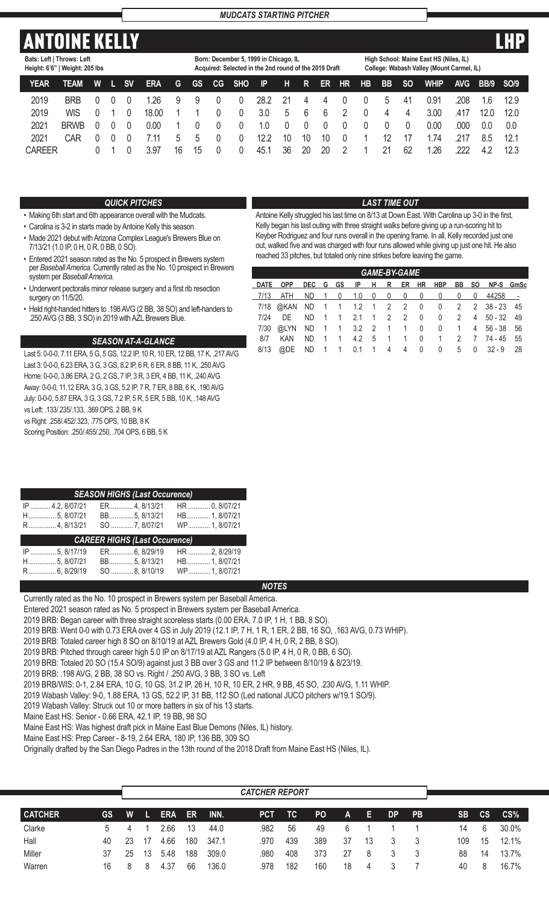# **ANTOINE KELL**

**Bats: Left | Throws: Left**

| Born: December 5, 1999 in Chicago, IL              |  |
|----------------------------------------------------|--|
| Acquired: Selected in the 2nd round of the 2019 Dr |  |

**High School: Maine East HS (Niles, IL)**

| Height: 6'6"   Weight: 205 lbs |             |   |           |            |    |           |           |            | Acquired: Selected in the 2nd round of the 2019 Draft |             |    |    |                |           |              |           | College: Wabash Valley (Mount Carmel, IL) |            |           |      |  |
|--------------------------------|-------------|---|-----------|------------|----|-----------|-----------|------------|-------------------------------------------------------|-------------|----|----|----------------|-----------|--------------|-----------|-------------------------------------------|------------|-----------|------|--|
| <b>YEAR</b>                    | <b>TEAM</b> | W | <b>SV</b> | <b>ERA</b> | G  | <b>GS</b> | <b>CG</b> | <b>SHO</b> | $\mathsf{P}$                                          | H           | R. | ER | <b>HR</b>      | <b>HB</b> | <b>BB</b>    | <b>SO</b> | <b>WHIP</b>                               | <b>AVG</b> | BB/9 SO/9 |      |  |
| 2019                           | <b>BRB</b>  |   |           | 1.26       | 9  | 9         |           |            | 28.2                                                  | 21          | 4  | 4  | $\theta$       |           | <sub>5</sub> | 41        | 0.91                                      | 208        | 1.6       | 12.9 |  |
| 2019                           | WIS         |   |           | 18.00      |    |           |           |            | 3.0                                                   | $\mathbf b$ | 6  | 6  | 2              |           | 4            | 4         | 3.00                                      | .417       | 12.0      | 12.0 |  |
| 2021                           | <b>BRWB</b> |   |           | 0.00       |    |           |           |            | 1.0                                                   | $\Omega$    | 0  | 0  | $\theta$       |           |              |           | 0.00                                      | .000       | 0.0       | 0.0  |  |
| 2021                           | CAR         |   |           | 7.11       | 5  | 5         |           |            | 12.2                                                  | 10          | 10 | 10 | $\overline{0}$ |           |              |           | .74                                       | 217        | 8.5       | 12.1 |  |
| <b>CAREER</b>                  |             |   |           | 3.97       | 16 | 15        |           |            | 45.1                                                  | 36          | 20 | 20 |                |           | 21           | 62        | 1.26                                      | 222        | 4.2       | 12.3 |  |

### *QUICK PITCHES*

- Making 6th start and 6th appearance overall with the Mudcats.
- Carolina is 3-2 in starts made by Antoine Kelly this season.
- Made 2021 debut with Arizona Complex League's Brewers Blue on 7/13/21 (1.0 IP, 0 H, 0 R, 0 BB, 0 SO).
- Entered 2021 season rated as the No. 5 prospect in Brewers system per *Baseball America*. Currently rated as the No. 10 prospect in Brewers system per *Baseball America*.
- Underwent pectoralis minor release surgery and a first rib resection surgery on 11/5/20.
- Held right-handed hitters to .198 AVG (2 BB, 38 SO) and left-handers to .250 AVG (3 BB, 3 SO) in 2019 with AZL Brewers Blue.

### *SEASON AT-A-GLANCE*

Last 5: 0-0-0, 7.11 ERA, 5 G, 5 GS, 12.2 IP, 10 R, 10 ER, 12 BB, 17 K, .217 AVG Last 3: 0-0-0, 6.23 ERA, 3 G, 3 GS, 8.2 IP, 6 R, 6 ER, 8 BB, 11 K, .250 AVG Home: 0-0-0, 3.86 ERA, 2 G, 2 GS, 7 IP, 3 R, 3 ER, 4 BB, 11 K, .240 AVG Away: 0-0-0, 11.12 ERA, 3 G, 3 GS, 5.2 IP, 7 R, 7 ER, 8 BB, 6 K, .190 AVG July: 0-0-0, 5.87 ERA, 3 G, 3 GS, 7.2 IP, 5 R, 5 ER, 5 BB, 10 K, .148 AVG vs Left: .133/.235/.133, .369 OPS, 2 BB, 9 K vs Right: .258/.452/.323, .775 OPS, 10 BB, 8 K Scoring Position: .250/.455/.250, .704 OPS, 6 BB, 5 K

| <b>SEASON HIGHS (Last Occurence)</b><br><b>Service Service</b> |                                      |                                 |  |  |  |  |  |  |  |  |  |
|----------------------------------------------------------------|--------------------------------------|---------------------------------|--|--|--|--|--|--|--|--|--|
| IP  4.2, 8/07/21<br>H 5, 8/07/21                               | ER 4. 8/13/21<br>BB 5, 8/13/21       | HR  0, 8/07/21<br>HB 1, 8/07/21 |  |  |  |  |  |  |  |  |  |
| R 4.8/13/21                                                    | SO 7, 8/07/21                        | WP 1.8/07/21                    |  |  |  |  |  |  |  |  |  |
|                                                                |                                      |                                 |  |  |  |  |  |  |  |  |  |
|                                                                | <b>CAREER HIGHS (Last Occurence)</b> |                                 |  |  |  |  |  |  |  |  |  |
| IP  5, 8/17/19                                                 | ER 6, 8/29/19                        | HR  2, 8/29/19                  |  |  |  |  |  |  |  |  |  |
| H5, 8/07/21<br>R 6, 8/29/19                                    | BB 5, 8/13/21<br>SO  8, 8/10/19      | HB 1, 8/07/21<br>WP 1, 8/07/21  |  |  |  |  |  |  |  |  |  |

### *NOTES*

Currently rated as the No. 10 prospect in Brewers system per Baseball America.

Entered 2021 season rated as No. 5 prospect in Brewers system per Baseball America.

2019 BRB: Began career with three straight scoreless starts (0.00 ERA, 7.0 IP, 1 H, 1 BB, 8 SO).

2019 BRB: Went 0-0 with 0.73 ERA over 4 GS in July 2019 (12.1 IP, 7 H, 1 R, 1 ER, 2 BB, 16 SO, .163 AVG, 0.73 WHIP).

2019 BRB: Totaled career high 8 SO on 8/10/19 at AZL Brewers Gold (4.0 IP, 4 H, 0 R, 2 BB, 8 SO).

2019 BRB: Pitched through career high 5.0 IP on 8/17/19 at AZL Rangers (5.0 IP, 4 H, 0 R, 0 BB, 6 SO).

2019 BRB: Totaled 20 SO (15.4 SO/9) against just 3 BB over 3 GS and 11.2 IP between 8/10/19 & 8/23/19.

2019 BRB: .198 AVG, 2 BB, 38 SO vs. Right / .250 AVG, 3 BB, 3 SO vs. Left

2019 BRB/WIS: 0-1, 2.84 ERA, 10 G, 10 GS, 31.2 IP, 26 H, 10 R, 10 ER, 2 HR, 9 BB, 45 SO, .230 AVG, 1.11 WHIP.

2019 Wabash Valley: 9-0, 1.88 ERA, 13 GS, 52.2 IP, 31 BB, 112 SO (Led national JUCO pitchers w/19.1 SO/9).

2019 Wabash Valley: Struck out 10 or more batters in six of his 13 starts.

Maine East HS: Senior - 0.66 ERA, 42.1 IP, 19 BB, 98 SO

Maine East HS: Was highest draft pick in Maine East Blue Demons (Niles, IL) history.

Maine East HS: Prep Career - 8-19, 2.64 ERA, 180 IP, 136 BB, 309 SO

Originally drafted by the San Diego Padres in the 13th round of the 2018 Draft from Maine East HS (Niles, IL).

|                |    |    |    |            |     |       | <b>CATCHER REPORT</b> |     |     |     |    |           |           |           |               |          |
|----------------|----|----|----|------------|-----|-------|-----------------------|-----|-----|-----|----|-----------|-----------|-----------|---------------|----------|
| <b>CATCHER</b> | GS | W  |    | <b>ERA</b> | ER  | .INN. | <b>PCT</b>            | TC  | PO. | 'A. | E. | <b>DP</b> | <b>PB</b> | <b>SB</b> | $\mathsf{cs}$ | CS%      |
| Clarke         | 5  |    |    | 2.66       | 13  | 44.0  | .982                  | 56  | 49  |     |    |           |           | 14        | 6             | 30.0%    |
| Hall           | 40 | 23 | 17 | 4.66       | 180 | 347.1 | .970                  | 439 | 389 | 37  | 13 |           | 3         | 109       | 15            | $12.1\%$ |
| Miller         | 37 | 25 | 13 | 5.48       | 188 | 309.0 | .980                  | 408 | 373 | 27  | 8  |           |           | 88        | 14            | 13.7%    |
| Warren         | 16 | 8  | 8  | 4.37       | 66  | 136.0 | .978                  | 182 | 160 | 18  | 4  |           |           | 40        | 8             | 16.7%    |

### *LAST TIME OUT*

Antoine Kelly struggled his last time on 8/13 at Down East. With Carolina up 3-0 in the first. Kelly began his last outing with three straight walks before giving up a run-scoring hit to Keyber Rodriguez and four runs overall in the opening frame. In all, Kelly recorded just one out, walked five and was charged with four runs allowed while giving up just one hit. He also reached 33 pitches, but totaled only nine strikes before leaving the game.

|      |            |     |  |                    |  | <b>GAME-BY-GAME</b> |                      |  |                                              |  |
|------|------------|-----|--|--------------------|--|---------------------|----------------------|--|----------------------------------------------|--|
|      | DATE OPP   |     |  |                    |  |                     |                      |  | DEC G GS IP H R ER HR HBP BB SO NP-S GmSc    |  |
|      |            |     |  |                    |  |                     |                      |  |                                              |  |
|      |            |     |  |                    |  |                     |                      |  | 7/18 @ KAN ND 1 1 1.2 1 2 2 0 0 2 2 38-23 45 |  |
| 7/24 | DE DE      |     |  | ND 1 1 2.1 1 2 2 0 |  |                     |                      |  | 0 2 4 50 - 32 49                             |  |
| 7/30 |            |     |  |                    |  |                     |                      |  | @LYN ND 1 1 3.2 2 1 1 0 0 1 4 56 - 38 56     |  |
| 8/7  | <b>KAN</b> | ND. |  |                    |  |                     |                      |  | 1 1 4.2 5 1 1 0 1 2 7 74 - 45 55             |  |
| 8/13 | @DE        |     |  |                    |  |                     | ND 1 1 0.1 1 4 4 0 0 |  | $5 \t 0 \t 32 - 9 \t 28$                     |  |
|      |            |     |  |                    |  |                     |                      |  |                                              |  |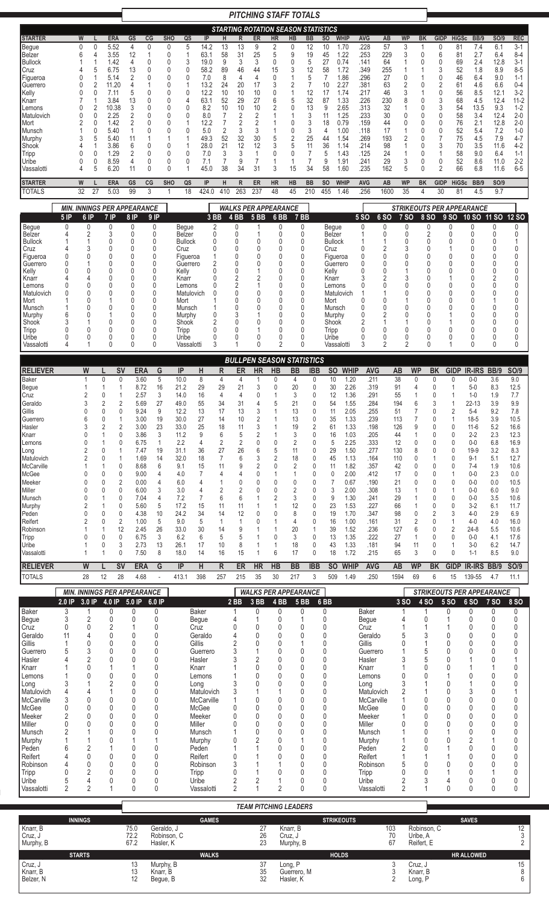|                                                                                                                                                                                                                                                                                                          |                                                      |                                                                                                                                                                                                   |                                                                                                                                                                                                                                  |                                                                                                                                                                                                                                                                                                             |                                                                                                                                                                                                                                                             |                                                                                                                                          |                                                                                                                 |                                                                                                                                                                                                              |                                                                                                                                                                                                               |                                                                                                                                         |                                                                                                                                                          |                                                                                                                                                                               | <b>PITCHING STAFF TOTALS</b>                                                                                                                                                              |                                                                                                                                                                          |                                                                                                                                                                                                                                                                                                                       |                                                                                                                                                                                           |                                                                                                                                                                                                                                                                                                                                                                                 |                                                                                                                                                                                                                                           |                                                                                                                     |                                                                                                                                                                  |                                                                                                                                                                       |                                                                                                                                                                                                                                      |                                                                                                                                                                                                  |                                                                                                                                                     |                                                                                                                                                                                                                                                                                       |                                                                                                                                                                                             |                                                                                                                                                                                                                                                                                               |
|----------------------------------------------------------------------------------------------------------------------------------------------------------------------------------------------------------------------------------------------------------------------------------------------------------|------------------------------------------------------|---------------------------------------------------------------------------------------------------------------------------------------------------------------------------------------------------|----------------------------------------------------------------------------------------------------------------------------------------------------------------------------------------------------------------------------------|-------------------------------------------------------------------------------------------------------------------------------------------------------------------------------------------------------------------------------------------------------------------------------------------------------------|-------------------------------------------------------------------------------------------------------------------------------------------------------------------------------------------------------------------------------------------------------------|------------------------------------------------------------------------------------------------------------------------------------------|-----------------------------------------------------------------------------------------------------------------|--------------------------------------------------------------------------------------------------------------------------------------------------------------------------------------------------------------|---------------------------------------------------------------------------------------------------------------------------------------------------------------------------------------------------------------|-----------------------------------------------------------------------------------------------------------------------------------------|----------------------------------------------------------------------------------------------------------------------------------------------------------|-------------------------------------------------------------------------------------------------------------------------------------------------------------------------------|-------------------------------------------------------------------------------------------------------------------------------------------------------------------------------------------|--------------------------------------------------------------------------------------------------------------------------------------------------------------------------|-----------------------------------------------------------------------------------------------------------------------------------------------------------------------------------------------------------------------------------------------------------------------------------------------------------------------|-------------------------------------------------------------------------------------------------------------------------------------------------------------------------------------------|---------------------------------------------------------------------------------------------------------------------------------------------------------------------------------------------------------------------------------------------------------------------------------------------------------------------------------------------------------------------------------|-------------------------------------------------------------------------------------------------------------------------------------------------------------------------------------------------------------------------------------------|---------------------------------------------------------------------------------------------------------------------|------------------------------------------------------------------------------------------------------------------------------------------------------------------|-----------------------------------------------------------------------------------------------------------------------------------------------------------------------|--------------------------------------------------------------------------------------------------------------------------------------------------------------------------------------------------------------------------------------|--------------------------------------------------------------------------------------------------------------------------------------------------------------------------------------------------|-----------------------------------------------------------------------------------------------------------------------------------------------------|---------------------------------------------------------------------------------------------------------------------------------------------------------------------------------------------------------------------------------------------------------------------------------------|---------------------------------------------------------------------------------------------------------------------------------------------------------------------------------------------|-----------------------------------------------------------------------------------------------------------------------------------------------------------------------------------------------------------------------------------------------------------------------------------------------|
|                                                                                                                                                                                                                                                                                                          |                                                      |                                                                                                                                                                                                   |                                                                                                                                                                                                                                  |                                                                                                                                                                                                                                                                                                             |                                                                                                                                                                                                                                                             |                                                                                                                                          |                                                                                                                 |                                                                                                                                                                                                              |                                                                                                                                                                                                               |                                                                                                                                         |                                                                                                                                                          |                                                                                                                                                                               | <b>STARTING ROTATION SEASON STATISTICS</b>                                                                                                                                                |                                                                                                                                                                          |                                                                                                                                                                                                                                                                                                                       |                                                                                                                                                                                           |                                                                                                                                                                                                                                                                                                                                                                                 |                                                                                                                                                                                                                                           |                                                                                                                     |                                                                                                                                                                  |                                                                                                                                                                       |                                                                                                                                                                                                                                      |                                                                                                                                                                                                  |                                                                                                                                                     |                                                                                                                                                                                                                                                                                       |                                                                                                                                                                                             |                                                                                                                                                                                                                                                                                               |
| <b>STARTER</b><br>Begue<br>Belzer<br> Bullock<br>Cruz<br>Figueroa<br>Guerrero<br>Kelly<br>Knarr<br> Lemons<br>Matulovich<br> Mort<br>Munsch<br>Murphy<br>Shook<br>Tripp<br>Uribe<br>Vassalotti<br><b>STARTER</b>                                                                                         |                                                      | W<br>$\mathbf{0}$<br>$\mathbf{0}$<br>6<br>4<br>1<br>5<br>0<br>1<br>$\overline{2}$<br>0<br>$\Omega$<br>0<br>1<br>2<br>0<br>0<br>0<br>2<br>0<br>0<br>3<br>5<br>4<br>0<br>0<br>0<br>0<br>5<br>4<br>W |                                                                                                                                                                                                                                  | <b>ERA</b><br>5.52<br>3.55<br>1.42<br>6.75<br>5.14<br>11.20<br>7.11<br>3.84<br>10.38<br>2.25<br>1.42<br>5.40<br>5.40<br>3.86<br>1.29<br>8.59<br>6.20<br><b>ERA</b>                                                                                                                                          | GS<br>$\overline{4}$<br>12<br>4<br>13<br>2<br>4<br>5<br>13<br>3<br>2<br>$\overline{2}$<br>1<br>11<br>6<br>2<br>4<br>11<br>GS                                                                                                                                | CG<br>$\mathbf{0}$<br>1<br>0<br>0<br>0<br>0<br>0<br>0<br>0<br>0<br>0<br>0<br>0<br>0<br>0<br>CG                                           | <b>SHO</b><br>0<br>0<br>0<br>0<br>0<br>0<br>0<br>0<br>0<br>$\Omega$<br>0<br>0<br>0<br>0<br>0<br>0<br><b>SHO</b> | QS<br>5<br>1<br>3<br>$\mathbf{0}$<br>0<br>1<br>0<br>4<br>0<br>0<br>1<br>0<br>1<br>1<br>0<br>0<br>1<br>QS                                                                                                     | IP<br>14.2<br>63.1<br>19.0<br>58.2<br>7.0<br>13.2<br>12.2<br>63.1<br>8.2<br>8.0<br>12.2<br>5.0<br>49.3<br>28.0<br>7.0<br>7.1<br>45.0<br>IP                                                                    | н<br>13<br>58<br>9<br>89<br>8<br>24<br>10<br>52<br>10<br>7<br>7<br>2<br>52<br>21<br>3<br>7<br>38<br>Н                                   | R<br>13<br>31<br>3<br>46<br>4<br>20<br>10<br>29<br>10<br>2<br>2<br>3<br>32<br>12<br>3<br>9<br>34<br>R                                                    | ER<br>9<br>25<br>3<br>44<br>4<br>17<br>10<br>27<br>10<br>$\overline{2}$<br>2<br>3<br>30<br>12<br>1<br>$\overline{7}$<br>31<br>ER                                              | <b>HR</b><br>2<br>5<br>0<br>15<br>0<br>3<br>0<br>6<br>2<br>5<br>3<br>0<br>3<br><b>HR</b>                                                                                                  | HB<br>0<br>9<br>0<br>3<br>2<br>1<br>5<br>0<br>0<br>0<br>$\overline{2}$<br>5<br>0<br>1<br>15<br>HB                                                                        | BB<br>12<br>19<br>5<br>12<br>5<br>$\overline{7}$<br>12<br>32<br>13<br>3<br>3<br>3<br>25<br>11<br>7<br>$\overline{7}$<br>34<br><b>BB</b>                                                                                                                                                                               | SO<br>10<br>45<br>27<br>58<br>7<br>10<br>17<br>87<br>9<br>11<br>18<br>4<br>44<br>36<br>5<br>9<br>58<br><b>SO</b>                                                                          | <b>WHIP</b><br>1.70<br>1.22<br>0.74<br>1.72<br>1.86<br>2.27<br>1.74<br>1.33<br>2.65<br>1.25<br>0.79<br>1.00<br>1.54<br>1.14<br>1.43<br>1.91<br>1.60<br><b>WHIP</b>                                                                                                                                                                                                              | AVG<br>.228<br>.253<br>.141<br>.349<br>.296<br>.381<br>.217<br>.226<br>.313<br>.233<br>.159<br>.118<br>.269<br>.214<br>.125<br>.241<br>.235<br><b>AVG</b>                                                                                 | AB<br>57<br>229<br>64<br>255<br>27<br>63<br>46<br>230<br>32<br>30<br>44<br>17<br>193<br>98<br>24<br>29<br>162<br>AB | <b>WP</b><br>3<br>3<br>1<br>1<br>0<br>2<br>3<br>8<br>1<br>0<br>0<br>1<br>2<br>1<br>1<br>3<br>5<br><b>WP</b>                                                      |                                                                                                                                                                       | BK<br>1<br>0<br>0<br>0<br>1<br>0<br>0<br>0<br>0<br>0<br>0<br>0<br>0<br>0<br>0<br><b>BK</b>                                                                                                                                           | <b>GIDP</b><br>$\mathbf{0}$<br>6<br>0<br>3<br>0<br>$\overline{2}$<br>$\mathbf{0}$<br>3<br>3<br>$\mathbf{0}$<br>0<br>$\mathbf{0}$<br>$\overline{7}$<br>3<br>1<br>$\mathbf{0}$<br>2<br><b>GIDP</b> | <b>HiGSc</b><br>81<br>81<br>69<br>52<br>46<br>61<br>56<br>68<br>54<br>58<br>76<br>52<br>75<br>70<br>58<br>52<br>66<br><b>HiGSc</b>                  | BB/9<br>7.4<br>2.7<br>2.4<br>1.8<br>6.4<br>4.6<br>8.5<br>4.5<br>13.5<br>3.4<br>2.1<br>5.4<br>4.5<br>3.5<br>9.0<br>8.6<br>6.8<br><b>BB/9</b>                                                                                                                                           | <b>SO/9</b><br>6.1<br>6.4<br>12.8<br>8.9<br>9.0<br>6.6<br>12.1<br>12.4<br>9.3<br>12.4<br>12.8<br>7.2<br>7.9<br>11.6<br>6.4<br>11.0<br>11.6<br><b>SO/9</b>                                   | <b>REC</b><br>$3-1$<br>$8 - 4$<br>$3 - 1$<br>$8 - 5$<br>$1 - 1$<br>$0 - 4$<br>$3-2$<br>$11 - 2$<br>$1 - 2$<br>$2 - 0$<br>$2 - 0$<br>$1 - 0$<br>$4 - 7$<br>$4-2$<br>$1 - 1$<br>$2 - 2$<br>$6 - 5$                                                                                              |
| <b>TOTALS</b>                                                                                                                                                                                                                                                                                            |                                                      | 27<br>32                                                                                                                                                                                          |                                                                                                                                                                                                                                  | 5.03                                                                                                                                                                                                                                                                                                        | 99                                                                                                                                                                                                                                                          | 3                                                                                                                                        | 1                                                                                                               | 18                                                                                                                                                                                                           | 424.0                                                                                                                                                                                                         | 410                                                                                                                                     | 263                                                                                                                                                      | 237                                                                                                                                                                           | 48                                                                                                                                                                                        | 45                                                                                                                                                                       | 210                                                                                                                                                                                                                                                                                                                   | 455                                                                                                                                                                                       | 1.46                                                                                                                                                                                                                                                                                                                                                                            | .256                                                                                                                                                                                                                                      | 1600                                                                                                                | 35                                                                                                                                                               |                                                                                                                                                                       | 4                                                                                                                                                                                                                                    | 30                                                                                                                                                                                               | 81                                                                                                                                                  | 4.5                                                                                                                                                                                                                                                                                   | 9.7                                                                                                                                                                                         |                                                                                                                                                                                                                                                                                               |
|                                                                                                                                                                                                                                                                                                          |                                                      | <b>MIN. INNINGS PER APPEARANCE</b>                                                                                                                                                                |                                                                                                                                                                                                                                  |                                                                                                                                                                                                                                                                                                             |                                                                                                                                                                                                                                                             |                                                                                                                                          |                                                                                                                 |                                                                                                                                                                                                              |                                                                                                                                                                                                               |                                                                                                                                         |                                                                                                                                                          |                                                                                                                                                                               | <b>WALKS PER APPEARANCE</b>                                                                                                                                                               |                                                                                                                                                                          |                                                                                                                                                                                                                                                                                                                       |                                                                                                                                                                                           |                                                                                                                                                                                                                                                                                                                                                                                 |                                                                                                                                                                                                                                           |                                                                                                                     |                                                                                                                                                                  |                                                                                                                                                                       |                                                                                                                                                                                                                                      |                                                                                                                                                                                                  |                                                                                                                                                     | <b>STRIKEOUTS PER APPEARANCE</b>                                                                                                                                                                                                                                                      |                                                                                                                                                                                             |                                                                                                                                                                                                                                                                                               |
| Begue<br>Belzer<br><b>Bullock</b><br>Cruz<br>Figueroa<br>Guerrero<br>Kelly<br>Knarr<br>Lemons<br>Matulovich<br>Mort<br>Munsch<br>Murphy<br>Shook<br>Tripp<br>Uribe<br>Vassalotti                                                                                                                         | $5$ IP<br>0<br><sup>0</sup><br>0<br>6<br>3<br>0<br>4 | 6 IP<br>0<br>2<br>3<br>$\Omega$<br>Ŋ<br>4<br>0<br>$\Omega$<br>0<br>U<br>0<br>0<br>0<br>1                                                                                                          |                                                                                                                                                                                                                                  | $7$ IP<br>0<br>3<br>0<br>0<br>U<br>U<br>0<br>0                                                                                                                                                                                                                                                              | 8 IP<br>$\mathbf 0$<br>0<br>0<br>0<br>0<br>0<br>0<br>0<br>0<br>0<br>0<br>0<br>0<br>0<br>0<br>0<br>0                                                                                                                                                         | $9$ IP<br>0<br>0<br>0<br>0<br>$\theta$<br>0<br>$\Omega$<br>0<br>0<br>0<br>0<br>$\Omega$<br>0<br>0<br>0<br>0<br>$\mathbf{0}$              |                                                                                                                 | Begue<br>Belzer<br><b>Bullock</b><br>Cruz<br>Figueroa<br>Guerrero<br>Kelly<br>Knarr<br>Lemons<br>Matulovich<br>Mort<br>Munsch<br>Murphy<br>Shook<br>Tripp<br>Uribe<br>Vassalotti                             | 3 BB<br>2<br>0<br>0<br>0<br>1<br>2<br>0<br>0<br>0<br>0<br>1<br>0<br>$\overline{2}$<br>0<br>0<br>3                                                                                                             |                                                                                                                                         | $4$ BB<br>$\mathbf{0}$<br>0<br>0<br>0<br>0<br>0<br>$\mathbf{0}$<br>2<br>2<br>0<br>0<br>0<br>3<br>0<br>0<br>0                                             | <b>5 BB</b><br>1<br>0<br>0<br>0<br>0<br>$\overline{2}$<br>1<br>$\mathbf{0}$<br>0<br>$\Omega$<br>0<br>0<br>0                                                                   | 6 <sub>BB</sub><br>0<br>0<br>0<br>0<br>0<br>0<br>$\Omega$<br>0<br>0<br>0<br>0<br>$\Omega$<br>0<br>0<br>C<br>0<br>$\overline{2}$                                                           |                                                                                                                                                                          | 7 BB<br>0<br>0<br>0<br>U<br>U<br>U<br>U<br>ſ<br>n<br>ſ<br>U<br>0<br>n<br>0<br>0                                                                                                                                                                                                                                       | Cruz<br>Kelly<br>Knarr<br>Mort<br>Tripp<br>Uribe                                                                                                                                          | Begue<br>Belzer<br><b>Bullock</b><br>Figueroa<br>Guerrero<br>Lemons<br>Matulovich<br>Munsch<br>Murphy<br>Shook<br>Vassalotti                                                                                                                                                                                                                                                    | <b>5 SO</b><br>0<br>0<br>0<br>0<br>ſ<br>3<br>0<br>C<br>0<br>0<br>$\overline{2}$<br>C<br>0<br>3                                                                                                                                            | <b>6 SO</b><br>0<br>0<br>2<br>0<br>0<br>Ω<br>$\overline{2}$<br>Ω<br>0<br>2<br>0<br>0<br>2                           | <b>7 SO</b><br>0<br>0<br>0<br>3<br>0<br>0<br>1<br>3<br>0<br>0<br>0<br>0<br>1<br>0<br>0<br>$\overline{2}$                                                         |                                                                                                                                                                       | 8 SO<br>0<br>2<br>0<br>0<br>0<br>U<br>U<br>0<br>0<br>0<br>U<br>0<br>0<br>0<br>0<br>0                                                                                                                                                 | 9 SO<br>0<br>0<br>0<br>0<br>0<br>N<br>0<br>U<br>0<br>Λ<br>0<br>0<br>1                                                                                                                            |                                                                                                                                                     | 10 SO 11 SO<br>0<br>0<br>0<br>0<br>N<br>0<br>N<br>N<br>0<br>N<br>N<br>0<br>U<br>0<br>0<br>0                                                                                                                                                                                           | 0<br>0<br>0<br>0<br>0<br>0<br>0<br>2<br>0<br>0<br>0<br>0<br>0<br>0<br>0<br>0                                                                                                                | <b>12 SO</b><br>$\mathbf{0}$<br>$\mathbf{0}$<br>1<br>0<br>0<br>0<br>0<br>0<br>0<br>0<br>0<br>0<br>0<br>0<br>0<br>0<br>$\mathbf{0}$                                                                                                                                                            |
| <b>RELIEVER</b><br><b>Baker</b><br>Begue<br>Cruz<br>Geraldo<br>Gillis<br>Guerrero<br>Hasler<br>Knarr<br>Lemons<br> Long<br>Matulovich<br>McCarville<br>McGee<br>Meeker<br>Miller<br>Munsch<br>Murphy<br>Peden<br>Reifert<br>Robinson<br>Tripp<br>Uribe<br>Vassalotti<br><b>RELIEVER</b><br><b>TOTALS</b> |                                                      | W<br>1<br>-1<br>$\overline{2}$<br>3<br>0<br>6<br>3<br><sup>0</sup><br>W<br>28                                                                                                                     | $\mathbf 0$<br>-1<br>0<br>$\overline{2}$<br>0<br>$\mathbf{0}$<br>2<br>1<br>0<br>0<br>1<br>$\mathbf{0}$<br>$\mathbf{0}$<br>$\mathbf{0}$<br>1<br>1<br>$\mathbf{0}$<br>$\mathbf{0}$<br>1<br>$\mathbf{0}$<br>$\mathbf{0}$<br>1<br>12 | <b>SV</b><br>0<br>-1<br>-1<br>$\overline{2}$<br>0<br>$\overline{1}$<br>$\overline{2}$<br>$\Omega$<br>0<br>$\overline{1}$<br>$\mathbf{0}$<br>$\Omega$<br>$\overline{2}$<br>$\Omega$<br>0<br>$\mathbf{0}$<br>$\mathbf{0}$<br>$\overline{2}$<br>12<br>$\mathbf{0}$<br>3<br>0<br>$\overline{\mathsf{sv}}$<br>28 | <b>ERA</b><br>3.60<br>8.72<br>2.57<br>5.69<br>9.24<br>3.00<br>3.00<br>3.86<br>6.75<br>7.47<br>1.69<br>8.68<br>9.00<br>0.00<br>6.00<br>7.04<br>5.60<br>4.38<br>1.00<br>2.45<br>6.75<br>2.73<br>7.50<br><b>ERA</b><br>4.68                                    | G<br>5<br>16<br>3<br>27<br>9<br>19<br>23<br>3<br>1<br>19<br>14<br>6<br>4<br>4<br>3<br>4<br>5<br>10<br>5<br>26<br>3<br>13<br>8<br>G<br>L. |                                                                                                                 | IP<br>10.0<br>21.2<br>14.0<br>49.0<br>12.2<br>30.0<br>33.0<br>11.2<br>2.2<br>31.1<br>32.0<br>9.1<br>4.0<br>6.0<br>3.0<br>7.2<br>17.2<br>24.2<br>9.0<br>33.0<br>6.2<br>26.1<br>18.0<br>$\mathsf{IP}$<br>413.1 | Н<br>8<br>29<br>16<br>55<br>13<br>27<br>25<br>9<br>4<br>36<br>18<br>15<br>$\overline{7}$<br>4<br>4<br>7<br>15<br>34<br>5<br>30<br>6<br>17<br>14<br>H<br>398                                                   | R<br>4<br>29<br>4<br>34<br>17<br>14<br>18<br>6<br>2<br>27<br>7<br>11<br>4<br>2<br>6<br>11<br>14<br>1<br>14<br>5<br>10<br>16<br>R<br>257 | ER<br>4<br>21<br>4<br>31<br>13<br>10<br>11<br>5<br>2<br>26<br>6<br>9<br>4<br>0<br>$\overline{2}$<br>6<br>11<br>12<br>1<br>9<br>5<br>8<br>15<br>ER<br>215 | <b>HR</b><br>1<br>3<br>0<br>4<br>3<br>$\overline{2}$<br>3<br>$\overline{2}$<br>0<br>6<br>3<br>$\overline{2}$<br>$\Omega$<br>$\Omega$<br>$\Omega$<br>0<br>0<br><b>HR</b><br>35 | <b>BULLPEN SEASON STATISTICS</b><br><b>HB</b><br>0<br>0<br>5<br>0<br>5<br>$\overline{2}$<br>O<br>O<br>0<br>2<br>Ω<br>0<br>1<br>6<br>HB<br>30                                              | <b>BB</b><br>4<br>20<br>3<br>21<br>13<br>13<br>19<br>3<br>2<br>11<br>18<br>$\overline{2}$<br>1<br>0<br>2<br>3<br>12<br>8<br>4<br>20<br>3<br>18<br>17<br><b>BB</b><br>217 | <b>IBB</b><br>0<br>0<br>0<br>0<br>0<br>$\mathbf 0$<br>$\overline{2}$<br>$\mathbf{0}$<br>$\mathbf{0}$<br>$\mathbf{0}$<br>$\mathbf{0}$<br>$\mathbf{0}$<br>$\Omega$<br>$\Omega$<br>$\Omega$<br>0<br>$\mathbf{0}$<br>$\mathbf{0}$<br>$\mathbf{0}$<br>$\mathbf{1}$<br>$\mathbf{0}$<br>0<br>$\mathbf{0}$<br><b>IBB</b><br>3 | 11<br>61<br>11                                                                                                                                                                            | <b>WHIP</b><br><b>SO</b><br>10<br>1.20<br>30<br>2.26<br>12<br>1.36<br>54<br>1.55<br>2.05<br>35<br>1.33<br>1.33<br>1.03<br>16<br>2.25<br>5<br>1.50<br>29<br>45<br>1.13<br>1.82<br>2.00<br>0<br>0.67<br>2.00<br>3<br>1.30<br>9<br>23<br>1.53<br>19<br>1.70<br>16<br>1.00<br>39<br>1.52<br>13<br>1.35<br>1.33<br>43<br>18<br>1.72<br>$\overline{SO}$<br><b>WHIP</b><br>509<br>1.49 | <b>AVG</b><br>.211<br>.319<br>.291<br>.284<br>.255<br>.239<br>.198<br>.205<br>.333<br>.277<br>.164<br>.357<br>.412<br>.190<br>.308<br>.241<br>.227<br>.347<br>.161<br>.236<br>.222<br>.181<br>.215<br><b>AVG</b><br>.250                  |                                                                                                                     | AB<br>38<br>91<br>55<br>194<br>51<br>113<br>126<br>44<br>12<br>130<br>110<br>42<br>17<br>21<br>13<br>29<br>66<br>98<br>31<br>127<br>27<br>94<br>65<br>AB<br>1594 | <b>WP</b><br>0<br>4<br>1<br>6<br>$\overline{7}$<br>9<br>1<br>0<br>8<br>0<br>0<br>0<br>0<br>1<br>1<br>1<br>0<br>$\overline{2}$<br>6<br>1<br>11<br>3<br><b>WP</b><br>69 | <b>BK</b><br>0<br>0<br>0<br>3<br>U<br>$\mathbf 0$<br>0<br>0<br>0<br>0<br>1<br>$\mathbf 0$<br>$\mathbf{0}$<br>$\mathbf{0}$<br>0<br>0<br>0<br>$\overline{2}$<br>0<br>$\mathbf 0$<br>$\mathbf 0$<br>0<br>$\mathbf{0}$<br><b>BK</b><br>6 |                                                                                                                                                                                                  | <b>GIDP</b><br>0<br>1<br>1<br>2<br>1<br>0<br>0<br>0<br>0<br>0<br>0<br>$\Omega$<br>0<br>0<br>3<br>$\overline{2}$<br>0<br>1<br>0<br><b>GIDP</b><br>15 | <b>IR-IRS</b><br>$0 - 0$<br>$5 - 0$<br>$1 - 0$<br>$22 - 13$<br>$5 - 4$<br>$18-5$<br>$11 - 6$<br>$2 - 2$<br>$0-0$<br>19-9<br>$9 - 1$<br>$7-4$<br>$0 - 0$<br>$0 - 0$<br>$0-0$<br>$0-0$<br>$3-2$<br>$4 - 0$<br>$4 - 0$<br>24-8<br>$0-0$<br>$3 - 0$<br>$1 - 1$<br><b>IR-IRS</b><br>139-55 | <b>BB/9</b><br>3.6<br>8.3<br>1.9<br>3.9<br>9.2<br>3.9<br>5.2<br>2.3<br>6.8<br>3.2<br>5.1<br>1.9<br>2.3<br>0.0<br>6.0<br>3.5<br>6.1<br>2.9<br>4.0<br>5.5<br>4.1<br>6.2<br>8.5<br>BB/9<br>4.7 | <b>SO/9</b><br>9.0<br>12.5<br>7.7<br>9.9<br>7.8<br>10.5<br>16.6<br>12.3<br>16.9<br>8.3<br>12.7<br>10.6<br>0.0<br>10.5<br>9.0<br>10.6<br>11.7<br>6.9<br>16.0<br>10.6<br>17.6<br>14.7<br>9.0<br><b>SO/9</b><br>11.1                                                                             |
|                                                                                                                                                                                                                                                                                                          |                                                      | <b>MIN. INNINGS PER APPEARANCE</b>                                                                                                                                                                |                                                                                                                                                                                                                                  |                                                                                                                                                                                                                                                                                                             |                                                                                                                                                                                                                                                             |                                                                                                                                          |                                                                                                                 |                                                                                                                                                                                                              |                                                                                                                                                                                                               |                                                                                                                                         |                                                                                                                                                          |                                                                                                                                                                               | <b>WALKS PER APPEARANCE</b>                                                                                                                                                               |                                                                                                                                                                          |                                                                                                                                                                                                                                                                                                                       |                                                                                                                                                                                           |                                                                                                                                                                                                                                                                                                                                                                                 |                                                                                                                                                                                                                                           |                                                                                                                     |                                                                                                                                                                  |                                                                                                                                                                       |                                                                                                                                                                                                                                      |                                                                                                                                                                                                  |                                                                                                                                                     | <b>STRIKEOUTS PER APPEARANCE</b>                                                                                                                                                                                                                                                      |                                                                                                                                                                                             |                                                                                                                                                                                                                                                                                               |
| <b>Baker</b><br>Begue<br>Cruz<br>Geraldo<br>Gillis<br>Guerrero<br>Hasler<br>Knarr<br>Lemons<br>Long<br>Matulovich<br>McCarville<br>McGee<br>Meeker<br>Miller<br>Munsch<br>Murphy<br>Peden<br>Reifert<br>Robinson<br><b>Tripp</b><br>Uribe<br>Vassalotti                                                  | 2.0 IP<br>3<br>3<br>11<br>5<br>2                     | 3.0 IP<br>$\overline{2}$<br>0<br>4<br>0<br>3<br>2<br><sup>0</sup><br><sup>0</sup><br><sup>0</sup><br><sup>0</sup><br><sup>0</sup><br><sup>0</sup><br><sup>0</sup><br>0<br>4<br>2                  |                                                                                                                                                                                                                                  | 4.0 IP<br>0<br>0<br>2                                                                                                                                                                                                                                                                                       | 5.0 IP<br>$\mathbf 0$<br>0<br>1<br>0<br>$\mathbf 0$<br>$\mathbf 0$<br>$\mathbf 0$<br>1<br>$\mathbf 0$<br>0<br>$\mathbf 0$<br>0<br>$\mathbf 0$<br>0<br>$\mathbf 0$<br>$\mathbf 0$<br>1<br>0<br>$\mathbf 0$<br>$\mathbf 0$<br>$\mathbf 0$<br>0<br>$\mathbf 0$ | 6.0 IP<br>0<br>0<br>0<br>0<br>0<br>0<br>0<br>0<br>0<br>0<br>0<br>0<br>0<br>0<br>0<br>0<br>0<br>0<br>0<br>0<br>0<br>0                     |                                                                                                                 | Cruz<br>Gillis<br>Long<br>Tripp                                                                                                                                                                              | <b>Baker</b><br>Begue<br>Geraldo<br>Guerrero<br>Hasler<br>Knarr<br>Lemons<br>Matulovich<br>McCarville<br>McGee<br>Meeker<br>Miller<br>Munsch<br>Murphy<br>Peden<br>Reifert<br>Robinson<br>Uribe<br>Vassalotti |                                                                                                                                         | 2 <sub>BB</sub><br>4<br>0<br>3<br>3<br>Ω<br>Λ<br>3<br>0<br>2<br>2                                                                                        | 3 BB<br>0<br>1<br>0<br>0<br>0<br>1<br>2<br>0<br>0<br>0<br>0<br>0<br>0<br>0<br>0<br>2<br>2<br>1                                                                                | 4 <sub>BB</sub><br>0<br>0<br>$\Omega$<br>$\Omega$<br>$\Omega$<br>$\Omega$<br>$\Omega$<br>0<br>0<br>0<br>0<br>$\Omega$<br>$\Omega$<br>$\Omega$<br>$\Omega$<br>0<br>$\Omega$<br>U<br>U<br>2 |                                                                                                                                                                          | <b>5 BB</b><br>0<br>0                                                                                                                                                                                                                                                                                                 | 6 <sub>BB</sub><br>0<br>0<br>$\mathbf{0}$<br>0<br>0<br>0<br>$\mathbf{0}$<br>0<br>0<br>0<br>0<br>0<br>0<br>0<br>0<br>0<br>0<br>0<br>$\mathbf{0}$<br>0<br>$\mathbf{0}$<br>0<br>$\mathbf{0}$ |                                                                                                                                                                                                                                                                                                                                                                                 | Baker<br>Begue<br>Cruz<br>Geraldo<br>Gillis<br>Guerrero<br>Hasler<br>Knarr<br>Lemons<br>Long<br>Matulovich<br>McCarville<br>McGee<br>Meeker<br>Miller<br>Munsch<br>Murphy<br>Peden<br>Reifert<br>Robinson<br>Tripp<br>Uribe<br>Vassalotti |                                                                                                                     | 3 SO<br>C<br>2<br>2                                                                                                                                              |                                                                                                                                                                       | <b>4 SO</b><br>0<br>3<br>5<br>5<br>Λ<br>U<br>0<br>U<br>ſ<br>U<br>Λ<br>ſ<br>U<br>3                                                                                                                                                    | <b>5 SO</b><br>0<br>1<br>C<br>0<br>ſ<br>C<br>C<br>C<br>0<br>C<br>0<br>C<br>C<br>U<br>C<br>4<br>0                                                                                                 |                                                                                                                                                     | <b>6 SO</b><br>0<br>0<br>$\Omega$<br>$\Omega$<br>$\Omega$<br>$\Omega$<br>0<br>1<br>3<br>0<br>0<br>0<br>0<br>0<br>2<br>0<br>0<br>$\Omega$<br>0<br>0<br>0                                                                                                                               | <b>7 SO</b><br>0<br>0<br>0<br>0                                                                                                                                                             | 8 SO<br>$\mathbf{0}$<br>0<br>$\mathbf{0}$<br>$\mathbf{0}$<br>$\mathbf{0}$<br>$\mathbf{0}$<br>0<br>$\mathbf{0}$<br>$\mathbf{0}$<br>$\mathbf{0}$<br>$\mathbf{0}$<br>0<br>$\mathbf{0}$<br>$\mathbf{0}$<br>$\mathbf{0}$<br>0<br>$\mathbf{0}$<br>$\mathbf{0}$<br>$\mathbf{0}$<br>0<br>$\mathbf{0}$ |

|                                  |                      |                                        |              |          | <b>TEAM PITCHING LEADERS</b>        |                   |                 |                                       |                   |    |
|----------------------------------|----------------------|----------------------------------------|--------------|----------|-------------------------------------|-------------------|-----------------|---------------------------------------|-------------------|----|
| <b>INNINGS</b>                   |                      |                                        | <b>GAMES</b> |          |                                     | <b>STRIKEOUTS</b> |                 |                                       | <b>SAVES</b>      |    |
| Knarr, B<br>Cruz, J<br>Murphy, B | 75.0<br>72.2<br>67.2 | Geraldo, J<br>Robinson, C<br>Hasler, K |              | 26<br>23 | Knarr. B<br>Cruz, J<br>Murphy, B    |                   | 103<br>70<br>67 | Robinson, C<br>Uribe, A<br>Reifert, E |                   | 12 |
| <b>STARTS</b>                    |                      |                                        | <b>WALKS</b> |          |                                     | <b>HOLDS</b>      |                 |                                       | <b>HR ALLOWED</b> |    |
| Cruz, J<br>Knarr, B<br>Belzer, N | 13                   | Murphy, B<br>Knarr. B<br>Begue, B      |              | 35<br>32 | Long, P<br>Guerrero, M<br>Hasler, K |                   |                 | Cruz, J<br>Knarr, B<br>Long, P        |                   | 15 |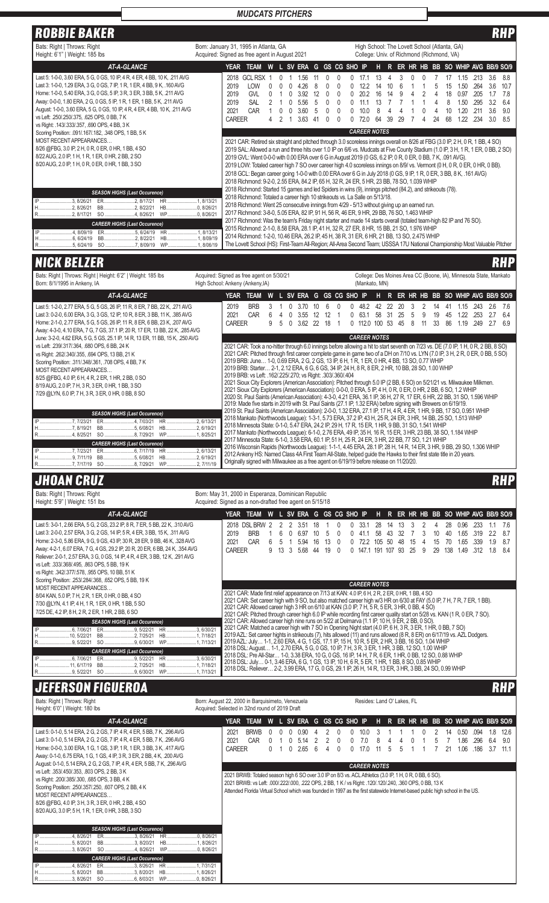## *MUDCATS PITCHERS*

ROBBIE BAKER RHP (ROBBIE BAKER RHP)

| Bats: Right   Throws: Right<br>Height: 6'1"   Weight: 185 lbs                                                                                                                                                                                                                                                                                                                                                                                                                                                                                                                 | Born: January 31, 1995 in Atlanta, GA<br>Acquired: Signed as free agent in August 2021                                                                                 | High School: The Lovett School (Atlanta, GA)<br>College: Univ. of Richmond (Richmond, VA)                                                                                                                                                                                                                                                                                                                                                                                                                                                                                                                                                                                                                                                              |
|-------------------------------------------------------------------------------------------------------------------------------------------------------------------------------------------------------------------------------------------------------------------------------------------------------------------------------------------------------------------------------------------------------------------------------------------------------------------------------------------------------------------------------------------------------------------------------|------------------------------------------------------------------------------------------------------------------------------------------------------------------------|--------------------------------------------------------------------------------------------------------------------------------------------------------------------------------------------------------------------------------------------------------------------------------------------------------------------------------------------------------------------------------------------------------------------------------------------------------------------------------------------------------------------------------------------------------------------------------------------------------------------------------------------------------------------------------------------------------------------------------------------------------|
| <b>AT-A-GLANCE</b>                                                                                                                                                                                                                                                                                                                                                                                                                                                                                                                                                            | <b>YEAR</b><br><b>TEAM</b><br>W                                                                                                                                        | L SV ERA G GS CG SHO IP<br>ER HR HB BB SO WHIP AVG BB/9 SO/9<br>н.<br>R.                                                                                                                                                                                                                                                                                                                                                                                                                                                                                                                                                                                                                                                                               |
| Last 5: 1-0-0, 3.60 ERA, 5 G, 0 GS, 10 IP, 4 R, 4 ER, 4 BB, 10 K, .211 AVG<br>Last 3: 1-0-0, 1.29 ERA, 3 G, 0 GS, 7 IP, 1 R, 1 ER, 4 BB, 9 K, .160 AVG<br>Home: 1-0-0, 5.40 ERA, 3 G, 0 GS, 5 IP, 3 R, 3 ER, 3 BB, 5 K, .211 AVG<br>Away: 0-0-0, 1.80 ERA, 2 G, 0 GS, 5 IP, 1 R, 1 ER, 1 BB, 5 K, .211 AVG<br>August: 1-0-0, 3.60 ERA, 5 G, 0 GS, 10 IP, 4 R, 4 ER, 4 BB, 10 K, .211 AVG<br>vs Left: .250/.250/.375, .625 OPS, 0 BB, 7 K<br>vs Right: .143/.333/.357, .690 OPS, 4 BB, 3 K<br>Scoring Position: .091/.167/.182, .348 OPS, 1 BB, 5 K<br>MOST RECENT APPEARANCES | 2018 GCL RSX<br>2019<br><b>LOW</b><br>426<br>3.92<br>2019<br><b>GVL</b><br>2019<br><b>SAL</b><br>5.56<br>CAR<br>2021<br>360<br>$\Omega$<br><b>CAREER</b><br>3.63<br>41 | 3.6<br>8.8<br>13<br>.15<br>.213<br>17.7<br>.264<br>3.6<br>10.7<br>122<br>6<br>1.50<br>14<br>10<br>15<br>20.2<br>16<br>9<br>0.97<br>.205<br>7.8<br>12<br>14<br>18<br>1.7<br>$\Omega$<br>.295<br>1.50<br>32<br>64<br>11.1<br>13<br>.20<br>3.6<br>10.0<br>10<br>211<br>9.0<br>3.0<br>39<br>68<br>1.22<br>.234<br>8.5<br>72 O<br>64<br>29<br>24<br><b>CAREER NOTES</b><br>2021 CAR: Retired six straight and pitched through 3.0 scoreless innings overall on 8/26 at FBG (3.0 IP, 2 H, 0 R, 1 BB, 4 SO)                                                                                                                                                                                                                                                   |
| 8/26 @FBG, 3.0 IP, 2 H, 0 R, 0 ER, 0 HR, 1 BB, 4 SO<br>8/22 AUG, 2.0 IP, 1 H, 1 R, 1 ER, 0 HR, 2 BB, 2 SO<br>8/20 AUG, 2.0 IP, 1 H, 0 R, 0 ER, 0 HR, 1 BB, 3 SO                                                                                                                                                                                                                                                                                                                                                                                                               |                                                                                                                                                                        | 2019 SAL: Allowed a run and three hits over 1.0 IP on 6/6 vs. Mudcats at Five County Stadium (1.0 IP, 3 H, 1 R, 1 ER, 0 BB, 2 SO)<br>2019 GVL: Went 0-0-0 with 0.00 ERA over 6 G in August 2019 (0 GS, 6.2 IP, 0 R, 0 ER, 0 BB, 7 K, .091 AVG).<br>2019 LOW: Totaled career high 7 SO over career high 4.0 scoreless innings on 8/9/ vs. Vermont (0 H, 0 R, 0 ER, 0 HR, 0 BB).<br>2018 GCL: Began career going 1-0-0 with 0.00 ERA over 6 G in July 2018 (0 GS, 9 IP, 1 R, 0 ER, 3 BB, 8 K, .161 AVG)<br>2018 Richmond: 9-2-0, 2.55 ERA, 84.2 IP, 65 H, 32 R, 24 ER, 5 HR, 23 BB, 78 SO, 1.039 WHIP                                                                                                                                                    |
| <b>SEASON HIGHS (Last Occurence)</b><br>.3.8/26/21<br>ER<br>.2.8/17/21<br><b>HB</b><br>.2.8/26/21<br>BB2, 8/22/21<br>R………………………2, 8/17/21  SO ………………………4, 8/26/21  WP……………………0, 8/26/21<br><b>CAREER HIGHS (Last Occurence)</b><br>WP1, 8/06/19                                                                                                                                                                                                                                                                                                                               | 2018 Richmond: Totaled a career high 10 strikeouts vs. La Salle on 5/13/18.<br>.0.8/26/21                                                                              | 2018 Richmond: Started 15 games and led Spiders in wins (9), innings pitched (84.2), and strikeouts (78).<br>2018 Richmond: Went 25 consecutive innings from 4/29 - 5/13 without giving up an earned run.<br>2017 Richmond: 3-8-0, 5.05 ERA, 82 IP, 91 H, 56 R, 46 ER, 9 HR, 29 BB, 76 SO, 1.463 WHIP<br>2017 Richmond: Was the team's Friday night starter and made 14 starts overall (totaled team-high 82 IP and 76 SO).<br>2015 Richmond: 2-1-0, 8.58 ERA, 28.1 IP, 41 H, 32 R, 27 ER, 8 HR, 15 BB, 21 SO, 1.976 WHIP<br>2014 Richmond: 1-2-0, 10.46 ERA, 26.2 IP, 45 H, 38 R, 31 ER, 6 HR, 21 BB, 13 SO, 2.475 WHIP<br>The Lovett School (HS): First-Team All-Region; All-Area Second Team; USSSA 17U National Championship Most Valuable Pitcher |
| <b>NICK BELZER</b>                                                                                                                                                                                                                                                                                                                                                                                                                                                                                                                                                            |                                                                                                                                                                        |                                                                                                                                                                                                                                                                                                                                                                                                                                                                                                                                                                                                                                                                                                                                                        |

| Bats: Right   Throws: Right   Height: 6'2"   Weight: 185 lbs<br>Born: 8/1/1995 in Ankeny, IA                                                                                                                                                                                                                                                             | Acquired: Signed as free agent on 5/30/21<br>High School: Ankeny (Ankeny, IA) |                                                                                                                                                                                                                                                                                                                                                                                                                                                                                                                                                                                                                                                                                                                                                                                                                                                                                                                                                                                                                                        |               |                      |          |           |                           |                     | (Mankato, MN)             |          |                |         |                           |                | College: Des Moines Area CC (Boone, IA), Minnesota State, Mankato |                      |                   |                   |
|----------------------------------------------------------------------------------------------------------------------------------------------------------------------------------------------------------------------------------------------------------------------------------------------------------------------------------------------------------|-------------------------------------------------------------------------------|----------------------------------------------------------------------------------------------------------------------------------------------------------------------------------------------------------------------------------------------------------------------------------------------------------------------------------------------------------------------------------------------------------------------------------------------------------------------------------------------------------------------------------------------------------------------------------------------------------------------------------------------------------------------------------------------------------------------------------------------------------------------------------------------------------------------------------------------------------------------------------------------------------------------------------------------------------------------------------------------------------------------------------------|---------------|----------------------|----------|-----------|---------------------------|---------------------|---------------------------|----------|----------------|---------|---------------------------|----------------|-------------------------------------------------------------------|----------------------|-------------------|-------------------|
| AT-A-GLANCE                                                                                                                                                                                                                                                                                                                                              | <b>YEAR</b>                                                                   | TEAM                                                                                                                                                                                                                                                                                                                                                                                                                                                                                                                                                                                                                                                                                                                                                                                                                                                                                                                                                                                                                                   |               |                      |          |           | W L SV ERA G GS CG SHO IP |                     |                           |          |                |         |                           |                | H R ER HR HB BB SO WHIP AVG BB/9 SO/9                             |                      |                   |                   |
| Last 5: 1-2-0, 2.77 ERA, 5 G, 5 GS, 26 IP, 11 R, 8 ER, 7 BB, 22 K, .271 AVG<br>Last 3: 0-2-0, 6.00 ERA, 3 G, 3 GS, 12 IP, 10 R, 8 ER, 3 BB, 11 K, .385 AVG<br>Home: 2-1-0, 2.77 ERA, 5 G, 5 GS, 26 IP, 11 R, 8 ER, 6 BB, 23 K, .207 AVG<br>Away: 4-3-0, 4.10 ERA, 7 G, 7 GS, 37.1 IP, 20 R, 17 ER, 13 BB, 22 K, .285 AVG                                 | 2019<br>2021<br><b>CAREER</b>                                                 | <b>BRB</b><br><b>CAR</b>                                                                                                                                                                                                                                                                                                                                                                                                                                                                                                                                                                                                                                                                                                                                                                                                                                                                                                                                                                                                               | 5<br>$\Omega$ | 3.70<br>3.55<br>3.62 | 12<br>22 | -12<br>18 |                           | 48.2<br>63.1<br>0   | 42<br>-58<br>112.0 100 53 | 22<br>31 | 20<br>25<br>45 | .5<br>8 | 14<br>9<br>19<br>33<br>11 | 41<br>45<br>86 | 1.15<br>1.22<br>1.19                                              | .243<br>.253<br>.249 | 2.6<br>2.7<br>2.7 | 7.6<br>6.4<br>6.9 |
| June: 3-2-0, 4.62 ERA, 5 G, 5 GS, 25.1 IP, 14 R, 13 ER, 11 BB, 15 K, .250 AVG                                                                                                                                                                                                                                                                            |                                                                               |                                                                                                                                                                                                                                                                                                                                                                                                                                                                                                                                                                                                                                                                                                                                                                                                                                                                                                                                                                                                                                        |               |                      |          |           |                           | <b>CAREER NOTES</b> |                           |          |                |         |                           |                |                                                                   |                      |                   |                   |
| vs Left: .239/.317/.364, .680 OPS, 6 BB, 24 K<br>vs Right: .262/.340/.355, .694 OPS, 13 BB, 21 K<br>Scoring Position: .311/.348/.361, .708 OPS, 4 BB, 7 K<br>MOST RECENT APPEARANCES<br>8/25 @FBG, 4.0 IP, 6 H, 4 R, 2 ER, 1 HR, 2 BB, 0 SO<br>8/19 AUG, 2.0 IP, 7 H, 3 R, 3 ER, 0 HR, 1 BB, 3 SO<br>7/29 @LYN, 6.0 IP, 7 H, 3 R, 3 ER, 0 HR, 0 BB, 8 SO |                                                                               | 2021 CAR: Took a no-hitter through 6.0 innings before allowing a hit to start seventh on 7/23 vs. DE (7.0 IP, 1 H, 0 R, 2 BB, 8 SO)<br>2021 CAR: Pitched through first career complete game in game two of a DH on 7/10 vs. LYN (7.0 IP, 3 H, 2 R, 0 ER, 0 BB, 5 SO)<br>2019 BRB: June 1-0, 0.69 ERA, 2 G, 2 GS, 13 IP, 6 H, 1 R, 1 ER, 0 HR, 4 BB, 13 SO, 0.77 WHIP<br>2019 BRB: Starter 2-1, 2.12 ERA, 6 G, 6 GS, 34 IP, 24 H, 8 R, 8 ER, 2 HR, 10 BB, 28 SO, 1.00 WHIP<br>2019 BRB: vs Left: .162/.225/.270; vs Right: .303/.360/.404<br>2021 Sioux City Explorers (American Association): Pitched through 5.0 IP (2 BB, 6 SO) on 5/21/21 vs. Milwaukee Milkmen.<br>2021 Sioux City Explorers (American Association): 0-0-0, 0 ERA, 5 IP, 4 H, 0 R, 0 ER, 0 HR, 2 BB, 6 SO, 1.2 WHIP<br>2020 St. Paul Saints (American Association): 4-3-0, 4.21 ERA, 36.1 IP, 36 H, 27 R, 17 ER, 6 HR, 22 BB, 31 SO, 1.596 WHIP<br>2019: Made five starts in 2019 with St. Paul Saints (27.1 IP, 1.32 ERA) before signing with Brewers on 6/19/19. |               |                      |          |           |                           |                     |                           |          |                |         |                           |                |                                                                   |                      |                   |                   |
| <b>SEASON HIGHS (Last Occurence)</b><br>HB2, 6/19/21<br>BB5, 6/08/21<br><b>CAREER HIGHS (Last Occurence)</b><br>H9, 7/11/19<br>HB2, 6/19/21<br>R7, 7/17/19 SO 8, 7/29/21 WP2, 7/11/19                                                                                                                                                                    |                                                                               | 2019 St. Paul Saints (American Association): 2-0-0, 1.32 ERA, 27.1 IP, 17 H, 4 R, 4 ER, 1 HR, 9 BB, 17 SO, 0.951 WHIP<br>2018 Mankato (Northwoods League): 1-3-1, 5.73 ERA, 37.2 IP, 43 H, 25 R, 24 ER, 3 HR, 14 BB, 25 SO, 1.513 WHIP<br>2018 Minnesota State: 0-1-0, 5.47 ERA, 24.2 IP, 29 H, 17 R, 15 ER, 1 HR, 9 BB, 31 SO, 1.541 WHIP<br>2017 Mankato (Northwoods League): 6-1-0, 2.76 ERA, 49 IP, 35 H, 16 R, 15 ER, 3 HR, 23 BB, 38 SO, 1.184 WHIP<br>2017 Minnesota State: 6-1-0, 3.58 ERA, 60.1 IP, 51 H, 25 R, 24 ER, 3 HR, 22 BB, 77 SO, 1.21 WHIP<br>2016 Wisconsin Rapids (Northwoods League): 1-1-1, 4.45 ERA, 28.1 IP, 28 H, 14 R, 14 ER, 3 HR, 9 BB, 29 SO, 1.306 WHIP<br>2012 Ankeny HS: Named Class 4A First Team All-State, helped guide the Hawks to their first state title in 20 years.<br>Originally signed with Milwaukee as a free agent on 6/19/19 before release on 11/20/20.                                                                                                                               |               |                      |          |           |                           |                     |                           |          |                |         |                           |                |                                                                   |                      |                   |                   |

## JHOAN CRUZ RHP

| Bats: Right   Throws: Right<br>Height: 5'9"   Weight: 151 lbs                                                                                                                                                                                                                                                                                                                                                                                                                                                                                                          | Born: May 31, 2000 in Esperanza, Dominican Republic<br>Acquired: Signed as a non-drafted free agent on 5/15/18                                                                                                                                                                                                                                                                                                                                                                                                                                                                                                                                                                                                                                                                                                                                                      |                         |
|------------------------------------------------------------------------------------------------------------------------------------------------------------------------------------------------------------------------------------------------------------------------------------------------------------------------------------------------------------------------------------------------------------------------------------------------------------------------------------------------------------------------------------------------------------------------|---------------------------------------------------------------------------------------------------------------------------------------------------------------------------------------------------------------------------------------------------------------------------------------------------------------------------------------------------------------------------------------------------------------------------------------------------------------------------------------------------------------------------------------------------------------------------------------------------------------------------------------------------------------------------------------------------------------------------------------------------------------------------------------------------------------------------------------------------------------------|-------------------------|
| AT-A-GLANCE                                                                                                                                                                                                                                                                                                                                                                                                                                                                                                                                                            | G GS CG SHO IP<br>H R ER HR HB BB SO WHIP AVG BB/9 SO/9<br>W L SV ERA<br><b>YEAR</b><br><b>TEAM</b>                                                                                                                                                                                                                                                                                                                                                                                                                                                                                                                                                                                                                                                                                                                                                                 |                         |
| Last 5: 3-0-1, 2.66 ERA, 5 G, 2 GS, 23.2 IP, 8 R, 7 ER, 5 BB, 22 K, .310 AVG<br>Last 3: 2-0-0, 2.57 ERA, 3 G, 2 GS, 14 IP, 5 R, 4 ER, 3 BB, 15 K, .311 AVG<br>Home: 2-3-0, 5.86 ERA, 9 G, 9 GS, 43 IP, 30 R, 28 ER, 9 BB, 46 K, .328 AVG<br>Away: 4-2-1, 6.07 ERA, 7 G, 4 GS, 29.2 IP, 20 R, 20 ER, 6 BB, 24 K, .354 AVG<br>Reliever: 2-0-1, 2.57 ERA, 3 G, 0 GS, 14 IP, 4 R, 4 ER, 3 BB, 12 K, .291 AVG<br>vs Left: .333/.368/.495, .863 OPS, 5 BB, 19 K<br>vs Right: .342/.377/.578, .955 OPS, 10 BB, 51 K<br>Scoring Position: .253/.284/.368, .652 OPS, 5 BB, 19 K | 2018 DSL BRW<br>3.51<br>0.96<br>-233<br>2019<br><b>BRB</b><br>22<br>65<br>319<br>6.97<br>58<br>32<br>2021<br>CAR<br>1.9<br>5.94<br>1.65<br>.339<br>48<br>722<br>.50<br>5<br>16<br>13<br>15<br>15<br>70<br>105<br><b>CAREER</b><br>13<br>1.8<br>3<br>5.68<br>138<br>.312<br>19<br>25<br>29<br>  49<br>9<br>44<br>1471<br>107<br>93<br>$\Omega$<br>191                                                                                                                                                                                                                                                                                                                                                                                                                                                                                                                | -76<br>87<br>8.7<br>8.4 |
| MOST RECENT APPEARANCES<br>8/04 KAN, 5.0 IP, 7 H, 2 R, 1 ER, 0 HR, 0 BB, 4 SO<br>7/30 @LYN, 4.1 IP, 4 H, 1 R, 1 ER, 0 HR, 1 BB, 5 SO<br>7/25 DE, 4.2 IP, 8 H, 2 R, 2 ER, 1 HR, 2 BB, 6 SO                                                                                                                                                                                                                                                                                                                                                                              | <b>CAREER NOTES</b><br>2021 CAR: Made first relief appearance on 7/13 at KAN: 4.0 IP, 6 H, 2 R, 2 ER, 0 HR, 1 BB, 4 SO<br>2021 CAR: Set career high with 9 SO, but also matched career high w/3 HR on 6/30 at FAY (5.0 IP, 7 H, 7 R, 7 ER, 1 BB).<br>2021 CAR: Allowed career high 3 HR on 6/10 at KAN (3.0 IP, 7 H, 5 R, 5 ER, 3 HR, 0 BB, 4 SO)<br>2021 CAR: Pitched through career high 6.0 IP while recording first career quality start on 5/28 vs. KAN (1 R, 0 ER, 7 SO).                                                                                                                                                                                                                                                                                                                                                                                     |                         |
| <b>SEASON HIGHS (Last Occurence)</b><br>SO 9, 6/30/21 WP1, 7/13/21<br>R9, 5/22/21<br><b>CAREER HIGHS (Last Occurence)</b><br>ER9, 5/22/21 HR 3, 6/30/21<br>BB2, 7/25/21<br>HB1, 7/18/21                                                                                                                                                                                                                                                                                                                                                                                | 2021 CAR: Allowed career high nine runs on 5/22 at Delmarva (1.1 IP, 10 H, 9 ER, 2 BB, 0 SO).<br>2021 CAR: Matched a career high with 7 SO in Opening Night start (4.0 IP, 6 H, 3 R, 3 ER, 1 HR, 0 BB, 7 SO)<br>2019 AZL: Set career hights in strikeouts (7), hits allowed (11) and runs allowed (8 R, 8 ER) on 6/17/19 vs. AZL Dodgers.<br>2019 AZL: July 1-1, 2.60 ERA, 4 G, 1 GS, 17.1 IP, 15 H, 10 R, 5 ER, 2 HR, 3 BB, 16 SO, 1.04 WHIP<br>2018 DSL: August 1-1, 2.70 ERA, 5 G, 0 GS, 10 IP, 7 H, 3 R, 3 ER, 1 HR, 3 BB, 12 SO, 1.00 WHIP<br>2018 DSL: Pre All-Star 1-0, 3.38 ERA, 10 G, 0 GS, 16 IP, 14 H, 7 R, 6 ER, 1 HR, 0 BB, 12 SO, 0.88 WHIP<br>2018 DSL: July 0-1, 3.46 ERA, 6 G, 1 GS, 13 IP, 10 H, 6 R, 5 ER, 1 HR, 1 BB, 8 SO, 0.85 WHIP<br>2018 DSL: Reliever 2-2, 3.99 ERA, 17 G, 0 GS, 29.1 IP, 26 H, 14 R, 13 ER, 3 HR, 3 BB, 24 SO, 0.99 WHIP |                         |

## **JEFERSON FIGUEROA**

| ULFENJUN FIUULNUA                                                                                                                                                                                                                                                                                                                                                                                                                                                                                                                                                                                                                                                                      |                                                                                                    |                                                                                                                                                                                                                                                                                                                                                                                                                                                                                                 | mur                 |
|----------------------------------------------------------------------------------------------------------------------------------------------------------------------------------------------------------------------------------------------------------------------------------------------------------------------------------------------------------------------------------------------------------------------------------------------------------------------------------------------------------------------------------------------------------------------------------------------------------------------------------------------------------------------------------------|----------------------------------------------------------------------------------------------------|-------------------------------------------------------------------------------------------------------------------------------------------------------------------------------------------------------------------------------------------------------------------------------------------------------------------------------------------------------------------------------------------------------------------------------------------------------------------------------------------------|---------------------|
| Bats: Right   Throws: Right<br>Height: 6'0"   Weight: 180 lbs                                                                                                                                                                                                                                                                                                                                                                                                                                                                                                                                                                                                                          | Born: August 22, 2000 in Barquisimeto, Venezuela<br>Acquired: Selected in 32nd round of 2019 Draft | Resides: Land O' Lakes, FL                                                                                                                                                                                                                                                                                                                                                                                                                                                                      |                     |
| AT-A-GLANCE                                                                                                                                                                                                                                                                                                                                                                                                                                                                                                                                                                                                                                                                            | <b>YEAR</b><br><b>TEAM</b><br>W                                                                    | L SV ERA G GS CG SHO IP<br>H R ER HR HB BB SO WHIP AVG BB/9 SO/9                                                                                                                                                                                                                                                                                                                                                                                                                                |                     |
| Last 5: 0-1-0, 5.14 ERA, 2 G, 2 GS, 7 IP, 4 R, 4 ER, 5 BB, 7 K, .296 AVG<br>Last 3: 0-1-0, 5.14 ERA, 2 G, 2 GS, 7 IP, 4 R, 4 ER, 5 BB, 7 K, .296 AVG<br>Home: 0-0-0, 3.00 ERA, 1 G, 1 GS, 3 IP, 1 R, 1 ER, 3 BB, 3 K, .417 AVG<br>Away: 0-1-0, 6.75 ERA, 1 G, 1 GS, 4 IP, 3 R, 3 ER, 2 BB, 4 K, .200 AVG<br>August: 0-1-0, 5.14 ERA, 2 G, 2 GS, 7 IP, 4 R, 4 ER, 5 BB, 7 K, .296 AVG<br>vs Left: .353/.450/.353, .803 OPS, 2 BB, 3 K<br>vs Right: .200/.385/.300, .685 OPS, 3 BB, 4 K<br>Scoring Position: .250/.357/.250, .607 OPS, 2 BB, 4 K<br>MOST RECENT APPEARANCES<br>8/26 @FBG, 4.0 IP, 3 H, 3 R, 3 ER, 0 HR, 2 BB, 4 SO<br>8/20 AUG, 3.0 IP, 5 H, 1 R, 1 ER, 0 HR, 3 BB, 3 SO | 2021<br><b>BRWB</b><br>0.90<br>2021<br>CAR<br>514<br><b>CAREER</b><br>2.65<br>6<br>$\cup$<br>0     | 1.8<br>.094<br>0.50<br>1.86<br>.296<br>6.4<br>7.0<br>5<br>3.7<br>1.06<br>.186<br>$\cup$<br>17.0<br>21<br>0<br>5<br><b>CAREER NOTES</b><br>2021 BRWB: Totaled season high 6 SO over 3.0 IP on 8/3 vs. ACL Athletics (3.0 IP, 1 H, 0 R, 0 BB, 6 SO).<br>2021 BRWB: vs Left: .000/.222/.000, .222 OPS, 2 BB, 1 K / vs Right: .120/.120/.240, .360 OPS, 0 BB, 13 K<br>Attended Florida Virtual School which was founded in 1997 as the first statewide Internet-based public high school in the US. | 12.6<br>9.0<br>11.1 |
| <b>SEASON HIGHS (Last Occurence)</b><br>ER3, 8/26/21<br>BB3, 8/20/21<br>.5.8/20/21<br>R3, 8/26/21 SO 4, 8/26/21<br><b>CAREER HIGHS (Last Occurence)</b><br>IP<br>4.8/26/21<br>BB3, 8/20/21 HB1, 8/26/21                                                                                                                                                                                                                                                                                                                                                                                                                                                                                |                                                                                                    |                                                                                                                                                                                                                                                                                                                                                                                                                                                                                                 |                     |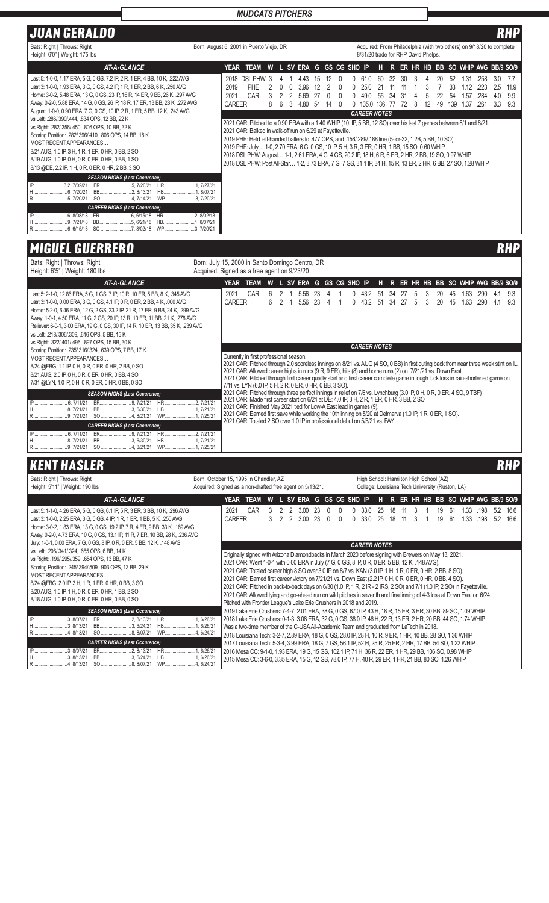## *MUDCATS PITCHERS*

## JUAN GERALDO RHP

| UUAN ULNALDU                                                                                                                                                                                                                                                                                                                                                                                                                                                                                                                                                                                                                                                                                                                                                        |                                                                                                                                                                                                                                                                                                                                                                                                                                                                                                                                                                                                                                                                                                                                                                                                                                                             | 88 B B B                                                                                                                                                                                                                |  |  |  |  |  |  |  |  |  |  |  |  |
|---------------------------------------------------------------------------------------------------------------------------------------------------------------------------------------------------------------------------------------------------------------------------------------------------------------------------------------------------------------------------------------------------------------------------------------------------------------------------------------------------------------------------------------------------------------------------------------------------------------------------------------------------------------------------------------------------------------------------------------------------------------------|-------------------------------------------------------------------------------------------------------------------------------------------------------------------------------------------------------------------------------------------------------------------------------------------------------------------------------------------------------------------------------------------------------------------------------------------------------------------------------------------------------------------------------------------------------------------------------------------------------------------------------------------------------------------------------------------------------------------------------------------------------------------------------------------------------------------------------------------------------------|-------------------------------------------------------------------------------------------------------------------------------------------------------------------------------------------------------------------------|--|--|--|--|--|--|--|--|--|--|--|--|
| Bats: Right   Throws: Right<br>Height: 6'0"   Weight: 175 lbs                                                                                                                                                                                                                                                                                                                                                                                                                                                                                                                                                                                                                                                                                                       | Born: August 6, 2001 in Puerto Viejo, DR                                                                                                                                                                                                                                                                                                                                                                                                                                                                                                                                                                                                                                                                                                                                                                                                                    | Acquired: From Philadelphia (with two others) on 9/18/20 to complete<br>8/31/20 trade for RHP David Phelps.                                                                                                             |  |  |  |  |  |  |  |  |  |  |  |  |
| <b>AT-A-GLANCE</b>                                                                                                                                                                                                                                                                                                                                                                                                                                                                                                                                                                                                                                                                                                                                                  | TEAM W L SV ERA G GS CG SHO IP<br>YEAR                                                                                                                                                                                                                                                                                                                                                                                                                                                                                                                                                                                                                                                                                                                                                                                                                      | H R ER HR HB BB SO WHIP AVG BB/9 SO/9                                                                                                                                                                                   |  |  |  |  |  |  |  |  |  |  |  |  |
| Last 5: 1-0-0, 1.17 ERA, 5 G, 0 GS, 7.2 IP, 2 R, 1 ER, 4 BB, 10 K, .222 AVG<br>Last 3: 1-0-0, 1.93 ERA, 3 G, 0 GS, 4.2 IP, 1 R, 1 ER, 2 BB, 6 K, .250 AVG<br>Home: 3-0-2, 5.48 ERA, 13 G, 0 GS, 23 IP, 16 R, 14 ER, 9 BB, 26 K, .297 AVG<br>Away: 0-2-0, 5.88 ERA, 14 G, 0 GS, 26 IP, 18 R, 17 ER, 13 BB, 28 K, .272 AVG<br>August: 1-0-0, 0.90 ERA, 7 G, 0 GS, 10 IP, 2 R, 1 ER, 5 BB, 12 K, .243 AVG<br>vs Left: .286/.390/.444, .834 OPS, 12 BB, 22 K<br>vs Right: .282/.356/.450, .806 OPS, 10 BB, 32 K<br>Scoring Position: .282/.396/.410, .806 OPS, 14 BB, 18 K<br>MOST RECENT APPEARANCES<br>8/21 AUG, 1.0 IP, 3 H, 1 R, 1 ER, 0 HR, 0 BB, 2 SO<br>8/19 AUG, 1.0 IP, 0 H, 0 R, 0 ER, 0 HR, 0 BB, 1 SO<br>8/13 @DE, 2.2 IP, 1 H, 0 R, 0 ER, 0 HR, 2 BB, 3 SO | 2018 DSL PHW 3<br>443<br>15<br><b>PHE</b><br>2019<br>3.96<br><sup>n</sup><br>$\Box$<br>-12<br>25 O<br>2021<br>CAR<br>5.69<br>49 O<br>-27<br><b>CAREER</b><br>4.80<br>3<br>$\kappa$<br>-54<br>14<br>8<br>1350<br><b>CAREER NOTES</b><br>2021 CAR: Pitched to a 0.90 ERA with a 1.40 WHIP (10. IP, 5 BB, 12 SO) over his last 7 games between 8/1 and 8/21.<br>2021 CAR: Balked in walk-off run on 6/29 at Fayetteville.<br>2019 PHE: Held left-handed batters to .477 OPS, and .156/.289/.188 line (5-for-32, 1 2B, 5 BB, 10 SO).<br>2019 PHE: July 1-0, 2.70 ERA, 6 G, 0 GS, 10 IP, 5 H, 3 R, 3 ER, 0 HR, 1 BB, 15 SO, 0.60 WHIP<br>2018 DSL PHW: August 1-1, 2.61 ERA, 4 G, 4 GS, 20.2 IP, 18 H, 6 R, 6 ER, 2 HR, 2 BB, 19 SO, 0.97 WHIP<br>2018 DSL PHW: Post All-Star 1-2, 3.73 ERA, 7 G, 7 GS, 31.1 IP, 34 H, 15 R, 13 ER, 2 HR, 6 BB, 27 SO, 1.28 WHIP | .258<br>3.0<br>7.7<br>1.31<br>60<br>32<br>30<br>2.5<br>1.12<br>11.9<br>33<br>223<br>3<br>9.9<br>.284<br>4.0<br>55<br>.34<br>.31<br>1.57<br>-54<br>.261<br>3.3<br>9.3<br>12<br>49<br>139<br>1.37<br>72<br>136<br>77<br>8 |  |  |  |  |  |  |  |  |  |  |  |  |
| <b>SEASON HIGHS (Last Occurence)</b><br>IP 3.2, 7/02/21<br>ER5, 7/20/21 HR1, 7/27/21<br><b>CAREER HIGHS (Last Occurence)</b><br>H9, 7/21/18 BB5, 6/21/18 HB1, 8/07/21                                                                                                                                                                                                                                                                                                                                                                                                                                                                                                                                                                                               |                                                                                                                                                                                                                                                                                                                                                                                                                                                                                                                                                                                                                                                                                                                                                                                                                                                             |                                                                                                                                                                                                                         |  |  |  |  |  |  |  |  |  |  |  |  |

# MIGUEL GUERRERO RHP

IP ..............................3, 8/07/21<br>H.............................3, 8/13/21<br>R...........................4, 8/13/21

ER.........................2, 8/13/21 BB.........................3, 6/24/21 SO ........................8, 8/07/21

*CAREER HIGHS (Last Occurence)*

HR ........................1, 6/26/21 HB.........................1, 6/26/21 WP........................4, 6/24/21

| Bats: Right   Throws: Right                                                                                | Born: July 15, 2000 in Santo Domingo Centro, DR          |                                                                                                                                                                                                                                                    |     |   |                 |                |                |                           |                 |  |                                                 |                                  |    |                   |                                       |          |            |
|------------------------------------------------------------------------------------------------------------|----------------------------------------------------------|----------------------------------------------------------------------------------------------------------------------------------------------------------------------------------------------------------------------------------------------------|-----|---|-----------------|----------------|----------------|---------------------------|-----------------|--|-------------------------------------------------|----------------------------------|----|-------------------|---------------------------------------|----------|------------|
| Height: 6'5"   Weight: 180 lbs                                                                             | Acquired: Signed as a free agent on 9/23/20              |                                                                                                                                                                                                                                                    |     |   |                 |                |                |                           |                 |  |                                                 |                                  |    |                   |                                       |          |            |
| <b>AT-A-GLANCE</b>                                                                                         |                                                          | YEAR TEAM W L SV ERA G GS CG SHO IP H R ER HR HB BB SO WHIP AVG BB/9 SO/9                                                                                                                                                                          |     |   |                 |                |                |                           |                 |  |                                                 |                                  |    |                   |                                       |          |            |
| Last 5: 2-1-0, 12.86 ERA, 5 G, 1 GS, 7 IP, 10 R, 10 ER, 5 BB, 8 K, .345 AVG                                |                                                          | 2021                                                                                                                                                                                                                                               | CAR |   | 6 2 1 5.56 23 4 |                | $\overline{1}$ | 0 43.2 51 34 27 5         |                 |  |                                                 | 3                                |    |                   | 20 45 1.63 .290 4.1 9.3               |          |            |
| Last 3: 1-0-0, 0.00 ERA, 3 G, 0 GS, 4.1 IP, 0 R, 0 ER, 2 BB, 4 K, .000 AVG                                 |                                                          | <b>CAREER</b>                                                                                                                                                                                                                                      |     | 6 | 2 1 5.56 23     | $\overline{4}$ | $\overline{1}$ | 0 43.2 51 34 27 5         |                 |  |                                                 |                                  |    | 3 20 45 1.63 .290 |                                       | 4.1 9.3  |            |
| Home: 5-2-0, 6.46 ERA, 12 G, 2 GS, 23.2 IP, 21 R, 17 ER, 9 BB, 24 K, .299 AVG                              |                                                          |                                                                                                                                                                                                                                                    |     |   |                 |                |                |                           |                 |  |                                                 |                                  |    |                   |                                       |          |            |
| Away: 1-0-1, 4.50 ERA, 11 G, 2 GS, 20 IP, 13 R, 10 ER, 11 BB, 21 K, .278 AVG                               |                                                          |                                                                                                                                                                                                                                                    |     |   |                 |                |                |                           |                 |  |                                                 |                                  |    |                   |                                       |          |            |
| Reliever: 6-0-1, 3.00 ERA, 19 G, 0 GS, 30 IP, 14 R, 10 ER, 13 BB, 35 K, 239 AVG                            |                                                          |                                                                                                                                                                                                                                                    |     |   |                 |                |                |                           |                 |  |                                                 |                                  |    |                   |                                       |          |            |
| vs Left: .218/.306/.309, .616 OPS, 5 BB, 15 K<br>vs Right: .322/.401/.496, .897 OPS, 15 BB, 30 K           |                                                          |                                                                                                                                                                                                                                                    |     |   |                 |                |                |                           |                 |  |                                                 |                                  |    |                   |                                       |          |            |
| Scoring Position: .235/.316/.324, .639 OPS, 7 BB, 17 K                                                     |                                                          |                                                                                                                                                                                                                                                    |     |   |                 |                |                | <b>CAREER NOTES</b>       |                 |  |                                                 |                                  |    |                   |                                       |          |            |
| MOST RECENT APPEARANCES                                                                                    |                                                          | Currently in first professional season.                                                                                                                                                                                                            |     |   |                 |                |                |                           |                 |  |                                                 |                                  |    |                   |                                       |          |            |
| 8/24 @FBG, 1.1 IP, 0 H, 0 R, 0 ER, 0 HR, 2 BB, 0 SO                                                        |                                                          | 2021 CAR: Pitched through 2.0 scoreless innings on 8/21 vs. AUG (4 SO, 0 BB) in first outing back from near three week stint on IL.                                                                                                                |     |   |                 |                |                |                           |                 |  |                                                 |                                  |    |                   |                                       |          |            |
| 8/21 AUG, 2.0 IP, 0 H, 0 R, 0 ER, 0 HR, 0 BB, 4 SO                                                         |                                                          | 2021 CAR: Allowed career highs in runs (9 R, 9 ER), hits (8) and home runs (2) on 7/21/21 vs. Down East.<br>2021 CAR: Pitched through first career quality start and first career complete game in tough luck loss in rain-shortened game on       |     |   |                 |                |                |                           |                 |  |                                                 |                                  |    |                   |                                       |          |            |
| 7/31 @LYN, 1.0 IP, 0 H, 0 R, 0 ER, 0 HR, 0 BB, 0 SO                                                        |                                                          | 7/11 vs. LYN (6.0 IP, 5 H, 2 R, 0 ER, 0 HR, 0 BB, 3 SO).                                                                                                                                                                                           |     |   |                 |                |                |                           |                 |  |                                                 |                                  |    |                   |                                       |          |            |
| <b>SEASON HIGHS (Last Occurence)</b>                                                                       |                                                          | 2021 CAR: Pitched through three perfect innings in relief on 7/6 vs. Lynchburg (3.0 IP, 0 H, 0 R, 0 ER, 4 SO, 9 TBF)                                                                                                                               |     |   |                 |                |                |                           |                 |  |                                                 |                                  |    |                   |                                       |          |            |
|                                                                                                            |                                                          | 2021 CAR: Made first career start on 6/24 at DE: 4.0 IP, 3 H, 2 R, 1 ER, 0 HR, 3 BB, 2 SO<br>2021 CAR: Finished May 2021 tied for Low-A East lead in games (9).                                                                                    |     |   |                 |                |                |                           |                 |  |                                                 |                                  |    |                   |                                       |          |            |
| H8, 7/21/21 BB3, 6/30/21 HB1, 7/21/21                                                                      |                                                          | 2021 CAR: Earned first save while working the 10th inning on 5/20 at Delmarva (1.0 IP, 1 R, 0 ER, 1 SO).                                                                                                                                           |     |   |                 |                |                |                           |                 |  |                                                 |                                  |    |                   |                                       |          |            |
|                                                                                                            |                                                          | 2021 CAR: Totaled 2 SO over 1.0 IP in professional debut on 5/5/21 vs. FAY.                                                                                                                                                                        |     |   |                 |                |                |                           |                 |  |                                                 |                                  |    |                   |                                       |          |            |
| <b>CAREER HIGHS (Last Occurence)</b>                                                                       |                                                          |                                                                                                                                                                                                                                                    |     |   |                 |                |                |                           |                 |  |                                                 |                                  |    |                   |                                       |          |            |
| H8, 7/21/21 BB3, 6/30/21 HB1, 7/21/21                                                                      |                                                          |                                                                                                                                                                                                                                                    |     |   |                 |                |                |                           |                 |  |                                                 |                                  |    |                   |                                       |          |            |
|                                                                                                            |                                                          |                                                                                                                                                                                                                                                    |     |   |                 |                |                |                           |                 |  |                                                 |                                  |    |                   |                                       |          |            |
|                                                                                                            |                                                          |                                                                                                                                                                                                                                                    |     |   |                 |                |                |                           |                 |  |                                                 |                                  |    |                   |                                       |          |            |
|                                                                                                            |                                                          |                                                                                                                                                                                                                                                    |     |   |                 |                |                |                           |                 |  |                                                 |                                  |    |                   |                                       |          |            |
| <b>KENT HASLER</b>                                                                                         |                                                          |                                                                                                                                                                                                                                                    |     |   |                 |                |                |                           |                 |  |                                                 |                                  |    |                   |                                       |          | <b>RHP</b> |
| Bats: Right   Throws: Right                                                                                | Born: October 15, 1995 in Chandler, AZ                   |                                                                                                                                                                                                                                                    |     |   |                 |                |                |                           |                 |  | High School: Hamilton High School (AZ)          |                                  |    |                   |                                       |          |            |
| Height: 5'11"   Weight: 190 lbs                                                                            | Acquired: Signed as a non-drafted free agent on 5/13/21. |                                                                                                                                                                                                                                                    |     |   |                 |                |                |                           |                 |  | College: Louisiana Tech University (Ruston, LA) |                                  |    |                   |                                       |          |            |
| <b>AT-A-GLANCE</b>                                                                                         |                                                          | YEAR TEAM                                                                                                                                                                                                                                          |     |   |                 |                |                | W L SV ERA G GS CG SHO IP |                 |  |                                                 |                                  |    |                   | H R ER HR HB BB SO WHIP AVG BB/9 SO/9 |          |            |
| Last 5: 1-1-0, 4.26 ERA, 5 G, 0 GS, 6.1 IP, 5 R, 3 ER, 3 BB, 10 K, .296 AVG                                |                                                          | 2021                                                                                                                                                                                                                                               | CAR | 3 | 2 2 3.00 23     | $\overline{0}$ | 0              | $\mathbf 0$               | 33.0 25 18 11 3 |  |                                                 |                                  | 19 | 61 1.33 .198      |                                       | 5.2 16.6 |            |
| Last 3: 1-0-0, 2.25 ERA, 3 G, 0 GS, 4 IP, 1 R, 1 ER, 1 BB, 5 K, .250 AVG                                   |                                                          | <b>CAREER</b>                                                                                                                                                                                                                                      |     | 3 | 2 2 3.00 23     | $\mathbf 0$    | 0              | 0                         | 33.0 25 18 11 3 |  |                                                 | $\overline{1}$<br>$\overline{1}$ | 19 | 61 1.33 .198      |                                       | 5.2 16.6 |            |
| Home: 3-0-2, 1.83 ERA, 13 G, 0 GS, 19.2 IP, 7 R, 4 ER, 9 BB, 33 K, .169 AVG                                |                                                          |                                                                                                                                                                                                                                                    |     |   |                 |                |                |                           |                 |  |                                                 |                                  |    |                   |                                       |          |            |
| Away: 0-2-0, 4.73 ERA, 10 G, 0 GS, 13.1 IP, 11 R, 7 ER, 10 BB, 28 K, .236 AVG                              |                                                          |                                                                                                                                                                                                                                                    |     |   |                 |                |                |                           |                 |  |                                                 |                                  |    |                   |                                       |          |            |
| July: 1-0-1, 0.00 ERA, 7 G, 0 GS, 8 IP, 0 R, 0 ER, 5 BB, 12 K, .148 AVG                                    |                                                          |                                                                                                                                                                                                                                                    |     |   |                 |                |                | <b>CAREER NOTES</b>       |                 |  |                                                 |                                  |    |                   |                                       |          |            |
| vs Left: .206/.341/.324, .665 OPS, 6 BB, 14 K                                                              |                                                          | Originally signed with Arizona Diamondbacks in March 2020 before signing with Brewers on May 13, 2021.                                                                                                                                             |     |   |                 |                |                |                           |                 |  |                                                 |                                  |    |                   |                                       |          |            |
| vs Right: .196/.295/.359, .654 OPS, 13 BB, 47 K<br>Scoring Position: .245/.394/.509, .903 OPS, 13 BB, 29 K |                                                          | 2021 CAR: Went 1-0-1 with 0.00 ERA in July (7 G, 0 GS, 8 IP, 0 R, 0 ER, 5 BB, 12 K, 148 AVG).                                                                                                                                                      |     |   |                 |                |                |                           |                 |  |                                                 |                                  |    |                   |                                       |          |            |
| MOST RECENT APPEARANCES                                                                                    |                                                          | 2021 CAR: Totaled career high 8 SO over 3.0 IP on 8/7 vs. KAN (3.0 IP, 1 H, 1 R, 0 ER, 0 HR, 2 BB, 8 SO).                                                                                                                                          |     |   |                 |                |                |                           |                 |  |                                                 |                                  |    |                   |                                       |          |            |
| 8/24 @FBG, 2.0 IP, 3 H, 1 R, 1 ER, 0 HR, 0 BB, 3 SO                                                        |                                                          | 2021 CAR: Earned first career victory on 7/21/21 vs. Down East (2.2 IP, 0 H, 0 R, 0 ER, 0 HR, 0 BB, 4 SO).                                                                                                                                         |     |   |                 |                |                |                           |                 |  |                                                 |                                  |    |                   |                                       |          |            |
| 8/20 AUG, 1.0 IP, 1 H, 0 R, 0 ER, 0 HR, 1 BB, 2 SO                                                         |                                                          | 2021 CAR: Pitched in back-to-back days on 6/30 (1.0 IP, 1 R, 2 IR - 2 IRS, 2 SO) and 7/1 (1.0 IP, 2 SO) in Fayetteville.<br>2021 CAR: Allowed tying and go-ahead run on wild pitches in seventh and final inning of 4-3 loss at Down East on 6/24. |     |   |                 |                |                |                           |                 |  |                                                 |                                  |    |                   |                                       |          |            |
| 8/18 AUG, 1.0 IP, 0 H, 0 R, 0 ER, 0 HR, 0 BB, 0 SO                                                         |                                                          | Pitched with Frontier League's Lake Erie Crushers in 2018 and 2019.                                                                                                                                                                                |     |   |                 |                |                |                           |                 |  |                                                 |                                  |    |                   |                                       |          |            |
| <b>SEASON HIGHS (Last Occurence)</b>                                                                       |                                                          | 2019 Lake Erie Crushers: 7-4-7, 2.01 ERA, 38 G, 0 GS, 67.0 IP, 43 H, 18 R, 15 ER, 3 HR, 30 BB, 89 SO, 1.09 WHIP                                                                                                                                    |     |   |                 |                |                |                           |                 |  |                                                 |                                  |    |                   |                                       |          |            |
| H3, 8/13/21 BB3, 6/24/21 HB1, 6/26/21                                                                      |                                                          | 2018 Lake Erie Crushers: 0-1-3, 3.08 ERA, 32 G, 0 GS, 38.0 IP, 46 H, 22 R, 13 ER, 2 HR, 20 BB, 44 SO, 1.74 WHIP<br>Was a two-time member of the C-USA All-Academic Team and graduated from LaTech in 2018.                                         |     |   |                 |                |                |                           |                 |  |                                                 |                                  |    |                   |                                       |          |            |

2018 Louisiana Tech: 3-2-7, 2.89 ERA, 18 G, 0 GS, 28.0 IP, 28 H, 10 R, 9 ER, 1 HR, 10 BB, 28 SO, 1.36 WHIP 2017 Louisiana Tech: 5-3-4, 3.99 ERA, 18 G, 7 GS, 56.1 IP, 52 H, 25 R, 25 ER, 2 HR, 17 BB, 54 SO, 1.22 WHIP 2016 Mesa CC: 9-1-0, 1.93 ERA, 19 G, 15 GS, 102.1 IP, 71 H, 36 R, 22 ER, 1 HR, 29 BB, 106 SO, 0.98 WHIP 2015 Mesa CC: 3-6-0, 3.35 ERA, 15 G, 12 GS, 78.0 IP, 77 H, 40 R, 29 ER, 1 HR, 21 BB, 80 SO, 1.26 WHIP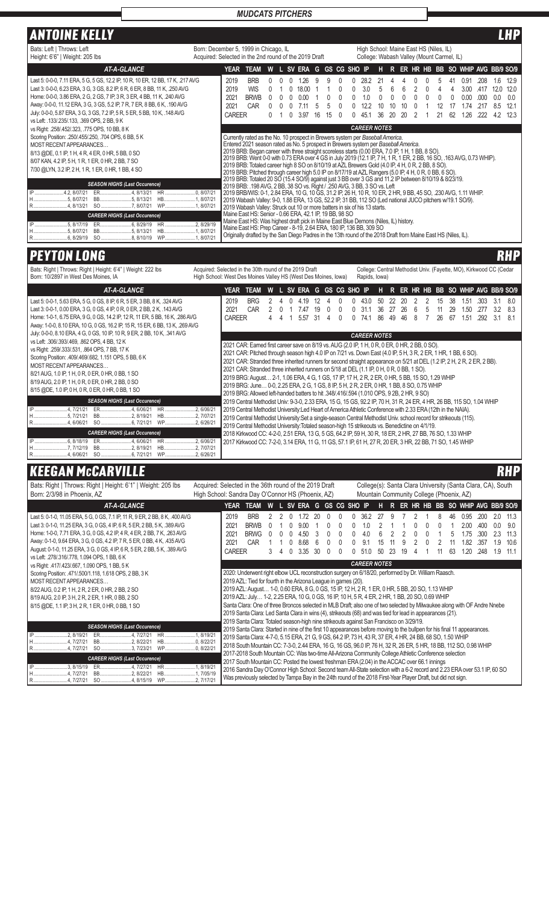## ANTOINE KELLY LHP

| 7. <i>. .</i>                                                                                                                                                                                                                                                                                                                                                                                                                                                                                                                                                                                                                                                                                                                                                                                                                                                                                                                                                                                                   |                                                                                                                                                                                                                                                           |                                               |                                                                                                                                                                                                                                                                                                                                                                                                                                                                                                                                                                                                                                                                                                                                                                                                                                                                                                                                                                                                                                                                                                                                                                                                                                                                                                                                                                                               |   |  |  |                               |    |    |          |  |                                   |    |    |    |  |    |    |                             |                          |                                 | .                                   |
|-----------------------------------------------------------------------------------------------------------------------------------------------------------------------------------------------------------------------------------------------------------------------------------------------------------------------------------------------------------------------------------------------------------------------------------------------------------------------------------------------------------------------------------------------------------------------------------------------------------------------------------------------------------------------------------------------------------------------------------------------------------------------------------------------------------------------------------------------------------------------------------------------------------------------------------------------------------------------------------------------------------------|-----------------------------------------------------------------------------------------------------------------------------------------------------------------------------------------------------------------------------------------------------------|-----------------------------------------------|-----------------------------------------------------------------------------------------------------------------------------------------------------------------------------------------------------------------------------------------------------------------------------------------------------------------------------------------------------------------------------------------------------------------------------------------------------------------------------------------------------------------------------------------------------------------------------------------------------------------------------------------------------------------------------------------------------------------------------------------------------------------------------------------------------------------------------------------------------------------------------------------------------------------------------------------------------------------------------------------------------------------------------------------------------------------------------------------------------------------------------------------------------------------------------------------------------------------------------------------------------------------------------------------------------------------------------------------------------------------------------------------------|---|--|--|-------------------------------|----|----|----------|--|-----------------------------------|----|----|----|--|----|----|-----------------------------|--------------------------|---------------------------------|-------------------------------------|
| Bats: Left   Throws: Left<br>Height: 6'6"   Weight: 205 lbs                                                                                                                                                                                                                                                                                                                                                                                                                                                                                                                                                                                                                                                                                                                                                                                                                                                                                                                                                     | Born: December 5, 1999 in Chicago, IL<br>High School: Maine East HS (Niles, IL)<br>College: Wabash Valley (Mount Carmel, IL)<br>Acquired: Selected in the 2nd round of the 2019 Draft<br>L SV ERA G GS CG SHO IP<br>H R ER HR HB BB SO WHIP AVG BB/9 SO/9 |                                               |                                                                                                                                                                                                                                                                                                                                                                                                                                                                                                                                                                                                                                                                                                                                                                                                                                                                                                                                                                                                                                                                                                                                                                                                                                                                                                                                                                                               |   |  |  |                               |    |    |          |  |                                   |    |    |    |  |    |    |                             |                          |                                 |                                     |
| <b>AT-A-GLANCE</b>                                                                                                                                                                                                                                                                                                                                                                                                                                                                                                                                                                                                                                                                                                                                                                                                                                                                                                                                                                                              |                                                                                                                                                                                                                                                           | YEAR                                          | TEAM                                                                                                                                                                                                                                                                                                                                                                                                                                                                                                                                                                                                                                                                                                                                                                                                                                                                                                                                                                                                                                                                                                                                                                                                                                                                                                                                                                                          | W |  |  |                               |    |    |          |  |                                   |    |    |    |  |    |    |                             |                          |                                 |                                     |
| Last 5: 0-0-0, 7.11 ERA, 5 G, 5 GS, 12.2 IP, 10 R, 10 ER, 12 BB, 17 K, .217 AVG<br>Last 3: 0-0-0, 6.23 ERA, 3 G, 3 GS, 8.2 IP, 6 R, 6 ER, 8 BB, 11 K, .250 AVG<br>Home: 0-0-0, 3.86 ERA, 2 G, 2 GS, 7 IP, 3 R, 3 ER, 4 BB, 11 K, .240 AVG<br>Away: 0-0-0, 11.12 ERA, 3 G, 3 GS, 5.2 IP, 7 R, 7 ER, 8 BB, 6 K, .190 AVG<br>July: 0-0-0, 5.87 ERA, 3 G, 3 GS, 7.2 IP, 5 R, 5 ER, 5 BB, 10 K, .148 AVG<br>vs Left: .133/.235/.133, .369 OPS, 2 BB, 9 K<br>vs Right: .258/.452/.323, .775 OPS, 10 BB, 8 K<br>Scoring Position: .250/.455/.250, .704 OPS, 6 BB, 5 K<br>MOST RECENT APPEARANCES<br>8/13 @DE, 0.1 IP, 1 H, 4 R, 4 ER, 0 HR, 5 BB, 0 SO<br>8/07 KAN, 4.2 IP, 5 H, 1 R, 1 ER, 0 HR, 2 BB, 7 SO<br>7/30 @LYN, 3.2 IP, 2 H, 1 R, 1 ER, 0 HR, 1 BB, 4 SO<br><b>SEASON HIGHS (Last Occurence)</b><br>IP 4.2, 8/07/21<br>ER4, 8/13/21 HR0, 8/07/21<br>H5, 8/07/21<br>BB5, 8/13/21 HB1, 8/07/21<br>R4, 8/13/21 SO 7, 8/07/21 WP1, 8/07/21<br><b>CAREER HIGHS (Last Occurence)</b><br>BB5, 8/13/21 HB1, 8/07/21 |                                                                                                                                                                                                                                                           | 2019<br>2019<br>2021<br>2021<br><b>CAREER</b> | <b>BRB</b><br><b>WIS</b><br><b>BRWB</b><br>CAR<br>Currently rated as the No. 10 prospect in Brewers system per Baseball America.<br>Entered 2021 season rated as No. 5 prospect in Brewers system per Baseball America.<br>2019 BRB: Began career with three straight scoreless starts (0.00 ERA, 7.0 IP, 1 H, 1 BB, 8 SO).<br>2019 BRB: Went 0-0 with 0.73 ERA over 4 GS in July 2019 (12.1 IP, 7 H, 1 R, 1 ER, 2 BB, 16 SO, 163 AVG, 0.73 WHIP).<br>2019 BRB: Totaled career high 8 SO on 8/10/19 at AZL Brewers Gold (4.0 IP, 4 H, 0 R, 2 BB, 8 SO).<br>2019 BRB: Pitched through career high 5.0 IP on 8/17/19 at AZL Rangers (5.0 IP, 4 H, 0 R, 0 BB, 6 SO).<br>2019 BRB: Totaled 20 SO (15.4 SO/9) against just 3 BB over 3 GS and 11.2 IP between 8/10/19 & 8/23/19.<br>2019 BRB: 198 AVG, 2 BB, 38 SO vs. Right / 250 AVG, 3 BB, 3 SO vs. Left<br>2019 BRB/WIS: 0-1, 2.84 ERA, 10 G, 10 GS, 31.2 IP, 26 H, 10 R, 10 ER, 2 HR, 9 BB, 45 SO, .230 AVG, 1.11 WHIP.<br>2019 Wabash Valley: 9-0, 1.88 ERA, 13 GS, 52.2 IP, 31 BB, 112 SO (Led national JUCO pitchers w/19.1 SO/9).<br>2019 Wabash Valley: Struck out 10 or more batters in six of his 13 starts.<br>Maine East HS: Senior - 0.66 ERA, 42.1 IP, 19 BB, 98 SO<br>Maine East HS: Was highest draft pick in Maine East Blue Demons (Niles, IL) history.<br>Maine East HS: Prep Career - 8-19, 2.64 ERA, 180 IP, 136 BB, 309 SO |   |  |  | 1.26<br>18.00<br>n no<br>3.97 | 16 | 15 | $\Omega$ |  | 122<br>451<br><b>CAREER NOTES</b> | 36 | 20 | 20 |  | 21 | 62 | 0.91<br>300<br>0.00<br>  26 | -208<br>417<br>നന<br>222 | 1.6<br>12.0<br>0.0<br>85<br>4.2 | 12.9<br>12.0<br>0.0<br>12.1<br>12.3 |
|                                                                                                                                                                                                                                                                                                                                                                                                                                                                                                                                                                                                                                                                                                                                                                                                                                                                                                                                                                                                                 |                                                                                                                                                                                                                                                           |                                               | Originally drafted by the San Diego Padres in the 13th round of the 2018 Draft from Maine East HS (Niles, IL).                                                                                                                                                                                                                                                                                                                                                                                                                                                                                                                                                                                                                                                                                                                                                                                                                                                                                                                                                                                                                                                                                                                                                                                                                                                                                |   |  |  |                               |    |    |          |  |                                   |    |    |    |  |    |    |                             |                          |                                 |                                     |

# **PEYTON LONG RHP**

| Bats: Right   Throws: Right   Height: 6'4"   Weight: 222 lbs<br>Born: 10/2897 in West Des Moines, IA                                                                                                                                                                                                                                                                                                                                | Acquired: Selected in the 30th round of the 2019 Draft<br>College: Central Methodist Univ. (Fayette, MO), Kirkwood CC (Cedar<br>High School: West Des Moines Valley HS (West Des Moines, Iowa)<br>Rapids, Iowa)<br>L SV ERA G GS CG SHO IP<br>ER HR HB BB SO WHIP AVG BB/9 SO/9 |                               |                                                                                                                                                                                                                                                                                                                                                                                                                                                                                                                                                                                                                                                                                                                                         |   |  |  |                     |    |  |  |  |                     |                 |              |          |          |          |                     |             |           |                 |
|-------------------------------------------------------------------------------------------------------------------------------------------------------------------------------------------------------------------------------------------------------------------------------------------------------------------------------------------------------------------------------------------------------------------------------------|---------------------------------------------------------------------------------------------------------------------------------------------------------------------------------------------------------------------------------------------------------------------------------|-------------------------------|-----------------------------------------------------------------------------------------------------------------------------------------------------------------------------------------------------------------------------------------------------------------------------------------------------------------------------------------------------------------------------------------------------------------------------------------------------------------------------------------------------------------------------------------------------------------------------------------------------------------------------------------------------------------------------------------------------------------------------------------|---|--|--|---------------------|----|--|--|--|---------------------|-----------------|--------------|----------|----------|----------|---------------------|-------------|-----------|-----------------|
| <b>AT-A-GLANCE</b>                                                                                                                                                                                                                                                                                                                                                                                                                  |                                                                                                                                                                                                                                                                                 | YEAR                          | TEAM                                                                                                                                                                                                                                                                                                                                                                                                                                                                                                                                                                                                                                                                                                                                    | W |  |  |                     |    |  |  |  |                     | н               | $\mathbb{R}$ |          |          |          |                     |             |           |                 |
| Last 5: 0-0-1, 5.63 ERA, 5 G, 0 GS, 8 IP, 6 R, 5 ER, 3 BB, 8 K, .324 AVG<br>Last 3: 0-0-1, 0.00 ERA, 3 G, 0 GS, 4 IP, 0 R, 0 ER, 2 BB, 2 K, .143 AVG<br>Home: 1-0-1, 6.75 ERA, 9 G, 0 GS, 14.2 IP, 12 R, 11 ER, 5 BB, 16 K, .286 AVG<br>Away: 1-0-0, 8.10 ERA, 10 G, 0 GS, 16.2 IP, 15 R, 15 ER, 6 BB, 13 K, .269 AVG                                                                                                               |                                                                                                                                                                                                                                                                                 | 2019<br>2021<br><b>CAREER</b> | <b>BRG</b><br>CAR                                                                                                                                                                                                                                                                                                                                                                                                                                                                                                                                                                                                                                                                                                                       |   |  |  | 4.19<br>.47<br>5.57 | 31 |  |  |  | 43.0<br>74 '        | 50<br>:3h<br>86 | 49           | 20<br>7ĥ | 15<br>26 | 38<br>67 | .51<br>1.50<br>1.51 | .303<br>292 | 3.1<br>31 | 8.0<br>83<br>81 |
| July: 0-0-0, 8.10 ERA, 4 G, 0 GS, 10 IP, 10 R, 9 ER, 2 BB, 10 K, .341 AVG<br>vs Left: .306/.393/.469, .862 OPS, 4 BB, 12 K<br>vs Right: .259/.333/.531, .864 OPS, 7 BB, 17 K<br>Scoring Position: .409/.469/.682, 1.151 OPS, 5 BB, 6 K<br>MOST RECENT APPEARANCES<br>8/21 AUG, 1.0 IP, 1 H, 0 R, 0 ER, 0 HR, 0 BB, 1 SO<br>8/19 AUG, 2.0 IP, 1 H, 0 R, 0 ER, 0 HR, 2 BB, 0 SO<br>8/15 @DE, 1.0 IP, 0 H, 0 R, 0 ER, 0 HR, 0 BB, 1 SO |                                                                                                                                                                                                                                                                                 |                               | 2021 CAR: Earned first career save on 8/19 vs. AUG (2.0 IP, 1 H, 0 R, 0 ER, 0 HR, 2 BB, 0 SO).<br>2021 CAR: Pitched through season high 4.0 IP on 7/21 vs. Down East (4.0 IP, 5 H, 3 R, 2 ER, 1 HR, 1 BB, 6 SO).<br>2021 CAR: Stranded three inherited runners for second straight appearance on 5/21 at DEL (1.2 IP, 2 H, 2 R, 2 ER, 2 BB).<br>2021 CAR: Stranded three inherited runners on 5/18 at DEL (1.1 IP, 0 H, 0 R, 0 BB, 1 SO).<br>2019 BRG: August 2-1, 1.06 ERA, 4 G, 1 GS, 17 IP, 17 H, 2 R, 2 ER, 0 HR, 5 BB, 15 SO, 1.29 WHIP<br>2019 BRG: June 0-0, 2.25 ERA, 2 G, 1 GS, 8 IP, 5 H, 2 R, 2 ER, 0 HR, 1 BB, 8 SO, 0.75 WHIP<br>2019 BRG: Allowed left-handed batters to hit .348/.416/.594 (1.010 OPS, 9 2B, 2 HR, 9 SO) |   |  |  |                     |    |  |  |  | <b>CAREER NOTES</b> |                 |              |          |          |          |                     |             |           |                 |
| <b>SEASON HIGHS (Last Occurence)</b><br>HR 2, 6/06/21<br>ER4, 6/06/21<br>BB2, 8/19/21<br>HB2, 7/07/21<br>WP2, 6/26/21<br><b>CAREER HIGHS (Last Occurence)</b><br>HR 2, 6/06/21<br>ER4, 6/06/21<br>BB2, 8/19/21<br>R4. 6/06/21<br><b>WP</b>                                                                                                                                                                                          | .2.6/26/21                                                                                                                                                                                                                                                                      |                               | 2019 Central Methodist Univ: 9-3-0, 2.33 ERA, 15 G, 15 GS, 92.2 IP, 70 H, 31 R, 24 ER, 4 HR, 26 BB, 115 SO, 1.04 WHIP<br>2019 Central Methodist University: Led Heart of America Athletic Conference with 2.33 ERA (12th in the NAIA).<br>2019 Central Methodist University: Set a single-season Central Methodist Univ. school record for strikeouts (115).<br>2019 Central Methodist University: Totaled season-high 15 strikeouts vs. Benedictine on 4/1/19.<br>2018 Kirkwood CC: 4-2-0, 2.51 ERA, 13 G, 5 GS, 64.2 IP, 59 H, 30 R, 18 ER, 2 HR, 27 BB, 76 SO, 1.33 WHIP<br>2017 Kirkwood CC: 7-2-0, 3.14 ERA, 11 G, 11 GS, 57.1 IP, 61 H, 27 R, 20 ER, 3 HR, 22 BB, 71 SO, 1.45 WHIP                                                |   |  |  |                     |    |  |  |  |                     |                 |              |          |          |          |                     |             |           |                 |

# KEEGAN MCCARVILLE RHP

| Bats: Right   Throws: Right   Height: 6'1"   Weight: 205 lbs<br>Born: 2/3/98 in Phoenix, AZ                                                                                                                                                                                                                                                                                                                                                     | Acquired: Selected in the 36th round of the 2019 Draft<br>College(s): Santa Clara University (Santa Clara, CA), South<br>High School: Sandra Day O'Connor HS (Phoenix, AZ)<br>Mountain Community College (Phoenix, AZ)                                                                                                                                                                                                                                                                                                                                                                                                                                                                                                                                                                                         |  |  |  |  |  |  |  |  |  |  |  |  |
|-------------------------------------------------------------------------------------------------------------------------------------------------------------------------------------------------------------------------------------------------------------------------------------------------------------------------------------------------------------------------------------------------------------------------------------------------|----------------------------------------------------------------------------------------------------------------------------------------------------------------------------------------------------------------------------------------------------------------------------------------------------------------------------------------------------------------------------------------------------------------------------------------------------------------------------------------------------------------------------------------------------------------------------------------------------------------------------------------------------------------------------------------------------------------------------------------------------------------------------------------------------------------|--|--|--|--|--|--|--|--|--|--|--|--|
| <b>AT-A-GLANCE</b>                                                                                                                                                                                                                                                                                                                                                                                                                              | L SV ERA G GS CG SHO IP<br>R ER HR HB BB SO WHIP AVG BB/9 SO/9<br>YEAR<br>W<br>н<br><b>TEAM</b>                                                                                                                                                                                                                                                                                                                                                                                                                                                                                                                                                                                                                                                                                                                |  |  |  |  |  |  |  |  |  |  |  |  |
| Last 5: 0-1-0, 11.05 ERA, 5 G, 0 GS, 7.1 IP, 11 R, 9 ER, 2 BB, 8 K, .400 AVG<br>Last 3: 0-1-0, 11.25 ERA, 3 G, 0 GS, 4 IP, 6 R, 5 ER, 2 BB, 5 K, .389 AVG<br>Home: 1-0-0, 7.71 ERA, 3 G, 0 GS, 4.2 IP, 4 R, 4 ER, 2 BB, 7 K, .263 AVG<br>Away: 0-1-0, 9.64 ERA, 3 G, 0 GS, 4.2 IP, 7 R, 5 ER, 0 BB, 4 K, .435 AVG<br>August: 0-1-0, 11.25 ERA, 3 G, 0 GS, 4 IP, 6 R, 5 ER, 2 BB, 5 K, .389 AVG<br>vs Left: .278/.316/.778, 1.094 OPS, 1 BB, 6 K | 2019<br><b>BRB</b><br>11.3<br>362<br>0.95<br>200<br>2021<br><b>BRWB</b><br>9.0<br>2.00<br>0 <sub>c</sub><br>900<br>400<br>2021<br><b>BRWG</b><br>11.3<br>2.3<br>4.50<br>1.75<br>300<br>40<br>5<br>CAR<br>2021<br>10.6<br>868<br>l 82<br>91<br>357<br>1.9<br><b>CAREER</b><br>3.35<br>l 20<br>.248<br>11.1<br>3<br>30<br>1.9<br>50<br>23<br>63<br>$\Omega$<br>510                                                                                                                                                                                                                                                                                                                                                                                                                                               |  |  |  |  |  |  |  |  |  |  |  |  |
| vs Right: .417/.423/.667, 1.090 OPS, 1 BB, 5 K                                                                                                                                                                                                                                                                                                                                                                                                  | <b>CAREER NOTES</b>                                                                                                                                                                                                                                                                                                                                                                                                                                                                                                                                                                                                                                                                                                                                                                                            |  |  |  |  |  |  |  |  |  |  |  |  |
| Scoring Position: .471/.500/1.118, 1.618 OPS, 2 BB, 3 K<br>MOST RECENT APPEARANCES<br>8/22 AUG, 0.2 IP, 1 H, 2 R, 2 ER, 0 HR, 2 BB, 2 SO<br>8/19 AUG, 2.0 IP, 3 H, 2 R, 2 ER, 1 HR, 0 BB, 2 SO<br>8/15 @DE, 1.1 IP, 3 H, 2 R, 1 ER, 0 HR, 0 BB, 1 SO                                                                                                                                                                                            | 2020: Underwent right elbow UCL reconstruction surgery on 6/18/20, performed by Dr. William Raasch.<br>2019 AZL: Tied for fourth in the Arizona League in games (20).<br>2019 AZL: August 1-0, 0.60 ERA, 8 G, 0 GS, 15 IP, 12 H, 2 R, 1 ER, 0 HR, 5 BB, 20 SO, 1.13 WHIP<br>2019 AZL: July 1-2, 2.25 ERA, 10 G, 0 GS, 16 IP, 10 H, 5 R, 4 ER, 2 HR, 1 BB, 20 SO, 0.69 WHIP<br>Santa Clara: One of three Broncos selected in MLB Draft; also one of two selected by Milwaukee along with OF Andre Nnebe<br>2019 Santa Clara: Led Santa Clara in wins (4), strikeouts (68) and was tied for lead in appearances (21).<br>2019 Santa Clara: Totaled season-high nine strikeouts against San Francisco on 3/29/19.                                                                                                 |  |  |  |  |  |  |  |  |  |  |  |  |
| <b>SEASON HIGHS (Last Occurence)</b><br>2.8/19/21<br>BB2, 8/22/21<br>SO 3, 7/23/21<br>R4. 7/27/21<br><b>CAREER HIGHS (Last Occurence)</b><br>IP 3, 8/15/19<br>ER4, 7/27/21<br>BB2, 8/22/21<br>WP2, 7/17/21<br>R4, 7/27/21 SO 4, 8/15/19                                                                                                                                                                                                         | 2019 Santa Clara: Started in nine of the first 10 appearances before moving to the bullpen for his final 11 appearances.<br>2019 Santa Clara: 4-7-0, 5.15 ERA, 21 G, 9 GS, 64.2 IP, 73 H, 43 R, 37 ER, 4 HR, 24 BB, 68 SO, 1.50 WHIP<br>2018 South Mountain CC: 7-3-0, 2.44 ERA, 16 G, 16 GS, 96.0 IP, 76 H, 32 R, 26 ER, 5 HR, 18 BB, 112 SO, 0.98 WHIP<br>2017-2018 South Mountain CC: Was two-time All-Arizona Community College Athletic Conference selection<br>2017 South Mountain CC: Posted the lowest freshman ERA (2.04) in the ACCAC over 66.1 innings<br>2016 Sandra Day O'Connor High School: Second team All-State selection with a 6-2 record and 2.23 ERA over 53.1 IP, 60 SO<br>Was previously selected by Tampa Bay in the 24th round of the 2018 First-Year Player Draft, but did not sign. |  |  |  |  |  |  |  |  |  |  |  |  |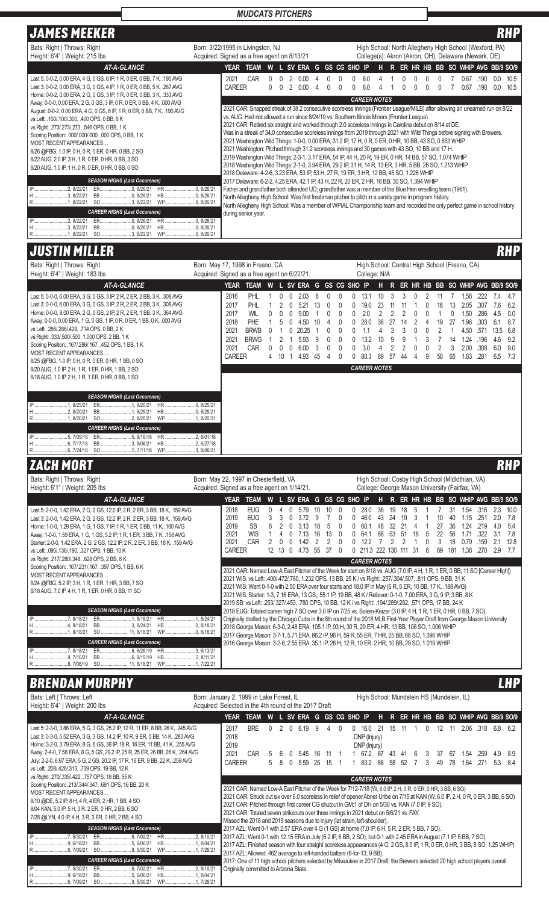# JAMES MEEKER RHP

## *MUDCATS PITCHERS*

| I JAMEƏ MEERER                                                                                                                                                                                                                                                                                                                                                                                                                                                                                                                 | mu                                                                                                                                                                                                                                                                                                                                                                                                                                                                                                                                                                                                                                                                                                                                                                                                                    |
|--------------------------------------------------------------------------------------------------------------------------------------------------------------------------------------------------------------------------------------------------------------------------------------------------------------------------------------------------------------------------------------------------------------------------------------------------------------------------------------------------------------------------------|-----------------------------------------------------------------------------------------------------------------------------------------------------------------------------------------------------------------------------------------------------------------------------------------------------------------------------------------------------------------------------------------------------------------------------------------------------------------------------------------------------------------------------------------------------------------------------------------------------------------------------------------------------------------------------------------------------------------------------------------------------------------------------------------------------------------------|
| Bats: Right   Throws: Right<br>Height: 6'4"   Weight: 215 lbs                                                                                                                                                                                                                                                                                                                                                                                                                                                                  | Born: 3/22/1995 in Livingston, NJ<br>High School: North Allegheny High School (Wexford, PA)<br>Acquired: Signed as a free agent on 8/13/21<br>College(s): Akron (Akron, OH), Delaware (Newark, DE)                                                                                                                                                                                                                                                                                                                                                                                                                                                                                                                                                                                                                    |
| <b>AT-A-GLANCE</b>                                                                                                                                                                                                                                                                                                                                                                                                                                                                                                             | W L SV ERA G GS CG SHO IP<br>R ER HR HB BB SO WHIP AVG BB/9 SO/9<br><b>TEAM</b><br>YEAR<br>Н.                                                                                                                                                                                                                                                                                                                                                                                                                                                                                                                                                                                                                                                                                                                         |
| Last 5: 0-0-2, 0.00 ERA, 4 G, 0 GS, 6 IP, 1 R, 0 ER, 0 BB, 7 K, .190 AVG<br>Last 3: 0-0-2, 0.00 ERA, 3 G, 0 GS, 4 IP, 1 R, 0 ER, 0 BB, 5 K, .267 AVG                                                                                                                                                                                                                                                                                                                                                                           | 2021<br>CAR<br>0.67<br>.190<br>0.0<br>10.5<br>0.00<br><b>CAREER</b><br>0.67<br>0.0<br>10.5<br>60<br>0.OQ<br>.190                                                                                                                                                                                                                                                                                                                                                                                                                                                                                                                                                                                                                                                                                                      |
| Home: 0-0-2, 0.00 ERA, 2 G, 0 GS, 3 IP, 1 R, 0 ER, 0 BB, 3 K, .333 AVG<br>Away: 0-0-0, 0.00 ERA, 2 G, 0 GS, 3 IP, 0 R, 0 ER, 0 BB, 4 K, .000 AVG<br>August: 0-0-2, 0.00 ERA, 4 G, 0 GS, 6 IP, 1 R, 0 ER, 0 BB, 7 K, .190 AVG<br>vs Left: .100/.100/.300, .400 OPS, 0 BB, 6 K<br>vs Right: .273/.273/.273, .546 OPS, 0 BB, 1 K<br>Scoring Position: .000/.000/.000, .000 OPS, 0 BB, 1 K<br>MOST RECENT APPEARANCES<br>8/26 @FBG, 1.0 IP, 0 H, 0 R, 0 ER, 0 HR, 0 BB, 2 SO<br>8/22 AUG, 2.0 IP, 3 H, 1 R, 0 ER, 0 HR, 0 BB, 3 SO | <b>CAREER NOTES</b><br>2021 CAR: Snapped streak of 38 2 consecutive scoreless innings (Frontier League/MiLB) after allowing an unearned run on 8/22<br>vs. AUG. Had not allowed a run since 8/24/19 vs. Southern Illinois Miners (Frontier League).<br>2021 CAR: Retired six straight and worked through 2.0 scoreless innings in Carolina debut on 8/14 at DE.<br>Was in a streak of 34.0 consecutive scoreless innings from 2019 through 2021 with Wild Things before signing with Brewers.<br>2021 Washington Wild Things: 1-0-0, 0.00 ERA, 31.2 IP, 17 H, 0 R, 0 ER, 0 HR, 10 BB, 43 SO, 0.853 WHIP<br>2021 Washington: Pitched through 31.2 scoreless innings and 30 games with 43 SO, 10 BB and 17 H.<br>2019 Washington Wild Things: 2-3-1, 3.17 ERA, 54 IP, 44 H, 20 R, 19 ER, 0 HR, 14 BB, 57 SO, 1.074 WHIP |
| 8/20 AUG, 1.0 IP, 1 H, 0 R, 0 ER, 0 HR, 0 BB, 0 SO<br><b>SEASON HIGHS (Last Occurence)</b><br>.2.8/22/21<br>0.8/26/21<br>ER<br>H3. 8/22/21<br>BB0, 8/26/21<br>SO 3, 8/22/21<br>WP0, 8/26/21<br><b>CAREER HIGHS (Last Occurence)</b><br>2.8/22/21<br>ER0, 8/26/21<br><b>HR</b>                                                                                                                                                                                                                                                  | 2018 Washington Wild Things: 2-1-0, 3.94 ERA, 29.2 IP, 31 H, 14 R, 13 ER, 3 HR, 5 BB, 26 SO, 1.213 WHIP<br>2018 Delaware: 4-2-6, 3.23 ERA, 53 IP, 53 H, 27 R, 19 ER, 3 HR, 12 BB, 45 SO, 1.226 WHIP<br>2017 Delaware: 6-2-2, 4.25 ERA, 42.1 IP, 43 H, 22 R, 20 ER, 2 HR, 16 BB, 30 SO, 1.394 WHIP<br>Father and grandfather both attended UD; grandfather was a member of the Blue Hen wrestling team (1961).<br>North Allegheny High School: Was first freshman pitcher to pitch in a varsity game in program history.<br>North Allegheny High School: Was a member of WPIAL Championship team and recorded the only perfect game in school history<br>during senior year.<br>.0, 8/26/21                                                                                                                            |
| <b>IP</b><br>H3, 8/22/21<br>SO 3, 8/22/21                                                                                                                                                                                                                                                                                                                                                                                                                                                                                      |                                                                                                                                                                                                                                                                                                                                                                                                                                                                                                                                                                                                                                                                                                                                                                                                                       |

# **JUSTIN MILLER**

| Bats: Right   Throws: Right<br>Height: 6'4"   Weight: 183 lbs                                                                                                                                                                                                                                                                                                                                                                                                                                                                                                                                                                                                     | Born: May 17, 1998 in Fresno, CA<br>High School: Central High School (Fresno, CA)<br>Acquired: Signed as a free agent on 6/22/21.<br>College: N/A                                                                                                                                                                                                                                                                                                                                                                                                                                                                                                      |                                                                                                                                                                                                                                                                                                                                                                                                                                                                                                                                                                                                                                                                                                                                                                                                                                                                                                                                                                                                                          |  |  |  |  |  |  |  |  |  |  |
|-------------------------------------------------------------------------------------------------------------------------------------------------------------------------------------------------------------------------------------------------------------------------------------------------------------------------------------------------------------------------------------------------------------------------------------------------------------------------------------------------------------------------------------------------------------------------------------------------------------------------------------------------------------------|--------------------------------------------------------------------------------------------------------------------------------------------------------------------------------------------------------------------------------------------------------------------------------------------------------------------------------------------------------------------------------------------------------------------------------------------------------------------------------------------------------------------------------------------------------------------------------------------------------------------------------------------------------|--------------------------------------------------------------------------------------------------------------------------------------------------------------------------------------------------------------------------------------------------------------------------------------------------------------------------------------------------------------------------------------------------------------------------------------------------------------------------------------------------------------------------------------------------------------------------------------------------------------------------------------------------------------------------------------------------------------------------------------------------------------------------------------------------------------------------------------------------------------------------------------------------------------------------------------------------------------------------------------------------------------------------|--|--|--|--|--|--|--|--|--|--|
| <b>AT-A-GLANCE</b>                                                                                                                                                                                                                                                                                                                                                                                                                                                                                                                                                                                                                                                | TEAM W L SV ERA G GS CG SHO IP<br><b>YEAR</b>                                                                                                                                                                                                                                                                                                                                                                                                                                                                                                                                                                                                          | H R ER HR HB BB SO WHIP AVG BB/9 SO/9                                                                                                                                                                                                                                                                                                                                                                                                                                                                                                                                                                                                                                                                                                                                                                                                                                                                                                                                                                                    |  |  |  |  |  |  |  |  |  |  |
| Last 5: 0-0-0, 6.00 ERA, 3 G, 0 GS, 3 IP, 2 R, 2 ER, 2 BB, 3 K, .308 AVG<br>Last 3: 0-0-0, 6.00 ERA, 3 G, 0 GS, 3 IP, 2 R, 2 ER, 2 BB, 3 K, .308 AVG<br>Home: 0-0-0, 9.00 ERA, 2 G, 0 GS, 2 IP, 2 R, 2 ER, 1 BB, 3 K, .364 AVG<br>Away: 0-0-0, 0.00 ERA, 1 G, 0 GS, 1 IP, 0 R, 0 ER, 1 BB, 0 K, .000 AVG<br>vs Left: .286/.286/.429, .714 OPS, 0 BB, 2 K<br>vs Right: .333/.500/.500, 1.000 OPS, 2 BB, 1 K<br>Scoring Position: .167/.286/.167, .452 OPS, 1 BB, 1 K<br>MOST RECENT APPEARANCES<br>8/25 @FBG, 1.0 IP, 0 H, 0 R, 0 ER, 0 HR, 1 BB, 0 SO<br>8/20 AUG, 1.0 IP, 2 H, 1 R, 1 ER, 0 HR, 1 BB, 2 SO<br>8/18 AUG, 1.0 IP, 2 H, 1 R, 1 ER, 0 HR, 0 BB, 1 SO | <b>PHL</b><br>2016<br>$\mathbf{0}$<br>$\mathbf{0}$<br>2.03<br>8<br>$\mathbf{0}$<br>$\mathbf{1}$<br>$\pmb{0}$<br>2017<br>PHL<br>$\mathbf{1}$<br>$\mathbf{2}$<br>$\overline{0}$<br>5.21<br>13<br><b>WIL</b><br>2017<br>0<br>0<br>0<br>9.00<br>$\overline{1}$<br>0<br>PHE<br>2018<br>$\mathbf{1}$<br>$\mathbf 0$<br>4.50<br>10<br>4<br>5<br>2021<br><b>BRWB</b><br>0<br>$0$ 20.25<br>0<br>$\mathbf{1}$<br>$\overline{1}$<br>2021<br><b>BRWG</b><br>5.93<br>9<br>0<br>$\overline{1}$<br>2<br>$\overline{1}$<br>2021<br>$\pmb{0}$<br>CAR<br>$\mathbf 0$<br>$0 \t 0 \t 6.00$<br>$\overline{\mathbf{3}}$<br><b>CAREER</b><br>4 10 1 4.93 45<br>$\overline{4}$ | 13.1<br>10<br>3<br>$\mathbf{0}$<br>0<br>3<br>$\mathbf{0}$<br>$\overline{2}$<br>1.58<br>.222<br>11<br>$\overline{7}$<br>7.4<br>4.7<br>11<br>19.0<br>23<br>13  2.05  .307  7.6<br>$\mathbf 0$<br>0<br>11<br>$\mathbf{1}$<br>0<br>16<br>6.2<br>0<br>2.0<br>$\overline{2}$<br>$\overline{2}$<br>2<br>1.50<br>.286<br>0<br>0<br>0<br>$\mathbf{1}$<br>0<br>4.5<br>0.0<br>27<br>28.0<br>36<br>14<br>$\overline{2}$<br>19<br>27<br>1.96<br>.303<br>$\mathbf{0}$<br>0<br>$\overline{4}$<br>6.1<br>8.7<br>3<br>3<br>$\overline{2}$<br>0<br>0<br>1.1<br>$\overline{4}$<br>0<br>0<br>$\mathbf{1}$<br>4.50<br>.571 13.5 6.8<br>9<br>$\mathbf{0}$<br>0<br>13.2<br>10<br>9<br>$\mathbf{1}$<br>3<br>$\overline{7}$<br>14<br>1.24<br>.196<br>4.6<br>9.2<br>3.0<br>$\overline{2}$<br>$\overline{2}$<br>$\mathbf 0$<br>$\mathbf 0$<br>$\overline{2}$<br>3<br>2.00<br>.308<br>$\mathbf 0$<br>0<br>4<br>6.0<br>9.0<br>65<br>$\mathbf 0$<br>0 80.3<br>89 57<br>-44<br>$\overline{4}$<br>58<br>1.83 .281 6.5<br>9<br>7.3<br><b>CAREER NOTES</b> |  |  |  |  |  |  |  |  |  |  |
| <b>SEASON HIGHS (Last Occurence)</b><br><b>CAREER HIGHS (Last Occurence)</b><br>HB2, 6/27/18<br>6, 7/24/18 SO 5, 7/11/18 WP 3, 8/06/21                                                                                                                                                                                                                                                                                                                                                                                                                                                                                                                            |                                                                                                                                                                                                                                                                                                                                                                                                                                                                                                                                                                                                                                                        |                                                                                                                                                                                                                                                                                                                                                                                                                                                                                                                                                                                                                                                                                                                                                                                                                                                                                                                                                                                                                          |  |  |  |  |  |  |  |  |  |  |
| <b>ZACH MORT</b>                                                                                                                                                                                                                                                                                                                                                                                                                                                                                                                                                                                                                                                  |                                                                                                                                                                                                                                                                                                                                                                                                                                                                                                                                                                                                                                                        | <b>RHP</b>                                                                                                                                                                                                                                                                                                                                                                                                                                                                                                                                                                                                                                                                                                                                                                                                                                                                                                                                                                                                               |  |  |  |  |  |  |  |  |  |  |
| Bats: Right   Throws: Right<br>Height: 6'1"   Weight: 205 lbs                                                                                                                                                                                                                                                                                                                                                                                                                                                                                                                                                                                                     | Born: May 22, 1997 in Chesterfield, VA<br>Acquired: Signed as a free agent on 1/14/21.                                                                                                                                                                                                                                                                                                                                                                                                                                                                                                                                                                 | High School: Cosby High School (Midlothian, VA)<br>College: George Mason University (Fairfax, VA)                                                                                                                                                                                                                                                                                                                                                                                                                                                                                                                                                                                                                                                                                                                                                                                                                                                                                                                        |  |  |  |  |  |  |  |  |  |  |
| <b>AT-A-GLANCE</b>                                                                                                                                                                                                                                                                                                                                                                                                                                                                                                                                                                                                                                                | <b>YEAR</b><br><b>TEAM</b><br>W L SV ERA<br>G                                                                                                                                                                                                                                                                                                                                                                                                                                                                                                                                                                                                          |                                                                                                                                                                                                                                                                                                                                                                                                                                                                                                                                                                                                                                                                                                                                                                                                                                                                                                                                                                                                                          |  |  |  |  |  |  |  |  |  |  |
| Last 5: 2-0-0, 1.42 ERA, 2 G, 2 GS, 12.2 IP, 2 R, 2 ER, 3 BB, 18 K, .159 AVG                                                                                                                                                                                                                                                                                                                                                                                                                                                                                                                                                                                      |                                                                                                                                                                                                                                                                                                                                                                                                                                                                                                                                                                                                                                                        | GS CG SHO IP<br>R ER HR HB BB SO WHIP AVG BB/9 SO/9<br>H.                                                                                                                                                                                                                                                                                                                                                                                                                                                                                                                                                                                                                                                                                                                                                                                                                                                                                                                                                                |  |  |  |  |  |  |  |  |  |  |
| Last 3: 2-0-0, 1.42 ERA, 2 G, 2 GS, 12.2 IP, 2 R, 2 ER, 3 BB, 18 K, .159 AVG<br>Home: 1-0-0, 1.29 ERA, 1 G, 1 GS, 7 IP, 1 R, 1 ER, 0 BB, 11 K, .160 AVG<br>Away: 1-0-0, 1.59 ERA, 1 G, 1 GS, 5.2 IP, 1 R, 1 ER, 3 BB, 7 K, .158 AVG<br>Starter: 2-0-0, 1.42 ERA, 2 G, 2 GS, 12.2 IP, 2 R, 2 ER, 3 BB, 18 K, .159 AVG<br>vs Left: .095/.136/.190, .327 OPS, 1 BB, 10 K<br>vs Right: .217/.280/.348, .628 OPS, 2 BB, 8 K                                                                                                                                                                                                                                            | <b>EUG</b><br>$\mathsf{0}$<br>$\overline{4}$<br>5.79<br>10<br>10<br>2018<br>$\mathbf 0$<br><b>EUG</b><br>3<br>3<br>$\mathbf 0$<br>3.72<br>9<br>2019<br>7<br>2019<br><b>SB</b><br>6<br>3.13<br>18<br>5<br>2<br>0<br>$0$ 7.13<br>2021<br><b>WIS</b><br>4<br>16<br>13<br>1<br>2021<br>CAR<br>2<br>$0\quad 0$<br>1.42<br>$\overline{2}$<br>2<br><b>CAREER</b><br>12 13 0 4.73 55 37 0                                                                                                                                                                                                                                                                      | 36<br>28.0<br>19<br>18<br>1.54 .316<br>$\mathbf 0$<br>$\mathbf{0}$<br>5<br>$\overline{7}$<br>31<br>2.3<br>10.0<br>$\mathbf{1}$<br>$\mathbf 0$<br>0<br>46.0<br>43 24<br>19<br>$\mathbf{3}$<br>10<br>40<br>1.15<br>$\mathbf{1}$<br>.251<br>2.0<br>7.8<br>60.1<br>48 32 21<br>$\overline{4}$<br>27<br>36<br>1.24<br>.219<br>4.0<br>0<br>$\mathbf{0}$<br>$\mathbf{1}$<br>5.4<br>88 53 51 18<br>$5\phantom{.0}$<br>22<br>0<br>0, 64.1<br>56<br>1.71<br>.322<br>- 3.1<br>7.8<br>2<br>$\mathbf{0}$<br>$\mathbf{0}$<br>12.2<br>$\overline{7}$<br>$\overline{2}$<br>$\overline{1}$<br>$\mathbf{0}$<br>3<br>18<br>0.79<br>.159<br>2.1<br>12.8<br>0 211.3 222 130 111 31 8 69 181 1.38 .270 2.9<br>7.7<br><b>CAREER NOTES</b>                                                                                                                                                                                                                                                                                                       |  |  |  |  |  |  |  |  |  |  |

| <b>BRENDAN MURPHY</b>                                                                                                                                                                                                                                 |                                                                                                   |                                                                                                                                                                                                                                                                                                                                                                                                                                                                                                                              |    |   |          |              |           |    |                |                                           |          |          |          |              |          |           |                                       |              |            | LHP        |
|-------------------------------------------------------------------------------------------------------------------------------------------------------------------------------------------------------------------------------------------------------|---------------------------------------------------------------------------------------------------|------------------------------------------------------------------------------------------------------------------------------------------------------------------------------------------------------------------------------------------------------------------------------------------------------------------------------------------------------------------------------------------------------------------------------------------------------------------------------------------------------------------------------|----|---|----------|--------------|-----------|----|----------------|-------------------------------------------|----------|----------|----------|--------------|----------|-----------|---------------------------------------|--------------|------------|------------|
| Bats: Left   Throws: Left<br>Height: 6'4"   Weight: 200 lbs                                                                                                                                                                                           | Born: January 2, 1999 in Lake Forest, IL<br>Acquired: Selected in the 4th round of the 2017 Draft |                                                                                                                                                                                                                                                                                                                                                                                                                                                                                                                              |    |   |          |              |           |    |                | High School: Mundelein HS (Mundelein, IL) |          |          |          |              |          |           |                                       |              |            |            |
| AT-A-GLANCE                                                                                                                                                                                                                                           | <b>YEAR</b>                                                                                       | TEAM                                                                                                                                                                                                                                                                                                                                                                                                                                                                                                                         | W  |   |          | L SV ERA     |           |    | G GS CG SHO IP |                                           |          |          |          |              |          |           | H R ER HR HB BB SO WHIP AVG BB/9 SO/9 |              |            |            |
| Last 5: 2-3-0, 3.86 ERA, 5 G, 3 GS, 25.2 IP, 12 R, 11 ER, 8 BB, 26 K, .245 AVG<br>Last 3: 0-3-0, 5.52 ERA, 3 G, 3 GS, 14.2 IP, 10 R, 9 ER, 5 BB, 14 K, .283 AVG<br>Home: 3-2-0, 3.79 ERA, 8 G, 6 GS, 38 IP, 18 R, 16 ER, 11 BB, 41 K, .255 AVG        | 2017<br>2018<br>2019                                                                              | <b>BRE</b>                                                                                                                                                                                                                                                                                                                                                                                                                                                                                                                   | 0  | 2 |          | 0 6.19       | 9         |    | $\Omega$       | 16.0<br>DNP (Injury)<br>DNP (Injury)      | -21      | 15       | 11       | $\mathbf{0}$ | 12       | 11        | 2.06                                  | .318         | 6.8        | 6.2        |
| Away: 2-4-0, 7.58 ERA, 8 G, 5 GS, 29.2 IP, 25 R, 25 ER, 26 BB, 26 K, .264 AVG<br>July: 2-2-0, 6.97 ERA, 5 G, 2 GS, 20.2 IP, 17 R, 16 ER, 9 BB, 22 K, .259 AVG<br>vs Left: .208/.426/.313, .739 OPS, 19 BB, 12 K                                       | 2021<br><b>CAREER</b>                                                                             | CAR                                                                                                                                                                                                                                                                                                                                                                                                                                                                                                                          | 5. | 8 | $\Omega$ | 5.45<br>5.59 | 16<br>-25 | 15 |                | 672<br>83.2                               | 67<br>88 | 43<br>58 | 41<br>52 | 3            | 37<br>49 | -67<br>78 | 1.54<br>1.64                          | .259<br>.271 | 4.9<br>5.3 | 8.9<br>8.4 |
| vs Right: .270/.335/.422, .757 OPS, 18 BB, 55 K                                                                                                                                                                                                       |                                                                                                   |                                                                                                                                                                                                                                                                                                                                                                                                                                                                                                                              |    |   |          |              |           |    |                | <b>CAREER NOTES</b>                       |          |          |          |              |          |           |                                       |              |            |            |
| Scoring Position: .213/.344/.347, .691 OPS, 16 BB, 20 K<br>MOST RECENT APPEARANCES<br>8/10 @DE, 5.2 IP, 8 H, 4 R, 4 ER, 2 HR, 1 BB, 4 SO<br>8/04 KAN, 5.0 IP, 5 H, 3 R, 2 ER, 0 HR, 2 BB, 6 SO<br>7/28 @LYN, 4.0 IP, 4 H, 3 R, 3 ER, 0 HR, 2 BB, 4 SO |                                                                                                   | 2021 CAR: Named Low-A East Pitcher of the Week for 7/12-7/18 (W, 6.0 IP, 2 H, 0 R, 0 ER, 0 HR, 3 BB, 6 SO)<br>2021 CAR: Struck out six over 6.0 scoreless in relief of opener Abner Uribe on 7/15 at KAN (W, 6.0 IP, 2 H, 0 R, 0 ER, 3 BB, 6 SO)<br>2021 CAR: Pitched through first career CG shutout in GM:1 of DH on 5/30 vs. KAN (7.0 IP, 9 SO).<br>2021 CAR: Totaled seven strikeouts over three innings in 2021 debut on 5/6/21 vs. FAY.<br>Missed the 2018 and 2019 seasons due to injury (lat strain, left-shoulder). |    |   |          |              |           |    |                |                                           |          |          |          |              |          |           |                                       |              |            |            |
| <b>SEASON HIGHS (Last Occurence)</b>                                                                                                                                                                                                                  |                                                                                                   | 2017 AZL: Went 0-1 with 2.57 ERA over 4 G (1 GS) at home (7.0 IP, 6 H, 5 R, 2 ER, 5 BB, 7 SO).                                                                                                                                                                                                                                                                                                                                                                                                                               |    |   |          |              |           |    |                |                                           |          |          |          |              |          |           |                                       |              |            |            |
| HR 2, 8/10/21<br>H9. 6/18/21<br>BB5, 6/06/21<br>WP1, 7/28/21                                                                                                                                                                                          |                                                                                                   | 2017 AZL: Went 0-1 with 12.15 ERA in July (6.2 IP, 6 BB, 2 SO), but 0-1 with 2.45 ERA in August (7.1 IP, 5 BB, 7 SO).<br>2017 AZL: Finished season with four straight scoreless appearances (4 G, 2 GS, 8.0 IP, 1 R, 0 ER, 0 HR, 3 BB, 8 SO, 1.25 WHIP)<br>2017 AZL: Allowed .462 average to left-handed batters (6-for-13, 9 BB).                                                                                                                                                                                           |    |   |          |              |           |    |                |                                           |          |          |          |              |          |           |                                       |              |            |            |
| <b>CAREER HIGHS (Last Occurence)</b><br>HR 2, 8/10/21<br>I IP<br>H9, 6/18/21<br>BB5, 6/06/21                                                                                                                                                          |                                                                                                   | 2017: One of 11 high school pitchers selected by Milwaukee in 2017 Draft; the Brewers selected 20 high school players overall.<br>Originally committed to Arizona State.                                                                                                                                                                                                                                                                                                                                                     |    |   |          |              |           |    |                |                                           |          |          |          |              |          |           |                                       |              |            |            |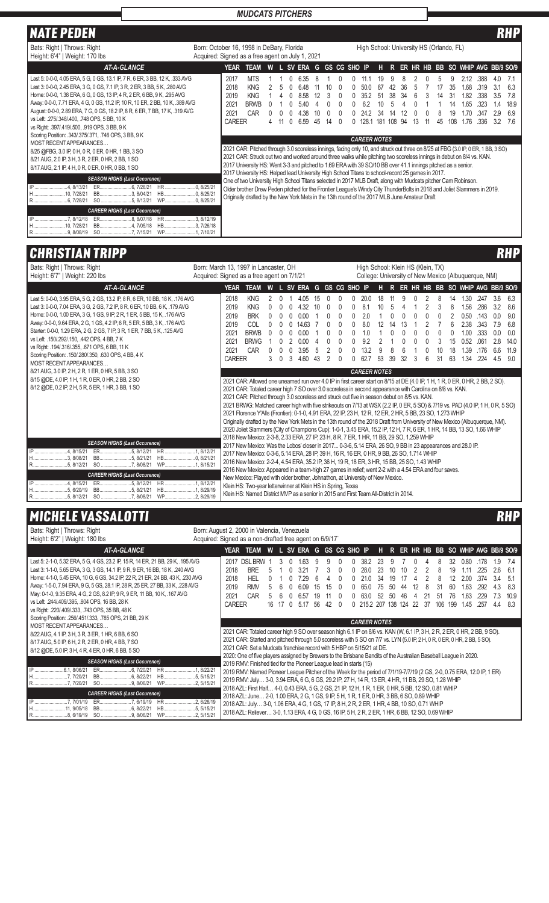| <b>INATE PEDEN</b>                                                                                                                                                                                                                                                                                                                                                                                                                                                                                      |                                                                                               |                                                                                                                                                                                                                                                                                                                                                                                                                                                                                                                                                                                                                                                                                                                                                                                                                         |    |          |                                          |    |    |              |                                          |                             |                  |                 |    |    |                             |                                              |                                           |                                      | RHP                                    |
|---------------------------------------------------------------------------------------------------------------------------------------------------------------------------------------------------------------------------------------------------------------------------------------------------------------------------------------------------------------------------------------------------------------------------------------------------------------------------------------------------------|-----------------------------------------------------------------------------------------------|-------------------------------------------------------------------------------------------------------------------------------------------------------------------------------------------------------------------------------------------------------------------------------------------------------------------------------------------------------------------------------------------------------------------------------------------------------------------------------------------------------------------------------------------------------------------------------------------------------------------------------------------------------------------------------------------------------------------------------------------------------------------------------------------------------------------------|----|----------|------------------------------------------|----|----|--------------|------------------------------------------|-----------------------------|------------------|-----------------|----|----|-----------------------------|----------------------------------------------|-------------------------------------------|--------------------------------------|----------------------------------------|
| Bats: Right   Throws: Right<br>Height: 6'4"   Weight: 170 lbs                                                                                                                                                                                                                                                                                                                                                                                                                                           | Born: October 16, 1998 in DeBary, Florida<br>Acquired: Signed as a free agent on July 1, 2021 |                                                                                                                                                                                                                                                                                                                                                                                                                                                                                                                                                                                                                                                                                                                                                                                                                         |    |          |                                          |    |    |              | High School: University HS (Orlando, FL) |                             |                  |                 |    |    |                             |                                              |                                           |                                      |                                        |
| <b>AT-A-GLANCE</b>                                                                                                                                                                                                                                                                                                                                                                                                                                                                                      |                                                                                               | <b>TEAM</b><br>YEAR                                                                                                                                                                                                                                                                                                                                                                                                                                                                                                                                                                                                                                                                                                                                                                                                     |    |          | W L SV ERA                               | G  |    | GS CG SHO IP |                                          | н                           |                  |                 |    |    |                             |                                              | R ER HR HB BB SO WHIP AVG BB/9 SO/9       |                                      |                                        |
| Last 5: 0-0-0, 4.05 ERA, 5 G, 0 GS, 13.1 IP, 7 R, 6 ER, 3 BB, 12 K, .333 AVG<br>Last 3: 0-0-0, 2.45 ERA, 3 G, 0 GS, 7.1 IP, 3 R, 2 ER, 3 BB, 5 K, .280 AVG<br>Home: 0-0-0, 1.38 ERA, 6 G, 0 GS, 13 IP, 4 R, 2 ER, 6 BB, 9 K, .295 AVG<br>Away: 0-0-0, 7.71 ERA, 4 G, 0 GS, 11.2 IP, 10 R, 10 ER, 2 BB, 10 K, .389 AVG<br>August: 0-0-0, 2.89 ERA, 7 G, 0 GS, 18.2 IP, 8 R, 6 ER, 7 BB, 17 K, .319 AVG<br>vs Left: .275/.348/.400, .748 OPS, 5 BB, 10 K<br>vs Right: .397/.419/.500, .919 OPS, 3 BB, 9 K | 2017<br>2018<br>2019<br>2021<br>2021                                                          | <b>MTS</b><br><b>KNG</b><br><b>KNG</b><br><b>BRWB</b><br>CAR<br><b>CAREER</b>                                                                                                                                                                                                                                                                                                                                                                                                                                                                                                                                                                                                                                                                                                                                           | 11 | $\Omega$ | 6.35<br>648<br>8.58<br>540<br>38<br>6.59 | 45 | 14 |              | 352<br>62<br>242<br>1281                 | 19<br>67<br>51<br>34<br>181 | 38.<br>14<br>108 | 36<br>34<br>.94 | 13 | 45 | 35<br>31<br>14<br>19<br>108 | 2.12<br>1.68<br>1.82<br>1.65<br>1.70<br>1.76 | .388<br>319<br>.338<br>323<br>347<br>.336 | 4.0<br>31<br>3.5<br>14<br>2.9<br>3.2 | 7.1<br>6.3<br>7.8<br>18.9<br>6.9<br>76 |
| Scoring Position: .343/.375/.371, .746 OPS, 3 BB, 9 K<br>MOST RECENT APPEARANCES<br>8/25 @FBG, 3.0 IP, 0 H, 0 R, 0 ER, 0 HR, 1 BB, 3 SO<br>8/21 AUG, 2.0 IP, 3 H, 3 R, 2 ER, 0 HR, 2 BB, 1 SO<br>8/17 AUG, 2.1 IP, 4 H, 0 R, 0 ER, 0 HR, 0 BB, 1 SO<br><b>SEASON HIGHS (Last Occurence)</b><br>HR 0, 8/25/21<br>H10, 7/28/21<br>HB0. 8/25/21<br>BB3, 8/04/21<br>WP0, 8/25/21                                                                                                                            |                                                                                               | 2021 CAR: Pitched through 3.0 scoreless innings, facing only 10, and struck out three on 8/25 at FBG (3.0 IP, 0 ER, 1 BB, 3 SO)<br>2021 CAR: Struck out two and worked around three walks while pitching two scoreless innings in debut on 8/4 vs. KAN.<br>2017 University HS: Went 3-3 and pitched to 1.69 ERA with 39 SO/10 BB over 41.1 innings pitched as a senior.<br>2017 University HS: Helped lead University High School Titans to school-record 25 games in 2017.<br>One of two University High School Titans selected in 2017 MLB Draft, along with Mudcats pitcher Cam Robinson.<br>Older brother Drew Peden pitched for the Frontier League's Windy City ThunderBolts in 2018 and Joliet Slammers in 2019.<br>Originally drafted by the New York Mets in the 13th round of the 2017 MLB June Amateur Draft |    |          |                                          |    |    |              | <b>CAREER NOTES</b>                      |                             |                  |                 |    |    |                             |                                              |                                           |                                      |                                        |
| <b>CAREER HIGHS (Last Occurence)</b><br>HR3.8/12/19<br>H10, 7/28/21<br>BB4, 7/05/18<br>HB3, 7/26/18<br>R9, 8/08/19 SO 7, 7/15/21<br>WP1, 7/10/21                                                                                                                                                                                                                                                                                                                                                        |                                                                                               |                                                                                                                                                                                                                                                                                                                                                                                                                                                                                                                                                                                                                                                                                                                                                                                                                         |    |          |                                          |    |    |              |                                          |                             |                  |                 |    |    |                             |                                              |                                           |                                      |                                        |

# **CHRISTIAN TRIPP**

| Bats: Right   Throws: Right<br>Height: 6'7"   Weight: 220 lbs                                                                                                                                                                                                                                                                                                                                                                                                                                                                                                                          | Born: March 13, 1997 in Lancaster, OH<br>High School: Klein HS (Klein, TX)<br>College: University of New Mexico (Albuquerque, NM)<br>Acquired: Signed as a free agent on 7/1/21                                                                                                                                                                                                                                                                                                                                                                                                                                                                                                                                                                                                                                                                                                                                                                                                                                                                            |                                                                                                                                                                                                                                                                                                                                                                                                                                                                                                                                                                                                                  |  |  |  |  |  |  |  |  |  |  |  |
|----------------------------------------------------------------------------------------------------------------------------------------------------------------------------------------------------------------------------------------------------------------------------------------------------------------------------------------------------------------------------------------------------------------------------------------------------------------------------------------------------------------------------------------------------------------------------------------|------------------------------------------------------------------------------------------------------------------------------------------------------------------------------------------------------------------------------------------------------------------------------------------------------------------------------------------------------------------------------------------------------------------------------------------------------------------------------------------------------------------------------------------------------------------------------------------------------------------------------------------------------------------------------------------------------------------------------------------------------------------------------------------------------------------------------------------------------------------------------------------------------------------------------------------------------------------------------------------------------------------------------------------------------------|------------------------------------------------------------------------------------------------------------------------------------------------------------------------------------------------------------------------------------------------------------------------------------------------------------------------------------------------------------------------------------------------------------------------------------------------------------------------------------------------------------------------------------------------------------------------------------------------------------------|--|--|--|--|--|--|--|--|--|--|--|
| <b>AT-A-GLANCE</b>                                                                                                                                                                                                                                                                                                                                                                                                                                                                                                                                                                     | <b>YEAR</b><br><b>TEAM</b>                                                                                                                                                                                                                                                                                                                                                                                                                                                                                                                                                                                                                                                                                                                                                                                                                                                                                                                                                                                                                                 | W L SV ERA G GS CG SHO IP<br>R ER HR HB BB SO WHIP AVG BB/9 SO/9<br>H                                                                                                                                                                                                                                                                                                                                                                                                                                                                                                                                            |  |  |  |  |  |  |  |  |  |  |  |
| Last 5: 0-0-0, 3.95 ERA, 5 G, 2 GS, 13.2 IP, 8 R, 6 ER, 10 BB, 18 K, .176 AVG<br>Last 3: 0-0-0, 7.04 ERA, 3 G, 2 GS, 7.2 IP, 8 R, 6 ER, 10 BB, 6 K, .179 AVG<br>Home: 0-0-0, 1.00 ERA, 3 G, 1 GS, 9 IP, 2 R, 1 ER, 5 BB, 15 K, .176 AVG<br>Away: 0-0-0, 9.64 ERA, 2 G, 1 GS, 4.2 IP, 6 R, 5 ER, 5 BB, 3 K, .176 AVG<br>Starter: 0-0-0, 1.29 ERA, 2 G, 2 GS, 7 IP, 3 R, 1 ER, 7 BB, 5 K, .125 AVG<br>vs Left: .150/.292/.150, .442 OPS, 4 BB, 7 K<br>vs Right: .194/.316/.355, .671 OPS, 6 BB, 11 K<br>Scoring Position: .150/.280/.350, .630 OPS, 4 BB, 4 K<br>MOST RECENT APPEARANCES | 2018<br><b>KNG</b><br>2019<br><b>KNG</b><br><b>BRK</b><br>2019<br>$\Omega$<br>2019<br>COL<br>2021<br><b>BRWB</b><br>2021<br><b>BRWG</b><br>CAR<br>2021<br><b>CAREER</b>                                                                                                                                                                                                                                                                                                                                                                                                                                                                                                                                                                                                                                                                                                                                                                                                                                                                                    | 20.0<br>3.6<br>4.05<br>18<br>8<br>1.30<br>.247<br>6.3<br>15<br>11<br>g<br>14<br>.286<br>4.32<br>8.1<br>3<br>1.56<br>3.2<br>10<br>10<br>8<br>8.6<br>5<br>2.0<br>0.50<br>.143<br>0.0<br>9.0<br>0.00<br>0<br>0<br>0<br>2.38<br>8.0<br>12<br>6<br>.343<br>7.9<br>6.8<br>14.63<br>0<br>14<br>13<br>1.0<br>.333<br>0.00<br>1.00<br>0.0<br>0<br>$\Omega$<br>0<br>0.0<br>0<br>O<br>9.2<br>0.52<br>061<br>2.8<br>0.00<br>3<br>15<br>14.0<br>3.95<br>13.2<br>18<br>1.39<br>.176<br>6.6<br>11.9<br>$\mathfrak{p}$<br>31<br>63<br>1.34<br>.224<br>460<br>627<br>53<br>39<br>32<br>3<br>4.5<br>90<br>43                       |  |  |  |  |  |  |  |  |  |  |  |
| 8/21 AUG, 3.0 IP, 2 H, 2 R, 1 ER, 0 HR, 5 BB, 3 SO<br>8/15 @DE, 4.0 IP, 1 H, 1 R, 0 ER, 0 HR, 2 BB, 2 SO<br>8/12 @DE, 0.2 IP, 2 H, 5 R, 5 ER, 1 HR, 3 BB, 1 SO                                                                                                                                                                                                                                                                                                                                                                                                                         |                                                                                                                                                                                                                                                                                                                                                                                                                                                                                                                                                                                                                                                                                                                                                                                                                                                                                                                                                                                                                                                            | <b>CAREER NOTES</b><br>2021 CAR: Allowed one unearned run over 4.0 IP in first career start on 8/15 at DE (4.0 IP, 1 H, 1 R, 0 ER, 0 HR, 2 BB, 2 SO).<br>2021 CAR: Totaled career high 7 SO over 3.0 scoreless in second appearance with Carolina on 8/8 vs. KAN.<br>2021 CAR: Pitched through 3.0 scoreless and struck out five in season debut on 8/5 vs. KAN.<br>2021 BRWG: Matched career high with five strikeouts on 7/13 at WSX (2.2 IP, 0 ER, 5 SO) & 7/19 vs. PAD (4.0 IP, 1 H, 0 R, 5 SO)<br>2021 Florence Y'Alls (Frontier): 0-1-0, 4.91 ERA, 22 IP, 23 H, 12 R, 12 ER, 2 HR, 5 BB, 23 SO, 1.273 WHIP |  |  |  |  |  |  |  |  |  |  |  |
| <b>SEASON HIGHS (Last Occurence)</b><br>IP<br>4.8/15/21<br><b>HR</b><br>H3, 8/08/21<br>BB5, 8/21/21<br><b>CAREER HIGHS (Last Occurence)</b><br>.4.8/15/21<br>IP<br>HR.<br>.5.6/20/19<br>BB5, 8/21/21<br>HB<br>WP2. 8/29/19                                                                                                                                                                                                                                                                                                                                                             | Originally drafted by the New York Mets in the 13th round of the 2018 Draft from University of New Mexico (Albuquerque, NM).<br>2020 Joliet Slammers (City of Champions Cup): 1-0-1, 3.45 ERA, 15.2 IP, 12 H, 7 R, 6 ER, 1 HR, 14 BB, 13 SO, 1.66 WHIP<br>2018 New Mexico: 2-3-8, 2.33 ERA, 27 IP, 23 H, 8 R, 7 ER, 1 HR, 11 BB, 29 SO, 1.259 WHIP<br>2017 New Mexico: Was the Lobos' closer in 2017 0-3-6, 5.14 ERA, 26 SO, 9 BB in 23 appearances and 28.0 IP.<br>.1.8/12/21<br>2017 New Mexico: 0-3-6, 5.14 ERA, 28 IP, 39 H, 16 R, 16 ER, 0 HR, 9 BB, 26 SO, 1.714 WHIP<br>2016 New Mexico: 2-2-4, 4.54 ERA, 35.2 IP, 36 H, 19 R, 18 ER, 3 HR, 15 BB, 25 SO, 1.43 WHIP<br>2016 New Mexico: Appeared in a team-high 27 games in relief; went 2-2 with a 4.54 ERA and four saves.<br>New Mexico: Played with older brother, Johnathon, at University of New Mexico.<br>.1.8/12/21<br>Klein HS: Two-year letterwinner at Klein HS in Spring, Texas<br>.1.8/29/19<br>Klein HS: Named District MVP as a senior in 2015 and First Team All-District in 2014. |                                                                                                                                                                                                                                                                                                                                                                                                                                                                                                                                                                                                                  |  |  |  |  |  |  |  |  |  |  |  |
| <b>MICHELE VASSALOTTI</b>                                                                                                                                                                                                                                                                                                                                                                                                                                                                                                                                                              |                                                                                                                                                                                                                                                                                                                                                                                                                                                                                                                                                                                                                                                                                                                                                                                                                                                                                                                                                                                                                                                            | <b>RHP</b>                                                                                                                                                                                                                                                                                                                                                                                                                                                                                                                                                                                                       |  |  |  |  |  |  |  |  |  |  |  |

| Bats: Right   Throws: Right<br>Height: 6'2"   Weight: 180 lbs                                                                                                                                                                                                                                                                                                                                                                                                                                                                             | Born: August 2, 2000 in Valencia, Venezuela<br>Acquired: Signed as a non-drafted free agent on 6/9/17                                                                                                                                                                                                                                                                                                                                                                                                |                                         |  |  |  |  |  |  |  |  |  |  |  |  |
|-------------------------------------------------------------------------------------------------------------------------------------------------------------------------------------------------------------------------------------------------------------------------------------------------------------------------------------------------------------------------------------------------------------------------------------------------------------------------------------------------------------------------------------------|------------------------------------------------------------------------------------------------------------------------------------------------------------------------------------------------------------------------------------------------------------------------------------------------------------------------------------------------------------------------------------------------------------------------------------------------------------------------------------------------------|-----------------------------------------|--|--|--|--|--|--|--|--|--|--|--|--|
| <b>AT-A-GLANCE</b>                                                                                                                                                                                                                                                                                                                                                                                                                                                                                                                        | L SV ERA G GS CG SHO IP<br>ER HR HB BB SO WHIP AVG BB/9 SO/9<br><b>YEAR</b><br>TEAM<br>W<br>HR.                                                                                                                                                                                                                                                                                                                                                                                                      |                                         |  |  |  |  |  |  |  |  |  |  |  |  |
| Last 5: 2-1-0, 5.32 ERA, 5 G, 4 GS, 23.2 IP, 15 R, 14 ER, 21 BB, 29 K, .195 AVG<br>Last 3: 1-1-0, 5.65 ERA, 3 G, 3 GS, 14.1 IP, 9 R, 9 ER, 16 BB, 18 K, .240 AVG<br>Home: 4-1-0, 5.45 ERA, 10 G, 6 GS, 34.2 IP, 22 R, 21 ER, 24 BB, 43 K, .230 AVG<br>Away: 1-5-0, 7.94 ERA, 9 G, 5 GS, 28.1 IP, 28 R, 25 ER, 27 BB, 33 K, .228 AVG<br>May: 0-1-0, 9.35 ERA, 4 G, 2 GS, 8.2 IP, 9 R, 9 ER, 11 BB, 10 K, .167 AVG<br>vs Left: .244/.409/.395, .804 OPS, 16 BB, 28 K<br>vs Right: .220/.409/.333, .743 OPS, 35 BB, 48 K                     | <b>DSL BRW</b><br>2017<br>1.9<br>38.2<br>0.80<br>178<br>-63<br>2018<br>2.6<br><b>BRE</b><br>3.21<br>28 O<br>225<br>19<br>2018<br><b>HFI</b><br>34<br>374<br>34<br>2019<br><b>RMV</b><br>1.63<br>4.3<br>.292<br>6.09<br>60<br>65 C<br>50<br>$\sqrt{2}$<br>2021<br>CAR<br>1,63<br>7.3<br>6.57<br>46<br>19<br>63 O<br>229<br>ĥ<br>-52<br>50<br>51<br>76<br><b>CAREER</b><br>16 17<br>0, 5.17<br>56<br>42<br>215.2 207 138 124<br>-22<br>37<br>106<br>199<br>1.45<br>.257<br>4.4<br>$\Omega$<br>$\Omega$ | 7.4<br>6.1<br>-51<br>8.3<br>10.9<br>8.3 |  |  |  |  |  |  |  |  |  |  |  |  |
| Scoring Position: .256/.451/.333, .785 OPS, 21 BB, 29 K<br>MOST RECENT APPEARANCES                                                                                                                                                                                                                                                                                                                                                                                                                                                        | <b>CAREER NOTES</b>                                                                                                                                                                                                                                                                                                                                                                                                                                                                                  |                                         |  |  |  |  |  |  |  |  |  |  |  |  |
| 8/22 AUG, 4.1 IP, 3 H, 3 R, 3 ER, 1 HR, 6 BB, 6 SO<br>8/17 AUG, 5.0 IP, 6 H, 2 R, 2 ER, 0 HR, 4 BB, 7 SO<br>8/12 @DE, 5.0 IP, 3 H, 4 R, 4 ER, 0 HR, 6 BB, 5 SO                                                                                                                                                                                                                                                                                                                                                                            | 2021 CAR: Totaled career high 9 SO over season high 6.1 IP on 8/6 vs. KAN (W, 6.1 IP, 3 H, 2 R, 2 ER, 0 HR, 2 BB, 9 SO).<br>2021 CAR: Started and pitched through 5.0 scoreless with 5 SO on 7/7 vs. LYN (5.0 IP, 2 H, 0 R, 0 ER, 0 HR, 2 BB, 5 SO).<br>2021 CAR: Set a Mudcats franchise record with 5 HBP on 5/15/21 at DE.<br>2020: One of five players assigned by Brewers to the Brisbane Bandits of the Australian Baseball League in 2020.                                                    |                                         |  |  |  |  |  |  |  |  |  |  |  |  |
| <b>SEASON HIGHS (Last Occurence)</b>                                                                                                                                                                                                                                                                                                                                                                                                                                                                                                      | 2019 RMV: Finished tied for the Pioneer League lead in starts (15)                                                                                                                                                                                                                                                                                                                                                                                                                                   |                                         |  |  |  |  |  |  |  |  |  |  |  |  |
| HR<br>1, 8/22/21<br>2019 RMV: Named Pioneer League Pitcher of the Week for the period of 7/1/19-7/7/19 (2 GS, 2-0, 0.75 ERA, 12.0 IP, 1 ER)<br>H7, 7/20/21<br>2019 RMV: July 3-0, 3.94 ERA, 6 G, 6 GS, 29.2 IP, 27 H, 14 R, 13 ER, 4 HR, 11 BB, 29 SO, 1.28 WHIP<br>R7,7/20/21 SO 9,8/06/21 WP2,5/15/21                                                                                                                                                                                                                                   |                                                                                                                                                                                                                                                                                                                                                                                                                                                                                                      |                                         |  |  |  |  |  |  |  |  |  |  |  |  |
| 2018 AZL: First Half 4-0, 0.43 ERA, 5 G, 2 GS, 21 IP, 12 H, 1 R, 1 ER, 0 HR, 5 BB, 12 SO, 0.81 WHIP<br><b>CAREER HIGHS (Last Occurence)</b><br>2018 AZL: June 2-0, 1.00 ERA, 2 G, 1 GS, 9 IP, 5 H, 1 R, 1 ER, 0 HR, 3 BB, 6 SO, 0.89 WHIP<br>ER7, 6/19/19<br>HR 2, 6/26/19<br>2018 AZL: July 3-0, 1.06 ERA, 4 G, 1 GS, 17 IP, 8 H, 2 R, 2 ER, 1 HR, 4 BB, 10 SO, 0.71 WHIP<br>H 11, 9/05/18<br>2018 AZL: Reliever 3-0, 1.13 ERA, 4 G, 0 GS, 16 IP, 5 H, 2 R, 2 ER, 1 HR, 6 BB, 12 SO, 0.69 WHIP<br>R8, 6/19/19 SO 9, 8/06/21 WP2, 5/15/21 |                                                                                                                                                                                                                                                                                                                                                                                                                                                                                                      |                                         |  |  |  |  |  |  |  |  |  |  |  |  |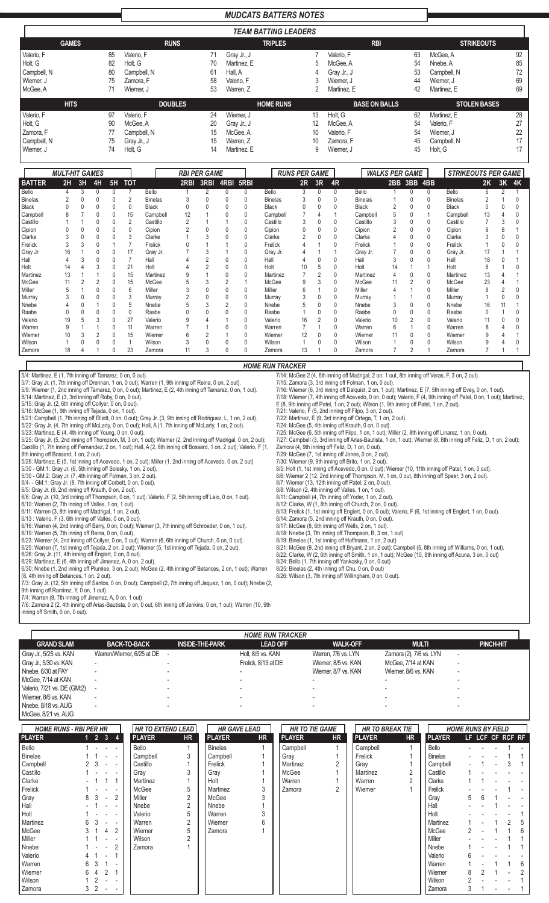## *MUDCATS BATTERS NOTES*

|             | <b>TEAM BATTING LEADERS</b> |    |             |                |             |                  |             |                      |             |                     |  |  |  |  |  |
|-------------|-----------------------------|----|-------------|----------------|-------------|------------------|-------------|----------------------|-------------|---------------------|--|--|--|--|--|
|             | <b>GAMES</b>                |    |             | <b>RUNS</b>    |             | <b>TRIPLES</b>   |             | <b>RBI</b>           |             | <b>STRIKEOUTS</b>   |  |  |  |  |  |
| Valerio, F  |                             | 85 | Valerio, F  | 71             | Gray Jr., J |                  | Valerio, F  | 63                   | McGee, A    | 92                  |  |  |  |  |  |
| Holt, G     |                             | 82 | Holt, G     | 70             | Martinez. E | 5                | McGee, A    | 54                   | Nnebe, A    | 85                  |  |  |  |  |  |
| Campbell, N |                             | 80 | Campbell, N | 61             | Hall, A     | 4                | Gray Jr., J | 53                   | Campbell, N | 72                  |  |  |  |  |  |
| Wiemer, J   |                             | 75 | Zamora, F   | 58             | Valerio, F  | 3                | Wiemer, J   | 44                   | Wiemer, J   | 69                  |  |  |  |  |  |
| McGee, A    |                             | 71 | Wiemer, J   | 53             | Warren, Z   | 2                | Martinez, E | 42                   | Martinez. E | 69                  |  |  |  |  |  |
|             | <b>HITS</b>                 |    |             | <b>DOUBLES</b> |             | <b>HOME RUNS</b> |             | <b>BASE ON BALLS</b> |             | <b>STOLEN BASES</b> |  |  |  |  |  |
| Valerio, F  |                             | 97 | Valerio. F  | 24             | Wiemer. J   | 13               | Holt, G     | 62                   | Martinez. E | 28                  |  |  |  |  |  |
| Holt, G     |                             | 90 | McGee, A    | 20             | Gray Jr., J | 12               | McGee, A    | 54                   | Valerio, F  | 27                  |  |  |  |  |  |
| Zamora, F   |                             | 77 | Campbell, N | 15             | McGee, A    | 10               | Valerio, F  | 54                   | Wiemer. J   | 22                  |  |  |  |  |  |
| Campbell, N |                             | 75 | Gray Jr., J | 15             | Warren, Z   | 10               | Zamora, F   | 45                   | Campbell, N | 17                  |  |  |  |  |  |
| Wiemer, J   |                             | 74 | Holt, G     | 14             | Martinez, E | 9                | Wiemer, J   | 45                   | Holt, G     | 17                  |  |  |  |  |  |

|               | <b>MULT-HIT GAMES</b> |    |        |    |            |                |      | <b>RBI PER GAME</b> |   |           |                | <b>RUNS PER GAME</b> |          |              |                | <b>WALKS PER GAME</b> |             |   | <b>STRIKEOUTS PER GAME</b> |              |    |    |
|---------------|-----------------------|----|--------|----|------------|----------------|------|---------------------|---|-----------|----------------|----------------------|----------|--------------|----------------|-----------------------|-------------|---|----------------------------|--------------|----|----|
| <b>BATTER</b> | 2H                    | 3H | 4H     | 5H | <b>TOT</b> |                | 2RBI | 3RBI                |   | 4RBI 5RBI |                | 2R                   | 3R       | 4R           |                |                       | 2BB 3BB 4BB |   |                            | 2K           | 3K | 4K |
| Bello         |                       | 3  | 0      |    |            | Bello          |      |                     | 0 | 0         | Bello          |                      |          | $\mathbf{0}$ | Bello          |                       |             |   | Bello                      | 6            |    |    |
| Binelas       |                       |    |        |    |            | <b>Binelas</b> |      |                     |   |           | <b>Binelas</b> |                      |          |              | <b>Binelas</b> |                       |             |   | <b>Binelas</b>             |              |    |    |
| Black         |                       | 0  | 0      |    | 0          | <b>Black</b>   |      |                     |   |           | Black          |                      |          |              | <b>Black</b>   | 2                     |             | 0 | <b>Black</b>               |              |    |    |
| Campbell      |                       |    |        |    | 15         | Campbell       | 12   |                     |   |           | Campbell       |                      |          |              | Campbell       |                       |             |   | Campbell                   | 13           |    |    |
| Castillo      |                       |    |        |    |            | Castillo       |      |                     |   |           | Castillo       |                      |          |              | Castillo       |                       |             | 0 | Castillo                   |              |    |    |
| Cipion        |                       |    |        |    |            | Cipion         |      |                     |   |           | Cipion         |                      |          |              | Cipion         |                       |             | 0 | Cipion                     |              |    |    |
| Clarke        |                       |    |        |    |            | Clarke         |      |                     |   |           | Clarke         |                      |          |              | Clarke         |                       |             | 0 | Clarke                     |              |    |    |
| Frelick       | $\mathcal{R}$         |    |        |    |            | Frelick        |      |                     |   |           | Frelick        |                      |          |              | Frelick        |                       |             | 0 | Frelick                    |              |    |    |
| Gray Jr.      | 16                    |    | 0      |    | 17         | Gray Jr.       |      |                     |   |           | Gray Jr.       |                      |          |              | Gray Jr.       |                       | 0           | 0 | Gray Jr.                   | 17           |    |    |
| Hall          |                       |    |        |    |            | Hall           |      |                     |   |           | Hall           |                      |          |              | Hall           | 3                     |             | 0 | Hall                       | 18           |    |    |
| Holt          | 14                    |    | 3      |    | 21         | Holt           |      |                     |   | $\Omega$  | Holt           | 10                   | 5        |              | Holt           |                       |             |   | Holt                       | 8            |    |    |
| Martinez      | 13                    |    |        |    | 15         | Martinez       |      |                     |   |           | Martinez       |                      | $\Omega$ |              | Martinez       |                       |             | 0 | Martinez                   | 13           |    |    |
| McGee         | 11                    |    | 2      |    | 15         | McGee          |      | 3                   |   |           | McGee          | 9                    | $\sim$   |              | McGee          | 11                    | 2           | 0 | McGee                      | 23           |    |    |
| Miller        | 5                     |    |        |    | 6          | Miller         |      |                     |   | $\Omega$  | Miller         |                      |          |              | Miller         |                       |             | 0 | Miller                     | 8            |    |    |
| Murray        |                       |    |        |    |            | Murray         |      |                     |   | 0         | Murray         |                      |          |              | Murray         |                       |             | 0 | Murray                     |              |    |    |
| Nnebe         |                       |    |        |    | b          | Nnebe          |      |                     |   |           | Nnebe          |                      |          |              | Nnebe          | 3                     |             | 0 | Nnebe                      | 16           |    |    |
| Raabe         |                       |    |        |    | 0          | Raabe          |      |                     |   |           | Raabe          |                      |          |              | Raabe          |                       |             | 0 | Raabe                      | $\mathbf{0}$ |    |    |
| Valerio       | 19                    |    |        |    | 27         | Valerio        | 9    |                     |   |           | Valerio        | 16                   | ∩        |              | Valerio        | 10                    | 2           | 0 | Valerio                    | 11           |    |    |
| Warren        |                       |    |        |    | 11         | Warren         |      |                     |   |           | Warren         |                      |          |              | Warren         | 6                     |             | 0 | Warren                     |              |    |    |
| Wiemer        | 10                    |    | $\sim$ |    | 15         | Wiemer         | 6    |                     |   |           | Wiemer         | 12                   |          | 0            | Wiemer         |                       | 0           | 0 | Wiemer                     |              |    |    |
| Wilson        |                       |    |        |    |            | Wilson         |      |                     |   |           | Wilson         |                      |          |              | Wilson         |                       |             | 0 | Wilson                     |              |    |    |
| Zamora        | 18                    |    |        |    | 23         | Zamora         | 11   |                     |   |           | Zamora         | 13                   |          |              | Zamora         |                       | 2           |   | Zamora                     |              |    |    |

*HOME RUN TRACKER*

7/14: McGee 2 (4, 6th inning off Madrigal, 2 on, 1 out, 8th inning off Veras, F, 3 on, 2 out).

7/25: McGee (6, 5th inning off Filpo, 1 on, 1 out); Miller (2, 8th inning off Linarez, 1 on, 0 out).

8/5: Holt (1, 1st inning off Acevedo, 0 on, 0 out); Wiemer (10, 11th inning off Patel, 1 on, 0 out). 8/6: Wiemer 2 (12, 2nd inning off Thompson, M, 1 on, 0 out, 8th inning off Speer, 3 on, 2 out).

8/13: Frelick (1, 1st inning off Englert, 0 on, 0 out); Valerio, F (6, 1st inning off Englert, 1 on, 0 out).

8/21: McGee (9, 2nd inning off Bryant, 2 on, 2 out); Campbell (5, 8th inning off Williams, 0 on, 1 out). 8/22: Clarke, W (2, 6th inning off Smith, 1 on, 1 out); McGee (10, 8th inning off Acuna, 3 on, 0 out)

7/27: Campbell (3, 3rd inning off Arias-Bautista, 1 on, 1 out); Wiemer (8, 8th inning off Feliz, D, 1 on, 2 out);

E (8, 9th inning off Patel, 1 on, 2 out); Wilson (1, 9th inning off Patel, 1 on, 2 out).

7/16: Wiemer (6, 3rd inning off Dalquist, 2 on, 1 out); Martinez, E (7, 5th inning off Evey, 0 on, 1 out). 7/18: Wiemer (7, 4th inning off Acevedo, 0 on, 0 out); Valerio, F (4, 9th inning off Patel, 0 on, 1 out); Martinez,

7/15: Zamora (3, 3rd inning off Folman, 1 on, 0 out).

7/21: Valerio, F (5, 2nd inning off Filpo, 3 on, 2 out). 7/22: Martinez, E (9, 3rd inning off Ortega, T, 1 on, 2 out). 7/24: McGee (5, 4th inning off Krauth, 0 on, 0 out).

Zamora (4, 9th inning off Feliz, D, 1 on, 0 out). 7/29: McGee (7, 1st inning off Jones, 0 on, 2 out). 7/30: Wiemer (9, 9th inning off Brito, 1 on, 2 out).

8/7: Wiemer (13, 12th inning off Patel, 2 on, 0 out). 8/8: Wilson (2, 4th inning off Valles, 1 on, 1 out). 8/11: Campbell (4, 7th inning off Yoder, 1 on, 2 out). 8/12: Clarke, W (1, 8th inning off Church, 2 on, 0 out).

8/14: Zamora (5, 2nd inning off Krauth, 0 on, 0 out). 8/17: McGee (8, 6th inning off Wells, 2 on, 1 out). 8/18: Nnebe (3, 7th inning off Thompson, B, 3 on, 1 out) 8/19: Binelas (1, 1st inning off Hoffmann, 1 on, 2 out)

8/24: Bello (1, 7th inning off Yankosky, 0 on, 0 out) 8/25: Binelas (2, 4th inning off Chu, 0 on, 0 out) 8/26: Wilson (3, 7th inning off Willingham, 0 on, 0 out).

5/4: Martinez, E (1, 7th inning off Tamarez, 0 on, 0 out).

5/7: Gray Jr. (1, 7th inning off Drennan, 1 on, 0 out); Warren (1, 9th inning off Reina, 0 on, 2 out).

5/9: Wiemer (1, 2nd inning off Tamarez, 0 on, 0 out); Martinez, E (2, 4th inning off Tamarez, 0 on, 1 out).

5/14: Martinez, E (3, 3rd inning off Roby, 0 on, 0 out).

5/15: Gray Jr. (2, 6th inning off Collyer, 0 on, 0 out). 5/16: McGee (1, 9th inning off Tejada, 0 on, 1 out).

5/21: Campbell (1, 7th inning off Elliott, 0 on, 0 out); Gray Jr. (3, 9th inning off Rodriguez, L, 1 on, 2 out).

5/22: Gray Jr. (4, 7th inning off McLarty, 0 on, 0 out); Hall, A (1, 7th inning off McLarty, 1 on, 2 out).

5/23: Martinez, E (4, 4th inning off Young, 0 on, 0 out). 5/25: Gray Jr. (5, 2nd inning off Thompson, M, 3 on, 1 out); Wiemer (2, 2nd inning off Madrigal, 0 on, 2 out); Castillo (1, 7th inning off Fernandez, 2 on, 1 out); Hall, A (2, 8th inning off Bossard, 1 on, 2 out); Valerio, F (1,

8th inning off Bossard, 1 on, 2 out).

5/26: Martinez, E (5, 1st inning off Acevedo, 1 on, 2 out); Miller (1, 2nd inning off Acevedo, 0 on, 2 out)

5/30 - GM:1: Gray Jr. (6, 5th inning off Solesky, 1 on, 2 out).

5/30 - GM:2: Gray Jr. (7, 4th inning off Folman, 3 on, 2 out).

6/4- - GM:1: Gray Jr. (8, 7th inning off Corbett, 0 on, 0 out).

6/5: Gray Jr. (9, 2nd inning off Krauth, 0 on, 2 out).

6/6: Gray Jr. (10, 3rd inning off Thompson, 0 on, 1 out); Valerio, F (2, 5th inning off Laio, 0 on, 1 out).

6/10: Warren (2, 7th inning off Valles, 1 on, 1 out).

6/11: Warren (3, 8th inning off Madrigal, 1 on, 2 out). 6/13 : Valerio, F (3, 6th inning off Valles, 0 on, 0 out).

6/16: Warren (4, 2nd inning off Barry, 0 on, 0 out); Wiemer (3, 7th inning off Schroeder, 0 on, 1 out).

6/19: Warren (5, 7th inning off Reina, 0 on, 0 out).

6/23: Wiemer (4, 2nd inning off Collyer, 0 on, 0 out); Warren (6, 6th inning off Church, 0 on, 0 out).

6/25: Warren (7, 1st inning off Tejada, 2 on, 2 out); Wiemer (5, 1st inning off Tejada, 0 on, 2 out).

6/26: Gray Jr. (11, 4th inning off Englert, 0 on, 0 out). 6/29: Martinez, E (6, 4th inning off Jimenez, A, 0 on, 2 out).

6/30: Nnebe (1, 2nd inning off Plumlee, 3 on, 2 out); McGee (2, 4th inning off Betances, 2 on, 1 out); Warren

(8, 4th inning off Betances, 1 on, 2 out).

7/3: Gray Jr. (12, 5th inning off Santos, 0 on, 0 out); Campbell (2, 7th inning off Jaquez, 1 on, 0 out); Nnebe (2, 9th inning off Ramirez, Y, 0 on, 1 out).

7/4: Warren (9, 7th inning off Jimenez, A, 0 on, 1 out)

7/6: Zamora 2 (2, 4th inning off Arias-Bautista, 0 on, 0 out, 6th inning off Jenkins, 0 on, 1 out); Warren (10, 9th inning off Smith, 0 on, 0 out).

|                             |                           |                        | <b>HOME RUN TRACKER</b> |                          |                         |                          |
|-----------------------------|---------------------------|------------------------|-------------------------|--------------------------|-------------------------|--------------------------|
| <b>GRAND SLAM</b>           | <b>BACK-TO-BACK</b>       | <b>INSIDE-THE-PARK</b> | <b>LEAD OFF</b>         | <b>WALK-OFF</b>          | <b>MULTI</b>            | <b>PINCH-HIT</b>         |
| Gray Jr., 5/25 vs. KAN      | Warren/Wiemer, 6/25 at DE |                        | Holt. 8/5 vs. KAN       | Warren. 7/6 vs. LYN      | Zamora (2), 7/6 vs. LYN | $\overline{\phantom{a}}$ |
| Gray Jr., 5/30 vs. KAN      |                           |                        | Frelick. 8/13 at DE     | Wiemer, 8/5 vs. KAN      | McGee, 7/14 at KAN      |                          |
| Nnebe, 6/30 at FAY          |                           |                        |                         | Wiemer, 8/7 vs. KAN      | Wiemer, 8/6 vs. KAN     |                          |
| McGee, 7/14 at KAN          |                           |                        |                         |                          |                         |                          |
| Valerio, 7/21 vs. DE (GM:2) |                           |                        |                         |                          |                         |                          |
| Wiemer, 8/6 vs. KAN         |                           |                        |                         | $\overline{\phantom{a}}$ |                         |                          |
| Nnebe, 8/18 vs. AUG         |                           |                        |                         |                          |                         |                          |
| McGee, 8/21 vs. AUG         |                           |                        |                         |                          |                         |                          |

| <b>HOME RUNS - RBI PER HR</b> |    |                |        |                             | HR TO EXTEND LEAD |           | <b>HR GAVE LEAD</b> |           | <b>HR TO TIE GAME</b> |           | <b>HR TO BREAK TIE</b> |           |                | <b>HOME RUNS BY FIELD</b> |  |                          |  |
|-------------------------------|----|----------------|--------|-----------------------------|-------------------|-----------|---------------------|-----------|-----------------------|-----------|------------------------|-----------|----------------|---------------------------|--|--------------------------|--|
| <b>PLAYER</b>                 |    |                |        | $1 \quad 2 \quad 3 \quad 4$ | <b>PLAYER</b>     | <b>HR</b> | <b>PLAYER</b>       | <b>HR</b> | <b>PLAYER</b>         | <b>HR</b> | <b>PLAYER</b>          | <b>HR</b> | <b>PLAYER</b>  | LF LCF CF RCF RF          |  |                          |  |
| Bello                         |    |                | $\sim$ |                             | Bello             |           | <b>Binelas</b>      |           | Campbell              |           | Campbell               |           | Bello          |                           |  |                          |  |
| <b>Binelas</b>                |    |                |        |                             | Campbell          |           | Campbell            |           | Gray                  |           | Frelick                |           | <b>Binelas</b> |                           |  |                          |  |
| Campbell                      |    | 2 <sub>3</sub> | $\sim$ | $\overline{\phantom{a}}$    | Castillo          |           | Frelick             |           | Martinez              |           | Grav                   |           | Campbell       |                           |  |                          |  |
| Castillo                      |    | $\sim$         |        | $\sim$ $\sim$               | Gray              |           | Gray                |           | McGee                 |           | Martinez               |           | Castillo       |                           |  |                          |  |
| Clarke                        |    |                |        |                             | Martinez          |           | Holt                |           | Warren                |           | Warren                 |           | Clarke         |                           |  |                          |  |
| Frelick                       |    | $\sim$         |        |                             | McGee             |           | Martinez            |           | Zamora                | 2         | Wiemer                 |           | Frelick        |                           |  |                          |  |
| Gray                          |    | 8 3            | $\sim$ | 2                           | Miller            |           | McGee               |           |                       |           |                        |           | Gray           |                           |  |                          |  |
| Hall                          |    |                |        |                             | Nnebe             |           | Nnebe               |           |                       |           |                        |           | Hall           |                           |  |                          |  |
| Holt                          |    |                |        |                             | Valerio           |           | Warren              |           |                       |           |                        |           | Holt           |                           |  |                          |  |
| Martinez                      | 6. | 3              |        | $\sim$                      | Warren            |           | Wiemer              |           |                       |           |                        |           | Martinez       |                           |  |                          |  |
| McGee                         |    |                | 4      | 2                           | Wiemer            |           | Zamora              |           |                       |           |                        |           | McGee          |                           |  |                          |  |
| Miller                        |    |                |        |                             | Wilson            |           |                     |           |                       |           |                        |           | Miller         |                           |  |                          |  |
| Nnebe                         |    |                |        |                             | Zamora            |           |                     |           |                       |           |                        |           | Nnebe          |                           |  |                          |  |
| Valerio                       |    |                |        |                             |                   |           |                     |           |                       |           |                        |           | Valerio        |                           |  |                          |  |
| Warren                        | 6. |                |        |                             |                   |           |                     |           |                       |           |                        |           | Warren         |                           |  |                          |  |
| Wiemer                        | 6. |                |        |                             |                   |           |                     |           |                       |           |                        |           | Wiemer         |                           |  |                          |  |
| Wilson                        |    |                |        |                             |                   |           |                     |           |                       |           |                        |           | Wilson         |                           |  |                          |  |
| Zamora                        |    | 3 2            | $\sim$ |                             |                   |           |                     |           |                       |           |                        |           | Zamora         |                           |  | $\overline{\phantom{a}}$ |  |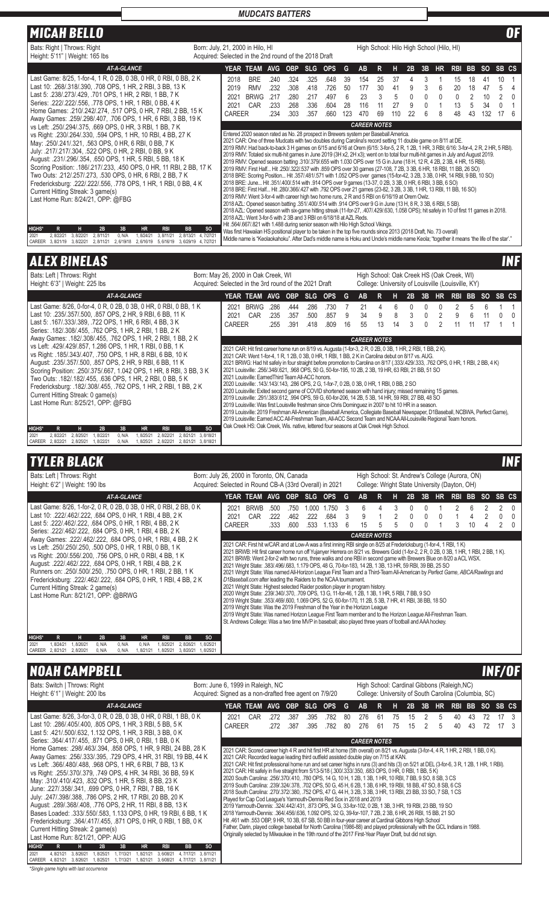| <b>MICAH BELLO</b>                                                                                                                                                                                                                                                                                                                                                                                                                                                                                                                                                                                                                                                                                                                                                                                                                |                                                                                              |                                        |                                                                                                                                                                                                                                                                                                                                                                                                                                                                                                                                                                                                                                                                                                                                                                                                                                                                                                                                                                                                                                                                                                                                                                                                                                                                                                                                                                                                                                                                                                                                                                                                                                                                                                                                                                                                                                                                                                       |                                      |                                      |                                      |                                      |                            |                                |                              |                            |                                   |                       |                                                                                                 |                               |                          |                             |                                                 | 0F                      |
|-----------------------------------------------------------------------------------------------------------------------------------------------------------------------------------------------------------------------------------------------------------------------------------------------------------------------------------------------------------------------------------------------------------------------------------------------------------------------------------------------------------------------------------------------------------------------------------------------------------------------------------------------------------------------------------------------------------------------------------------------------------------------------------------------------------------------------------|----------------------------------------------------------------------------------------------|----------------------------------------|-------------------------------------------------------------------------------------------------------------------------------------------------------------------------------------------------------------------------------------------------------------------------------------------------------------------------------------------------------------------------------------------------------------------------------------------------------------------------------------------------------------------------------------------------------------------------------------------------------------------------------------------------------------------------------------------------------------------------------------------------------------------------------------------------------------------------------------------------------------------------------------------------------------------------------------------------------------------------------------------------------------------------------------------------------------------------------------------------------------------------------------------------------------------------------------------------------------------------------------------------------------------------------------------------------------------------------------------------------------------------------------------------------------------------------------------------------------------------------------------------------------------------------------------------------------------------------------------------------------------------------------------------------------------------------------------------------------------------------------------------------------------------------------------------------------------------------------------------------------------------------------------------------|--------------------------------------|--------------------------------------|--------------------------------------|--------------------------------------|----------------------------|--------------------------------|------------------------------|----------------------------|-----------------------------------|-----------------------|-------------------------------------------------------------------------------------------------|-------------------------------|--------------------------|-----------------------------|-------------------------------------------------|-------------------------|
| Bats: Right   Throws: Right<br>Height: 5'11"   Weight: 165 lbs                                                                                                                                                                                                                                                                                                                                                                                                                                                                                                                                                                                                                                                                                                                                                                    | Born: July, 21, 2000 in Hilo, HI<br>Acquired: Selected in the 2nd round of the 2018 Draft    |                                        |                                                                                                                                                                                                                                                                                                                                                                                                                                                                                                                                                                                                                                                                                                                                                                                                                                                                                                                                                                                                                                                                                                                                                                                                                                                                                                                                                                                                                                                                                                                                                                                                                                                                                                                                                                                                                                                                                                       |                                      |                                      |                                      |                                      |                            |                                |                              |                            |                                   |                       | High School: Hilo High School (Hilo, HI)                                                        |                               |                          |                             |                                                 |                         |
| <b>AT-A-GLANCE</b>                                                                                                                                                                                                                                                                                                                                                                                                                                                                                                                                                                                                                                                                                                                                                                                                                |                                                                                              |                                        | YEAR TEAM                                                                                                                                                                                                                                                                                                                                                                                                                                                                                                                                                                                                                                                                                                                                                                                                                                                                                                                                                                                                                                                                                                                                                                                                                                                                                                                                                                                                                                                                                                                                                                                                                                                                                                                                                                                                                                                                                             | <b>AVG</b>                           | <b>OBP</b>                           | <b>SLG</b>                           | <b>OPS</b>                           | G                          | <b>AB</b>                      | R                            | н                          | 2B                                | 3B                    | <b>HR</b>                                                                                       | <b>RBI BB</b>                 |                          | SO SB CS                    |                                                 |                         |
| Last Game: 8/25, 1-for-4, 1 R, 0 2B, 0 3B, 0 HR, 0 RBI, 0 BB, 2 K<br>Last 10: 268/318/390, 708 OPS, 1 HR, 2 RBI, 3 BB, 13 K<br>Last 5: .238/.273/.429. .701 OPS. 1 HR. 2 RBI. 1 BB. 7 K<br>Series: .222/.222/.556, .778 OPS, 1 HR, 1 RBI, 0 BB, 4 K<br>Home Games: .210/.242/.274, .517 OPS, 0 HR, 7 RBI, 2 BB, 15 K<br>Away Games: .259/.298/.407, .706 OPS, 1 HR, 6 RBI, 3 BB, 19 K                                                                                                                                                                                                                                                                                                                                                                                                                                             |                                                                                              | 2018<br>2019<br>2021<br>2021<br>CAREER | <b>BRE</b><br><b>RMV</b><br><b>BRWG</b><br>CAR                                                                                                                                                                                                                                                                                                                                                                                                                                                                                                                                                                                                                                                                                                                                                                                                                                                                                                                                                                                                                                                                                                                                                                                                                                                                                                                                                                                                                                                                                                                                                                                                                                                                                                                                                                                                                                                        | .240<br>.232<br>.217<br>.233<br>.234 | .324<br>.308<br>.280<br>.268<br>.303 | .325<br>.418<br>.217<br>.336<br>.357 | .648<br>.726<br>.497<br>.604<br>.660 | 39<br>50<br>6<br>28<br>123 | 154<br>177<br>23<br>116<br>470 | 25<br>30<br>3<br>11<br>69    | 37<br>41<br>5<br>27<br>110 | 4<br>9<br>$\mathbf{0}$<br>9<br>22 | 3<br>3<br>0<br>0<br>6 | 1<br>6<br>0<br>1<br>8                                                                           | 15<br>20<br>0<br>13<br>48     | 18<br>18<br>2<br>5<br>43 | 41<br>47<br>10<br>34<br>132 | 10<br>5<br>$\overline{2}$<br>$\mathbf{0}$<br>17 | 1<br>4<br>$\Omega$<br>6 |
| vs Left: .250/.294/.375, .669 OPS, 0 HR, 3 RBI, 1 BB, 7 K<br>vs Right: .230/.264/.330, .594 OPS, 1 HR, 10 RBI, 4 BB, 27 K<br>May: .250/.241/.321, .563 OPS, 0 HR, 6 RBI, 0 BB, 7 K<br>July: .217/.217/.304, .522 OPS, 0 HR, 2 RBI, 0 BB, 9 K<br>August: 231/296/354, 650 OPS, 1 HR, 5 RBI, 5 BB, 18 K<br>Scoring Position: .186/.217/.233, .450 OPS, 0 HR, 11 RBI, 2 BB, 17 K<br>Two Outs: .212/.257/.273, .530 OPS, 0 HR, 6 RBI, 2 BB, 7 K<br>Fredericksburg: .222/.222/.556, .778 OPS, 1 HR, 1 RBI, 0 BB, 4 K<br>Current Hitting Streak: 3 game(s)<br>Last Home Run: 8/24/21, OPP: @FBG<br><b>HIGHS*</b><br>H.<br>2B<br>3B<br><b>RBI</b><br>$\mathsf{R}$<br><b>HR</b><br>2021<br>2.8/22/21<br>3, 8/22/21<br>2, 8/11/21<br>0, N/A<br>1,8/24/21<br>3, 8/11/21<br>CAREER 3, 8/21/19 3, 8/22/21<br>2, 8/11/21 2, 6/19/18 2, 6/16/19 | <b>BB</b><br><sub>SO</sub><br>2, 8/13/21<br>4, 7/27/21<br>5, 6/16/19 3, 6/29/19 4, 7/27/21   |                                        | Entered 2020 season rated as No. 28 prospect in Brewers system per Baseball America.<br>2021 CAR: One of three Mudcats with two doubles during Carolina's record setting 11 double game on 8/11 at DE.<br>2019 RMV: Had back-to-back 3 H games on 6/15 and 6/16 at Orem (6/15: 3-for-5, 2 R, 1 2B, 1 HR, 3 RBI; 6/16: 3-for-4, 2 R, 2 HR, 5 RBI).<br>2019 RMV: Totaled six multi-hit games in June 2019 (3H x2, 2H x3); went on to total four multi-hit games in July and August 2019.<br>2019 RMV: Opened season batting .310/.379/.655 with 1.030 OPS over 15 G in June (18 H, 12 R, 4 2B, 2 3B, 4 HR, 15 RBI).<br>2019 RMV: First Half Hit .250/.322/.537 with .859 OPS over 30 games (27-108, 7 2B, 3 3B, 6 HR, 18 RBI, 11 BB, 26 SO)<br>2018 BRE: Scoring Position Hit .357/.481/.571 with 1.052 OPS over games (15-for-42, 3 2B, 3 3B, 0 HR, 14 RBI, 9 BB, 10 SO)<br>2018 BRE: June Hit .351/.400/.514 with .914 OPS over 9 games (13-37, 0 2B, 3 3B, 0 HR, 6 RBI, 3 BB, 6 SO)<br>2018 BRE: First Half Hit .280/.366/.427 with .792 OPS over 21 games (23-82, 3 2B, 3 3B, 1 HR, 13 RBI, 11 BB, 16 SO)<br>2019 RMV: Went 3-for-4 with career high two home runs, 2 R and 5 RBI on 6/16/19 at Orem Owlz.<br>2018 AZL: Opened season batting .351/.400/.514 with .914 OPS over 9 G in June (13 H, 8 R, 3 3B, 6 RBI, 5 SB).<br>2018 AZL: Opened season with six-game hitting streak (11-for-27, .407/.429/.630, 1.058 OPS); hit safely in 10 of first 11 games in 2018.<br>2018 AZL: Went 3-for-5 with 2 3B and 3 RBI on 6/18/18 at AZL Reds.<br>Hit. 564/667/821 with 1.488 during senior season with Hilo High School Vikings.<br>Was first Hawaiian HS positional player to be taken in the top five rounds since 2013 (2018 Draft, No. 73 overall)<br>Middle name is "Keolaokahoku". After Dad's middle name is Hoku and Uncle's middle name Keola; "together it means 'the life of the star'." |                                      |                                      |                                      |                                      |                            | <b>CAREER NOTES</b>            |                              |                            |                                   |                       |                                                                                                 |                               |                          |                             |                                                 |                         |
| <b>ALEX BINELAS</b>                                                                                                                                                                                                                                                                                                                                                                                                                                                                                                                                                                                                                                                                                                                                                                                                               |                                                                                              |                                        |                                                                                                                                                                                                                                                                                                                                                                                                                                                                                                                                                                                                                                                                                                                                                                                                                                                                                                                                                                                                                                                                                                                                                                                                                                                                                                                                                                                                                                                                                                                                                                                                                                                                                                                                                                                                                                                                                                       |                                      |                                      |                                      |                                      |                            |                                |                              |                            |                                   |                       |                                                                                                 |                               |                          |                             |                                                 | <b>INF</b>              |
| Bats: Left   Throws: Right<br>Height: 6'3"   Weight: 225 lbs                                                                                                                                                                                                                                                                                                                                                                                                                                                                                                                                                                                                                                                                                                                                                                      | Born: May 26, 2000 in Oak Creek, WI<br>Acquired: Selected in the 3rd round of the 2021 Draft |                                        |                                                                                                                                                                                                                                                                                                                                                                                                                                                                                                                                                                                                                                                                                                                                                                                                                                                                                                                                                                                                                                                                                                                                                                                                                                                                                                                                                                                                                                                                                                                                                                                                                                                                                                                                                                                                                                                                                                       |                                      |                                      |                                      |                                      |                            |                                |                              |                            |                                   |                       | High School: Oak Creek HS (Oak Creek, WI)<br>College: University of Louisville (Louisville, KY) |                               |                          |                             |                                                 |                         |
| <b>AT-A-GLANCE</b><br>Last Game: 8/26, 0-for-4, 0 R, 0 2B, 0 3B, 0 HR, 0 RBI, 0 BB, 1 K<br>Last 10: .235/.357/.500, .857 OPS, 2 HR, 9 RBI, 6 BB, 11 K<br>Last 5: .167/.333/.389, .722 OPS, 1 HR, 6 RBI, 4 BB, 3 K<br>Corios: 192/200/455, 762 ODC 1 UD 2 DDI 1 DD 2 K                                                                                                                                                                                                                                                                                                                                                                                                                                                                                                                                                             |                                                                                              | 2021<br><b>CAREER</b>                  | YEAR TEAM AVG<br>2021 BRWG<br>CAR                                                                                                                                                                                                                                                                                                                                                                                                                                                                                                                                                                                                                                                                                                                                                                                                                                                                                                                                                                                                                                                                                                                                                                                                                                                                                                                                                                                                                                                                                                                                                                                                                                                                                                                                                                                                                                                                     | .286<br>.235<br>.255                 | <b>OBP</b><br>.444<br>.357<br>.391   | <b>SLG</b><br>.286<br>.500<br>.418   | <b>OPS</b><br>.730<br>.857<br>.809   | G<br>7<br>9<br>16          | <b>AB</b><br>21<br>34<br>55    | $\mathsf{R}$<br>4<br>9<br>13 | н<br>6<br>8<br>14          | 2B<br>0<br>3<br>3                 | 3B<br>0<br>0<br>0     | HR.<br>$\mathbf{0}$<br>2<br>$\overline{2}$                                                      | <b>RBI BB</b><br>2<br>9<br>11 | 5<br>հ<br>11             | <b>SO</b><br>6<br>11<br>17  | SB CS<br>$\Omega$                               | 0                       |

|               | Series: .182/.308/.455, .762 OPS, 1 HR, 2 RBI, 1 BB, 2 K                                                                                                                                                                                                                                                                                                                                                                                                               |           |           |        |           |            |                     |           |                                                                                                                                                                                                                                                                                                                                                                                                                                                                                                                                                                                                                                                                                                                                                                                                                                                                                                                                                                                                                                                                                                                                                                                            |
|---------------|------------------------------------------------------------------------------------------------------------------------------------------------------------------------------------------------------------------------------------------------------------------------------------------------------------------------------------------------------------------------------------------------------------------------------------------------------------------------|-----------|-----------|--------|-----------|------------|---------------------|-----------|--------------------------------------------------------------------------------------------------------------------------------------------------------------------------------------------------------------------------------------------------------------------------------------------------------------------------------------------------------------------------------------------------------------------------------------------------------------------------------------------------------------------------------------------------------------------------------------------------------------------------------------------------------------------------------------------------------------------------------------------------------------------------------------------------------------------------------------------------------------------------------------------------------------------------------------------------------------------------------------------------------------------------------------------------------------------------------------------------------------------------------------------------------------------------------------------|
|               | Away Games: .182/.308/.455, .762 OPS, 1 HR, 2 RBI, 1 BB, 2 K                                                                                                                                                                                                                                                                                                                                                                                                           |           |           |        |           |            |                     |           | <b>CAREER NOTES</b>                                                                                                                                                                                                                                                                                                                                                                                                                                                                                                                                                                                                                                                                                                                                                                                                                                                                                                                                                                                                                                                                                                                                                                        |
|               | vs Left: 429/429/857, 1.286 OPS, 1 HR, 1 RBI, 0 BB, 1 K<br>vs Right: .185/.343/.407, .750 OPS, 1 HR, 8 RBI, 6 BB, 10 K<br>August: .235/.357/.500, .857 OPS, 2 HR, 9 RBI, 6 BB, 11 K<br>Scoring Position: .250/.375/.667, 1.042 OPS, 1 HR, 8 RBI, 3 BB, 3 K<br>Two Outs: .182/.182/.455. .636 OPS. 1 HR. 2 RBI. 0 BB. 5 K<br>Fredericksburg: .182/.308/.455, .762 OPS, 1 HR, 2 RBI, 1 BB, 2 K<br>Current Hitting Streak: 0 game(s)<br>Last Home Run: 8/25/21, OPP: @FBG |           |           |        |           |            |                     |           | 2021 CAR: Hit first career home run on 8/19 vs. Augusta (1-for-3, 2 R, 0 2B, 0 3B, 1 HR, 2 RBI, 1 BB, 2 K).<br>2021 CAR: Went 1-for-4, 1 R, 1 2B, 0 3B, 0 HR, 1 RBI, 1 BB, 2 K in Carolina debut on 8/17 vs. AUG.<br>2021 BRWG: Had hit safely in four straight before promotion to Carolina on 8/17 (.333/.429/.333, .762 OPS, 0 HR, 1 RBI, 2 BB, 4 K)<br>2021 Louisville: .256/.348/.621, .968 OPS, 50 G, 50-for-195, 10 2B, 2 3B, 19 HR, 63 RBI, 21 BB, 51 SO<br>2021 Louisville: Earned Third Team All-ACC honors.<br>286 OHS. 2 SO 286 OPS. 2 G. 1-for-7, 0 2B, 0 3B, 0 HR, 1 RBI, 0 BB, 2 SO<br>2020 Louisville: Exited second game of COVID shortened season with hand injury; missed remaining 15 games.<br>2019 Louisville: .291/.383/.612, .994 OPS, 59 G, 60-for-206, 14 2B, 5 3B, 14 HR, 59 RBI, 27 BB, 48 SO<br>2019 Louisville: Was first Louisville freshman since Chris Dominguez in 2007 to hit 10 HR in a season.<br>2019 Louisville: 2019 Freshman All-American (Baseball America, Collegiate Baseball Newspaper, D1Baseball, NCBWA, Perfect Game),<br>2019 Louisville: Earned ACC All-Freshman Team, All-ACC Second Team and NCAA All-Louisville Regional Team honors. |
| <b>HIGHS*</b> |                                                                                                                                                                                                                                                                                                                                                                                                                                                                        | н         | 2B        | 3B     | <b>HR</b> | <b>RBI</b> | <b>BB</b>           | <b>SO</b> | Oak Creek HS: Oak Creek, Wis. native, lettered four seasons at Oak Creek High School.                                                                                                                                                                                                                                                                                                                                                                                                                                                                                                                                                                                                                                                                                                                                                                                                                                                                                                                                                                                                                                                                                                      |
| 2021          | 2.8/22/21                                                                                                                                                                                                                                                                                                                                                                                                                                                              | 2.8/25/21 | .8/22/21  | 0. N/A | 1.8/25/21 | 2.8/22/21  | 2.8/21/21           | 3.8/18/21 |                                                                                                                                                                                                                                                                                                                                                                                                                                                                                                                                                                                                                                                                                                                                                                                                                                                                                                                                                                                                                                                                                                                                                                                            |
| <b>CAREER</b> | 2.8/22/21                                                                                                                                                                                                                                                                                                                                                                                                                                                              | 2.8/25/21 | . 8/22/21 | 0. N/A | . 8/25/21 | 2.8/22/21  | 2.8/21/21 3.8/18/21 |           |                                                                                                                                                                                                                                                                                                                                                                                                                                                                                                                                                                                                                                                                                                                                                                                                                                                                                                                                                                                                                                                                                                                                                                                            |

# **TYLER BLACK INF**

| Bats: Left   Throws: Right<br>Height: 6'2"   Weight: 190 lbs                                                                                                                                                                                                                                                                                                                                   | Born: July 26, 2000 in Toronto, ON, Canada<br>Acquired: Selected in Round CB-A (33rd Overall) in 2021 |        |                                                                                                                                                                                                                                                                                                                                                                                                                                                                                                                                                                                                                                                                                                                                                                                                                                                                                                                                                                                                                                                                                                                                                                                                                                                                                                               |      |            |            |            |   |                     |   | High School: St. Andrew's College (Aurora, ON)<br>College: Wright State University (Dayton, OH) |    |    |     |            |     |           |       |          |
|------------------------------------------------------------------------------------------------------------------------------------------------------------------------------------------------------------------------------------------------------------------------------------------------------------------------------------------------------------------------------------------------|-------------------------------------------------------------------------------------------------------|--------|---------------------------------------------------------------------------------------------------------------------------------------------------------------------------------------------------------------------------------------------------------------------------------------------------------------------------------------------------------------------------------------------------------------------------------------------------------------------------------------------------------------------------------------------------------------------------------------------------------------------------------------------------------------------------------------------------------------------------------------------------------------------------------------------------------------------------------------------------------------------------------------------------------------------------------------------------------------------------------------------------------------------------------------------------------------------------------------------------------------------------------------------------------------------------------------------------------------------------------------------------------------------------------------------------------------|------|------------|------------|------------|---|---------------------|---|-------------------------------------------------------------------------------------------------|----|----|-----|------------|-----|-----------|-------|----------|
| AT-A-GLANCE                                                                                                                                                                                                                                                                                                                                                                                    |                                                                                                       |        | YEAR TEAM                                                                                                                                                                                                                                                                                                                                                                                                                                                                                                                                                                                                                                                                                                                                                                                                                                                                                                                                                                                                                                                                                                                                                                                                                                                                                                     | AVG. | <b>OBP</b> | <b>SLG</b> | <b>OPS</b> | G | <b>AB</b>           | R |                                                                                                 | 2Β | 3В | HR. | <b>RBI</b> | BB. | <b>SO</b> | SB CS |          |
| Last Game: 8/26, 1-for-2, 0 R, 0 2B, 0 3B, 0 HR, 0 RBI, 2 BB, 0 K                                                                                                                                                                                                                                                                                                                              |                                                                                                       | 2021   | <b>BRWB</b>                                                                                                                                                                                                                                                                                                                                                                                                                                                                                                                                                                                                                                                                                                                                                                                                                                                                                                                                                                                                                                                                                                                                                                                                                                                                                                   | .500 | .750       | 000        | 1.750      | 3 |                     |   |                                                                                                 |    |    |     |            | 6   |           |       | $\left($ |
| Last 10: 222/462/222. 684 OPS, 0 HR, 1 RBI, 4 BB, 2 K                                                                                                                                                                                                                                                                                                                                          |                                                                                                       | 2021   | CAR                                                                                                                                                                                                                                                                                                                                                                                                                                                                                                                                                                                                                                                                                                                                                                                                                                                                                                                                                                                                                                                                                                                                                                                                                                                                                                           | .222 | .462       | .222       | .684       | 3 | 9                   |   |                                                                                                 | 0  | 0  |     |            |     |           |       |          |
| Last 5: 222/462/222, 684 OPS, 0 HR, 1 RBI, 4 BB, 2 K<br>Series: 222/462/222, 684 OPS, 0 HR, 1 RBI, 4 BB, 2 K                                                                                                                                                                                                                                                                                   |                                                                                                       | CAREER |                                                                                                                                                                                                                                                                                                                                                                                                                                                                                                                                                                                                                                                                                                                                                                                                                                                                                                                                                                                                                                                                                                                                                                                                                                                                                                               | .333 | .600       | .533       | 1.133      | 6 | 15                  | 5 |                                                                                                 |    |    |     |            | 10  |           |       |          |
| Away Games: 222/462/222, 684 OPS, 0 HR, 1 RBI, 4 BB, 2 K                                                                                                                                                                                                                                                                                                                                       |                                                                                                       |        |                                                                                                                                                                                                                                                                                                                                                                                                                                                                                                                                                                                                                                                                                                                                                                                                                                                                                                                                                                                                                                                                                                                                                                                                                                                                                                               |      |            |            |            |   | <b>CAREER NOTES</b> |   |                                                                                                 |    |    |     |            |     |           |       |          |
| vs Left: .250/.250/.250, .500 OPS, 0 HR, 1 RBI, 0 BB, 1 K<br>vs Right: .200/.556/.200, .756 OPS, 0 HR, 0 RBI, 4 BB, 1 K<br>August: 222/462/222, 684 OPS, 0 HR, 1 RBI, 4 BB, 2 K<br>Runners on: .250/.500/.250, .750 OPS, 0 HR, 1 RBI, 2 BB, 1 K<br>Fredericksburg: .222/.462/.222, .684 OPS, 0 HR, 1 RBI, 4 BB, 2 K<br>Current Hitting Streak: 2 game(s)<br>Last Home Run: 8/21/21, OPP: @BRWG |                                                                                                       |        | 2021 CAR: First hit w/CAR and at Low-A was a first inning RBI single on 8/25 at Fredericksburg (1-for-4, 1 RBI, 1 K)<br>2021 BRWB: Hit first career home run off Yujanyer Herrera on 8/21 vs. Brewers Gold (1-for-2, 2 R, 0 2B, 0 3B, 1 HR, 1 RBI, 2 BB, 1 K).<br>2021 BRWB: Went 2-for-2 with two runs, three walks and one RBI in second game with Brewers Blue on 8/20 a ACL WSX.<br>2021 Wright State: .383/.496/.683, 1.179 OPS, 48 G, 70-for-183, 14 2B, 1 3B, 13 HR, 59 RBI, 39 BB, 25 SO<br>2021 Wright State: Was named All-Horizon League First Team and a Third-Team All-American by Perfect Game, ABCA/Rawlings and<br>D1Baseball.com after leading the Raiders to the NCAA tournament.<br>2021 Wright State: Highest selected Raider position player in program history.<br>2020 Wright State: .239/.340/.370, .709 OPS, 13 G, 11-for-46, 1 2B, 1 3B, 1 HR, 5 RBI, 7 BB, 9 SO<br>2019 Wright State: .353/.469/.600, 1.069 OPS, 52 G, 60-for-170, 11 2B, 5 3B, 7 HR, 41 RBI, 38 BB, 18 SO<br>2019 Wright State: Was the 2019 Freshman of the Year in the Horizon League<br>2019 Wright State: Was named Horizon League First Team member and to the Horizon League All-Freshman Team.<br>St. Andrews College: Was a two time MVP in baseball; also played three years of football and AAA hockey. |      |            |            |            |   |                     |   |                                                                                                 |    |    |     |            |     |           |       |          |
| <b>HIGHS*</b><br>3B<br><b>HR</b><br>R<br>н<br>2B<br><b>RBI</b><br><b>BB</b><br>2021<br>1.8/24/21<br>.8/26/2<br>0. N/A<br>2.8/26/21<br>0. N/A<br>0. N/A<br>.8/25/21                                                                                                                                                                                                                             | <sub>SO</sub><br>.8/25/21                                                                             |        |                                                                                                                                                                                                                                                                                                                                                                                                                                                                                                                                                                                                                                                                                                                                                                                                                                                                                                                                                                                                                                                                                                                                                                                                                                                                                                               |      |            |            |            |   |                     |   |                                                                                                 |    |    |     |            |     |           |       |          |
| CAREER<br>2.8/21/21<br>2.8/20/21<br>0. N/A<br>0. N/A<br>1.8/21/21<br>1.8/25/21<br>3.8/20/21                                                                                                                                                                                                                                                                                                    | 1.8/25/21                                                                                             |        |                                                                                                                                                                                                                                                                                                                                                                                                                                                                                                                                                                                                                                                                                                                                                                                                                                                                                                                                                                                                                                                                                                                                                                                                                                                                                                               |      |            |            |            |   |                     |   |                                                                                                 |    |    |     |            |     |           |       |          |

# NOAH CAMPBELL INF/OF

| Bats: Switch   Throws: Right<br>Height: 6'1"   Weight: 200 lbs                                                                                                                                                                                                                                                                                                                                                                                                                                                                                                                                                                                                                                                                                                                                                                                                                                                                                                                           | Born: June 6, 1999 in Raleigh, NC<br>Acquired: Signed as a non-drafted free agent on 7/9/20 |                                                                                                                                                                                                                                                                                                                                                                                                                                                                                                                                                                                                                                                                                                                                                                                                                                                                                                                                                                                                                                                                                                                                                                                                                                                                                                                                                                                                                                                                                             |              |              |              |          | High School: Cardinal Gibbons (Raleigh, NC)<br>College: University of South Carolina (Columbia, SC) |           |          |          |    |         |          |          |           |          |  |
|------------------------------------------------------------------------------------------------------------------------------------------------------------------------------------------------------------------------------------------------------------------------------------------------------------------------------------------------------------------------------------------------------------------------------------------------------------------------------------------------------------------------------------------------------------------------------------------------------------------------------------------------------------------------------------------------------------------------------------------------------------------------------------------------------------------------------------------------------------------------------------------------------------------------------------------------------------------------------------------|---------------------------------------------------------------------------------------------|---------------------------------------------------------------------------------------------------------------------------------------------------------------------------------------------------------------------------------------------------------------------------------------------------------------------------------------------------------------------------------------------------------------------------------------------------------------------------------------------------------------------------------------------------------------------------------------------------------------------------------------------------------------------------------------------------------------------------------------------------------------------------------------------------------------------------------------------------------------------------------------------------------------------------------------------------------------------------------------------------------------------------------------------------------------------------------------------------------------------------------------------------------------------------------------------------------------------------------------------------------------------------------------------------------------------------------------------------------------------------------------------------------------------------------------------------------------------------------------------|--------------|--------------|--------------|----------|-----------------------------------------------------------------------------------------------------|-----------|----------|----------|----|---------|----------|----------|-----------|----------|--|
| <b>AT-A-GLANCE</b>                                                                                                                                                                                                                                                                                                                                                                                                                                                                                                                                                                                                                                                                                                                                                                                                                                                                                                                                                                       | YEAR TEAM                                                                                   | <b>AVG</b>                                                                                                                                                                                                                                                                                                                                                                                                                                                                                                                                                                                                                                                                                                                                                                                                                                                                                                                                                                                                                                                                                                                                                                                                                                                                                                                                                                                                                                                                                  | <b>OBP</b>   | <b>SLG</b>   | <b>OPS</b>   | $ -$     | <b>AB</b>                                                                                           | R.        | н        | 2B       | 3B | HR.     | RBI BB   |          | <b>SO</b> | SB CS    |  |
| Last Game: 8/26, 3-for-3, 0 R, 0 2B, 0 3B, 0 HR, 0 RBI, 1 BB, 0 K<br>Last 10: .286/.405/.400, .805 OPS, 1 HR, 3 RBI, 5 BB, 5 K<br>Last 5: .421/.500/.632, 1.132 OPS, 1 HR, 3 RBI, 3 BB, 0 K<br>Series: .364/.417/.455, .871 OPS, 0 HR, 0 RBI, 1 BB, 0 K                                                                                                                                                                                                                                                                                                                                                                                                                                                                                                                                                                                                                                                                                                                                  | 2021<br><b>CAREER</b>                                                                       | CAR<br>.272<br>.272                                                                                                                                                                                                                                                                                                                                                                                                                                                                                                                                                                                                                                                                                                                                                                                                                                                                                                                                                                                                                                                                                                                                                                                                                                                                                                                                                                                                                                                                         | .387<br>.387 | .395<br>.395 | .782<br>.782 | 80<br>80 | 276<br>276                                                                                          | 61<br>-61 | 75<br>75 | 15<br>15 | 2  | .5<br>5 | 40<br>40 | 43<br>43 | 72<br>72  | 17<br>17 |  |
| Home Games: .298/.463/.394, .858 OPS, 1 HR, 9 RBI, 24 BB, 28 K<br>Away Games: 256/333/395, 729 OPS, 4 HR, 31 RBI, 19 BB, 44 K<br>vs Left: .366/.480/.488, .968 OPS, 1 HR, 6 RBI, 7 BB, 13 K<br>vs Right: .255/.370/.379, .749 OPS, 4 HR, 34 RBI, 36 BB, 59 K<br>May: .310/.410/.423, .832 OPS, 1 HR, 5 RBI, 8 BB, 23 K<br>June: .227/.358/.341, .699 OPS, 0 HR, 7 RBI, 7 BB, 16 K<br>July: 247/.398/.388, .786 OPS, 2 HR, 17 RBI, 20 BB, 20 K<br>August: 289/368/408, 776 OPS, 2 HR, 11 RBI, 8 BB, 13 K<br>Bases Loaded: .333/.550/.583, 1.133 OPS, 0 HR, 19 RBI, 6 BB, 1 K<br>Fredericksburg: .364/.417/.455, .871 OPS, 0 HR, 0 RBI, 1 BB, 0 K<br>Current Hitting Streak: 2 game(s)<br>Last Home Run: 8/21/21, OPP: AUG<br><b>HIGHS*</b><br>н.<br>3B<br>2B<br><b>HR</b><br><b>RBI</b><br><b>BB</b><br>2021<br>3.6/08/21<br>1.8/25/21<br>1.7/13/21<br>.8/21/21<br>4.8/21/21<br>3.8/26/21<br>4.7/17/21<br>CAREER 4, 8/21/21 3, 8/26/21 1, 8/25/21<br>1, 7/13/21<br>, 8/21/21<br>3,6/08/21 | <b>SO</b><br>3.8/11/21<br>4, 7/17/21 3, 8/11/21                                             | 2021 CAR: Scored career high 4 R and hit first HR at home (5th overall) on 8/21 vs. Augusta (3-for-4, 4 R, 1 HR, 2 RBI, 1 BB, 0 K).<br>2021 CAR: Recorded league leading third outfield assisted double play on 7/15 at KAN.<br>2021 CAR: Hit first professional home run and set career highs in runs (3) and hits (3) on 5/21 at DEL (3-for-6, 3 R, 1 2B, 1 HR, 1 RBI).<br>2021 CAR: Hit safely in five straight from 5/13-5/18 (.300/.333/.350, .683 OPS, 0 HR, 0 RBI, 1 BB, 5 K)<br>2020 South Carolina: .256/.370/.410, .780 OPS, 14 G, 10 H, 1 2B, 1 3B, 1 HR, 10 RBI, 7 BB, 9 SO, 8 SB, 3 CS<br>2019 South Carolina: .239/.324/.378, .702 OPS, 50 G, 45 H, 6 2B, 1 3B, 6 HR, 19 RBI, 18 BB, 47 SO, 8 SB, 6 CS<br>2018 South Carolina: .270/.372/.380, .752 OPS, 47 G, 44 H, 3 2B, 3 3B, 3 HR, 13 RBI, 23 BB, 33 SO, 7 SB, 1 CS<br>Played for Cap Cod League's Yarmouth-Dennis Red Sox in 2018 and 2019<br>2019 Yarmouth-Dennis: .324/.442/.431, .873 OPS, 34 G, 33-for-102, 0 2B, 1 3B, 3 HR, 19 RBI, 23 BB, 19 SO<br>2018 Yarmouth-Dennis: .364/.456/.636, 1.092 OPS, 32 G, 39-for-107, 7 2B, 2 3B, 6 HR, 26 RBI, 15 BB, 21 SO<br>Hit .461 with .553 OBP, 9 HR, 10 3B, 67 SB, 50 BB in four-year career at Cardinal Gibbons High School<br>Father, Darin, played college baseball for North Carolina (1986-88) and played professionally with the GCL Indians in 1988.<br>Originally selected by Milwaukee in the 19th round of the 2017 First-Year Player Draft, but did not sign. |              |              |              |          | <b>CAREER NOTES</b>                                                                                 |           |          |          |    |         |          |          |           |          |  |

*\*Single game highs with last occurrence*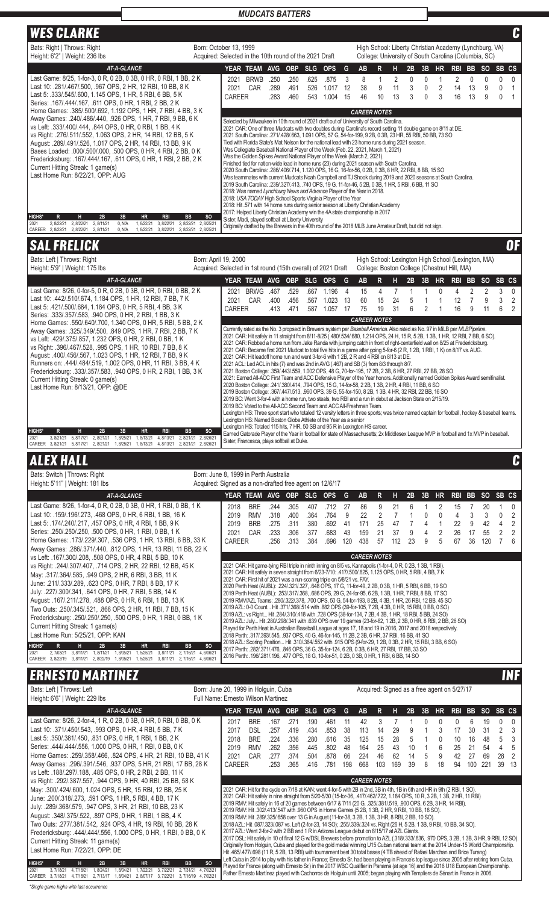| <b>WES CLARKE</b>                                                                                                                                                                                                                            |                                                                                      |                       |                                                                                                                                                                                                                                                                                                                                                                                                                                                                                                                                                                   |              |                    |                    |                    |                      |                           |           |                                     |                                                                                                                |                    |                   |                          |                     |                     |                     | C                                |
|----------------------------------------------------------------------------------------------------------------------------------------------------------------------------------------------------------------------------------------------|--------------------------------------------------------------------------------------|-----------------------|-------------------------------------------------------------------------------------------------------------------------------------------------------------------------------------------------------------------------------------------------------------------------------------------------------------------------------------------------------------------------------------------------------------------------------------------------------------------------------------------------------------------------------------------------------------------|--------------|--------------------|--------------------|--------------------|----------------------|---------------------------|-----------|-------------------------------------|----------------------------------------------------------------------------------------------------------------|--------------------|-------------------|--------------------------|---------------------|---------------------|---------------------|----------------------------------|
| Bats: Right   Throws: Right<br>Height: 6'2"   Weight: 236 lbs                                                                                                                                                                                | Born: October 13, 1999<br>Acquired: Selected in the 10th round of the 2021 Draft     |                       |                                                                                                                                                                                                                                                                                                                                                                                                                                                                                                                                                                   |              |                    |                    |                    |                      |                           |           |                                     | High School: Liberty Christian Academy (Lynchburg, VA)<br>College: University of South Carolina (Columbia, SC) |                    |                   |                          |                     |                     |                     |                                  |
| <b>AT-A-GLANCE</b><br>Last Game: 8/25, 1-for-3, 0 R, 0 2B, 0 3B, 0 HR, 0 RBI, 1 BB, 2 K                                                                                                                                                      |                                                                                      |                       | YEAR TEAM AVG<br>2021 BRWB                                                                                                                                                                                                                                                                                                                                                                                                                                                                                                                                        | .250         | OBP SLG<br>.250    | .625               | <b>OPS</b><br>.875 | G<br>3               | <b>AB</b><br>8            | R<br>1    | н                                   | 2B<br>$\pmb{0}$                                                                                                | 3B<br>$\mathbf{0}$ | HR<br>1           | RBI BB<br>$\overline{2}$ | $\mathbf 0$         | <b>SO</b><br>0      | SB CS<br>0          | 0                                |
| Last 10: 281/467/500, 967 OPS, 2 HR, 12 RBI, 10 BB, 8 K<br>Last 5: .333/.545/.600, 1.145 OPS, 1 HR, 5 RBI, 6 BB, 5 K                                                                                                                         |                                                                                      | 2021<br><b>CAREER</b> | CAR                                                                                                                                                                                                                                                                                                                                                                                                                                                                                                                                                               | .289<br>.283 | .491<br>.460       | .526<br>.543       | 1.017<br>1.004     | 12<br>15             | 38<br>46                  | 9<br>10   | $\overline{\mathbf{c}}$<br>11<br>13 | 3<br>3                                                                                                         | 0<br>$\mathbf{0}$  | $\sqrt{2}$<br>3   | 14<br>16                 | 13<br>13            | 9<br>9              | 0<br>$\mathbf{0}$   | 1<br>$\mathbf{1}$                |
| Series: .167/.444/.167, .611 OPS, 0 HR, 1 RBI, 2 BB, 2 K<br>Home Games: .385/.500/.692, 1.192 OPS, 1 HR, 7 RBI, 4 BB, 3 K                                                                                                                    |                                                                                      |                       |                                                                                                                                                                                                                                                                                                                                                                                                                                                                                                                                                                   |              |                    |                    |                    |                      | <b>CAREER NOTES</b>       |           |                                     |                                                                                                                |                    |                   |                          |                     |                     |                     |                                  |
| Away Games: .240/.486/.440, .926 OPS, 1 HR, 7 RBI, 9 BB, 6 K<br>vs Left: .333/.400/.444, .844 OPS, 0 HR, 0 RBI, 1 BB, 4 K                                                                                                                    |                                                                                      |                       | Selected by Milwaukee in 10th round of 2021 draft out of University of South Carolina.<br>2021 CAR: One of three Mudcats with two doubles during Carolina's record setting 11 double game on 8/11 at DE.                                                                                                                                                                                                                                                                                                                                                          |              |                    |                    |                    |                      |                           |           |                                     |                                                                                                                |                    |                   |                          |                     |                     |                     |                                  |
| vs Right: .276/.511/.552, 1.063 OPS, 2 HR, 14 RBI, 12 BB, 5 K<br>August: .289/.491/.526, 1.017 OPS, 2 HR, 14 RBI, 13 BB, 9 K                                                                                                                 |                                                                                      |                       | 2021 South Carolina: .271/.428/.663, 1.091 OPS, 57 G, 54-for-199, 9 2B, 0 3B, 23 HR, 55 RBI, 50 BB, 73 SO<br>Tied with Florida State's Mat Nelson for the national lead with 23 home runs during 2021 season.                                                                                                                                                                                                                                                                                                                                                     |              |                    |                    |                    |                      |                           |           |                                     |                                                                                                                |                    |                   |                          |                     |                     |                     |                                  |
| Bases Loaded: .000/.500/.000, .500 OPS, 0 HR, 4 RBI, 2 BB, 0 K<br>Fredericksburg: .167/.444/.167, .611 OPS, 0 HR, 1 RBI, 2 BB, 2 K                                                                                                           |                                                                                      |                       | Was Collegiate Baseball National Player of the Week (Feb. 22, 2021, March 1, 2021)<br>Was the Golden Spikes Award National Player of the Week (March 2, 2021).<br>Finished tied for nation-wide lead in home runs (23) during 2021 season with South Carolina.                                                                                                                                                                                                                                                                                                    |              |                    |                    |                    |                      |                           |           |                                     |                                                                                                                |                    |                   |                          |                     |                     |                     |                                  |
| Current Hitting Streak: 1 game(s)<br>Last Home Run: 8/22/21, OPP: AUG                                                                                                                                                                        |                                                                                      |                       | 2020 South Carolina: .286/.406/.714, 1.120 OPS, 16 G, 16-for-56, 0 2B, 0 3B, 8 HR, 22 RBI, 8 BB, 15 SO<br>Was teammates with current Mudcats Noah Campbell and TJ Shook during 2019 and 2020 seasons at South Carolina.                                                                                                                                                                                                                                                                                                                                           |              |                    |                    |                    |                      |                           |           |                                     |                                                                                                                |                    |                   |                          |                     |                     |                     |                                  |
|                                                                                                                                                                                                                                              |                                                                                      |                       | 2019 South Carolina: .239/.327/.413, .740 OPS, 19 G, 11-for-46, 5 2B, 0 3B, 1 HR, 5 RBI, 6 BB, 11 SO<br>2018: Was named Lynchburg News and Advance Player of the Year in 2018.<br>2018: USA TODAY High School Sports Virginia Player of the Year                                                                                                                                                                                                                                                                                                                  |              |                    |                    |                    |                      |                           |           |                                     |                                                                                                                |                    |                   |                          |                     |                     |                     |                                  |
|                                                                                                                                                                                                                                              |                                                                                      |                       | 2018: Hit .571 with 14 home runs during senior season at Liberty Christian Academy<br>2017: Helped Liberty Christian Academy win the 4A state championship in 2017                                                                                                                                                                                                                                                                                                                                                                                                |              |                    |                    |                    |                      |                           |           |                                     |                                                                                                                |                    |                   |                          |                     |                     |                     |                                  |
| <b>HIGHS*</b><br>2B<br>3B<br>R<br>н<br>HR<br>RBI<br>2, 8/22/21 2, 8/22/21 2, 8/11/21<br>0, N/A<br>1,8/22/21<br>3, 8/22/21 2, 8/22/21 2, 8/25/21<br>2021<br>CAREER 2, 8/22/21<br>2, 8/22/21<br>2,8/11/21<br>1,8/22/21<br>0, N/A<br>3, 8/22/21 | SO <sub>1</sub><br><b>BB</b><br>2, 8/22/21 2, 8/25/21                                |                       | Sister, Madi, played softball at Liberty University<br>Originally drafted by the Brewers in the 40th round of the 2018 MLB June Amateur Draft, but did not sign.                                                                                                                                                                                                                                                                                                                                                                                                  |              |                    |                    |                    |                      |                           |           |                                     |                                                                                                                |                    |                   |                          |                     |                     |                     |                                  |
| <b>SAL FRELICK</b>                                                                                                                                                                                                                           |                                                                                      |                       |                                                                                                                                                                                                                                                                                                                                                                                                                                                                                                                                                                   |              |                    |                    |                    |                      |                           |           |                                     |                                                                                                                |                    |                   |                          |                     |                     |                     | 0F                               |
| Bats: Left   Throws: Right<br>Height: 5'9"   Weight: 175 lbs                                                                                                                                                                                 | Born: April 19, 2000<br>Acquired: Selected in 1st round (15th overall) of 2021 Draft |                       |                                                                                                                                                                                                                                                                                                                                                                                                                                                                                                                                                                   |              |                    |                    |                    |                      |                           |           |                                     | High School: Lexington High School (Lexington, MA)<br>College: Boston College (Chestnut Hill, MA)              |                    |                   |                          |                     |                     |                     |                                  |
| <b>AT-A-GLANCE</b>                                                                                                                                                                                                                           |                                                                                      |                       | YEAR TEAM AVG                                                                                                                                                                                                                                                                                                                                                                                                                                                                                                                                                     |              | <b>OBP</b>         | <b>SLG</b>         | <b>OPS</b>         | G                    | <b>AB</b>                 | R         | н                                   | 2B                                                                                                             | 3B                 | <b>HR</b>         | RBI BB                   |                     | <b>SO</b>           | SB CS               |                                  |
| Last Game: 8/26, 0-for-5, 0 R, 0 2B, 0 3B, 0 HR, 0 RBI, 0 BB, 2 K<br>Last 10: 442/ 510/ 674, 1.184 OPS, 1 HR, 12 RBI, 7 BB, 7 K                                                                                                              |                                                                                      | 2021<br>2021          | BRWG .467<br>CAR                                                                                                                                                                                                                                                                                                                                                                                                                                                                                                                                                  | .400         | .529<br>.456       | .667<br>.567       | 1.196<br>1.023     | $\overline{4}$<br>13 | 15<br>60                  | 4<br>15   | 7<br>24                             | 1<br>5                                                                                                         | 1<br>1             | 0<br>1            | 4<br>12                  | 2<br>$\overline{7}$ | $\overline{2}$<br>9 | 3<br>3              | $\mathbf 0$<br>$\overline{2}$    |
| Last 5: .421/.500/.684, 1.184 OPS, 0 HR, 5 RBI, 4 BB, 3 K<br>Series: .333/.357/.583, .940 OPS, 0 HR, 2 RBI, 1 BB, 3 K                                                                                                                        |                                                                                      | <b>CAREER</b>         |                                                                                                                                                                                                                                                                                                                                                                                                                                                                                                                                                                   | .413         | .471               | .587               | 1.057 17           |                      | 75<br><b>CAREER NOTES</b> | 19        | 31                                  | 6                                                                                                              | 2                  | 1                 | 16                       | 9                   | 11                  | 6                   | $\overline{2}$                   |
| Home Games: .550/.640/.700, 1.340 OPS, 0 HR, 5 RBI, 5 BB, 2 K<br>Away Games: .325/.349/.500, .849 OPS, 1 HR, 7 RBI, 2 BB, 7 K                                                                                                                |                                                                                      |                       | Currently rated as the No. 3 propsect in Brewers system per Baseball America. Also rated as No. 97 in MiLB per MLBPipeline.<br>2021 CAR: Hit safely in 11 straight from 8/11-8/25 (.480/.534/.680, 1.214 OPS, 24 H, 15 R, 5 2B, 1 3B, 1 HR, 12 RBI, 7 BB, 6 SO).                                                                                                                                                                                                                                                                                                  |              |                    |                    |                    |                      |                           |           |                                     |                                                                                                                |                    |                   |                          |                     |                     |                     |                                  |
| vs Left: .429/.375/.857, 1.232 OPS, 0 HR, 2 RBI, 0 BB, 1 K<br>vs Right: 396/467/528, 995 OPS, 1 HR, 10 RBI, 7 BB, 8 K                                                                                                                        |                                                                                      |                       | 2021 CAR: Robbed a home run from Jake Randa with jumping catch in front of right-centerfield wall on 8/25 at Fredericksburg.<br>2021 CAR: Became first 2021 Mudcat to total five hits in a game after going 5-for-6 (2 R, 1 2B, 1 RBI, 1 K) on 8/17 vs. AUG.                                                                                                                                                                                                                                                                                                      |              |                    |                    |                    |                      |                           |           |                                     |                                                                                                                |                    |                   |                          |                     |                     |                     |                                  |
| August: .400/.456/.567, 1.023 OPS, 1 HR, 12 RBI, 7 BB, 9 K<br>Runners on: .444/.484/.519, 1.002 OPS, 0 HR, 11 RBI, 3 BB, 4 K                                                                                                                 |                                                                                      |                       | 2021 CAR: Hit leadoff home run and went 3-for-6 with 1 2B, 2 R and 4 RBI on 8/13 at DE.<br>2021 ACL: Led ACL in hits (7) and was 2nd in AVG (.467) and SB (3) from 8/3 through 8/7.<br>2021 Boston College: .359/.443/.559, 1.002 OPS, 48 G, 70-for-195, 17 2B, 2 3B, 6 HR, 27 RBI, 27 BB, 28 SO                                                                                                                                                                                                                                                                  |              |                    |                    |                    |                      |                           |           |                                     |                                                                                                                |                    |                   |                          |                     |                     |                     |                                  |
| Fredericksburg: .333/.357/.583, .940 OPS, 0 HR, 2 RBI, 1 BB, 3 K<br>Current Hitting Streak: 0 game(s)<br>Last Home Run: 8/13/21, OPP: @DE                                                                                                    |                                                                                      |                       | 2021: Eamed All-ACC First Team and ACC Defensive Player of the Year honors. Additionally named Golden Spikes Award semifinalist.<br>2020 Boston College: .241/.380/.414, .794 OPS, 15 G, 14-for-58, 2 2B, 1 3B, 2 HR, 4 RBI, 11 BB, 6 SO                                                                                                                                                                                                                                                                                                                          |              |                    |                    |                    |                      |                           |           |                                     |                                                                                                                |                    |                   |                          |                     |                     |                     |                                  |
|                                                                                                                                                                                                                                              |                                                                                      |                       | 2019 Boston College: .367/.447/.513, .960 OPS, 39 G, 55-for-150, 8 2B, 1 3B, 4 HR, 32 RBI, 22 BB, 16 SO<br>2019 BC: Went 3-for-4 with a home run, two steals, two RBI and a run in debut at Jackson State on 2/15/19.                                                                                                                                                                                                                                                                                                                                             |              |                    |                    |                    |                      |                           |           |                                     |                                                                                                                |                    |                   |                          |                     |                     |                     |                                  |
|                                                                                                                                                                                                                                              |                                                                                      |                       | 2019 BC: Voted to the All-ACC Second Team and ACC All-Freshman Team.<br>Lexington HS: Three sport start who totaled 12 varsity letters in three sports; was twice named captain for football, hockey & baseball teams.<br>Lexington HS: Named Boston Globe Athlete of the Year as a senior                                                                                                                                                                                                                                                                        |              |                    |                    |                    |                      |                           |           |                                     |                                                                                                                |                    |                   |                          |                     |                     |                     |                                  |
| <b>HIGHS*</b><br>2B<br>3B<br>R<br>н<br>hr<br>RBI<br>2021<br>3, 8/21/21<br>5, 8/17/21<br>2,8/21/21<br>1,8/25/21<br>1,8/13/21<br>4, 8/13/21                                                                                                    | <b>SO</b><br>BB<br>2, 8/21/21 2, 8/26/21                                             |                       | Lexington HS: Totaled 115 hits, 7 HR, 50 SB and 95 R in Lexington HS career.<br>Earned Gatorade Player of the Year in football for state of Massachusetts; 2x Middlesex League MVP in football and 1x MVP in baseball.                                                                                                                                                                                                                                                                                                                                            |              |                    |                    |                    |                      |                           |           |                                     |                                                                                                                |                    |                   |                          |                     |                     |                     |                                  |
| CAREER 3, 8/21/21<br>1,8/13/21<br>4, 8/13/21<br>5, 8/17/21<br>2, 8/21/21<br>1,8/25/21                                                                                                                                                        | 2, 8/21/21 2, 8/26/21                                                                |                       | Sister, Francesca, plays softball at Duke.                                                                                                                                                                                                                                                                                                                                                                                                                                                                                                                        |              |                    |                    |                    |                      |                           |           |                                     |                                                                                                                |                    |                   |                          |                     |                     |                     |                                  |
|                                                                                                                                                                                                                                              |                                                                                      |                       |                                                                                                                                                                                                                                                                                                                                                                                                                                                                                                                                                                   |              |                    |                    |                    |                      |                           |           |                                     |                                                                                                                |                    |                   |                          |                     |                     |                     |                                  |
| <b>ALEX HALL</b><br>Bats: Switch   Throws: Right                                                                                                                                                                                             | Born: June 8, 1999 in Perth Australia                                                |                       |                                                                                                                                                                                                                                                                                                                                                                                                                                                                                                                                                                   |              |                    |                    |                    |                      |                           |           |                                     |                                                                                                                |                    |                   |                          |                     |                     |                     |                                  |
| Height: 5'11"   Weight: 181 lbs                                                                                                                                                                                                              | Acquired: Signed as a non-drafted free agent on 12/6/17                              |                       |                                                                                                                                                                                                                                                                                                                                                                                                                                                                                                                                                                   |              |                    |                    |                    |                      |                           |           |                                     |                                                                                                                |                    |                   |                          |                     |                     |                     | $\mathbf{C}$                     |
| <b>AT-A-GLANCE</b><br>Last Game: 8/26, 1-for-4, 0 R, 0 2B, 0 3B, 0 HR, 1 RBI, 0 BB, 1 K                                                                                                                                                      |                                                                                      | 2018                  | YEAR TEAM AVG<br><b>BRE</b>                                                                                                                                                                                                                                                                                                                                                                                                                                                                                                                                       | .244         | <b>OBP</b><br>.305 | <b>SLG</b><br>.407 | <b>OPS</b><br>.712 | G<br>27              | AB<br>86                  | R<br>9    | н<br>21                             | 2B<br>6                                                                                                        | 3B<br>1            | <b>HR</b><br>2    | <b>RBI</b><br>15         | <b>BB</b><br>7      | <b>SO</b><br>20     | SB CS<br>1          | 0                                |
| Last 10: .159/.196/.273, .468 OPS, 0 HR, 6 RBI, 1 BB, 16 K<br>Last 5: .174/.240/.217, .457 OPS, 0 HR, 4 RBI, 1 BB, 9 K                                                                                                                       |                                                                                      | 2019<br>2019          | <b>RMV</b><br><b>BRB</b>                                                                                                                                                                                                                                                                                                                                                                                                                                                                                                                                          | .318<br>.275 | .400<br>.311       | .364<br>.380       | .764<br>.692       | 9<br>41              | 22<br>171                 | 2<br>25   | $\overline{7}$<br>47                | 1<br>7                                                                                                         | 0<br>4             | 0<br>$\mathbf{1}$ | 4<br>22                  | 3<br>9              | 3<br>42             | 0<br>4              | $\overline{2}$<br>$\overline{2}$ |
| Series: .250/.250/.250, .500 OPS, 0 HR, 1 RBI, 0 BB, 1 K<br>Home Games: .173/.229/.307, .536 OPS, 1 HR, 13 RBI, 6 BB, 33 K                                                                                                                   |                                                                                      | 2021<br>CAREER        | CAR                                                                                                                                                                                                                                                                                                                                                                                                                                                                                                                                                               | .233<br>.256 | .306<br>.313       | .377<br>.384       | .683<br>.696       | 43<br>120            | 159<br>438                | 21<br>57  | 37<br>112                           | 9<br>23                                                                                                        | 4<br>9             | 2<br>5            | 26<br>67                 | 17<br>36            | 55<br>120           | 2<br>$\overline{7}$ | 2<br>6                           |
| Away Games: .286/.371/.440, .812 OPS, 1 HR, 13 RBI, 11 BB, 22 K<br>vs Left: .167/.300/.208, .508 OPS, 0 HR, 4 RBI, 5 BB, 10 K                                                                                                                |                                                                                      |                       |                                                                                                                                                                                                                                                                                                                                                                                                                                                                                                                                                                   |              |                    |                    |                    |                      | <b>CAREER NOTES</b>       |           |                                     |                                                                                                                |                    |                   |                          |                     |                     |                     |                                  |
| vs Right: .244/.307/.407, .714 OPS, 2 HR, 22 RBI, 12 BB, 45 K<br>May: .317/.364/.585, .949 OPS, 2 HR, 6 RBI, 3 BB, 11 K                                                                                                                      |                                                                                      |                       | 2021 CAR: Hit game-tying RBI triple in ninth inning on 8/5 vs. Kannapolis (1-for-4, 0 R, 0 2B, 1 3B, 1 RBI).<br>2021 CAR: Hit safely in seven straight from 6/23-7/10: .417/.500/.625, 1.125 OPS, 0 HR, 5 RBI, 4 BB, 7 K                                                                                                                                                                                                                                                                                                                                          |              |                    |                    |                    |                      |                           |           |                                     |                                                                                                                |                    |                   |                          |                     |                     |                     |                                  |
| June: .211/.333/.289, .623 OPS, 0 HR, 7 RBI, 8 BB, 17 K<br>July: .227/.300/.341, .641 OPS, 0 HR, 7 RBI, 5 BB, 14 K                                                                                                                           |                                                                                      |                       | 2021 CAR: First hit of 2021 was a run-scoring triple on 5/8/21 vs. FAY.<br>2020 Perth Heat (AUBL): .224/.321/.327, .648 OPS, 17 G, 11-for-49, 2 2B, 0 3B, 1 HR, 5 RBI, 6 BB, 19 SO<br>2019 Perth Heat (AUBL): .253/.317/.368, .686 OPS, 29 G, 24-for-95, 6 2B, 1 3B, 1 HR, 7 RBI, 8 BB, 17 SO                                                                                                                                                                                                                                                                     |              |                    |                    |                    |                      |                           |           |                                     |                                                                                                                |                    |                   |                          |                     |                     |                     |                                  |
| August: .167/.211/.278, .488 OPS, 0 HR, 6 RBI, 1 BB, 13 K<br>Two Outs: .250/.345/.521, .866 OPS, 2 HR, 11 RBI, 7 BB, 15 K                                                                                                                    |                                                                                      |                       | 2019 RMV/AZL Teams: .280/.322/.378, .700 OPS, 50 G, 54-for-193, 8 2B, 4 3B, 1 HR, 26 RBI, 12 BB, 45 SO<br>2019 AZL: 0-0 Count Hit .371/.368/.514 with .882 OPS (39-for-105, 7 2B, 4 3B, 0 HR, 15 RBI, 0 BB, 0 SO)                                                                                                                                                                                                                                                                                                                                                 |              |                    |                    |                    |                      |                           |           |                                     |                                                                                                                |                    |                   |                          |                     |                     |                     |                                  |
| Fredericksburg: .250/.250/.250, .500 OPS, 0 HR, 1 RBI, 0 BB, 1 K<br>Current Hitting Streak: 1 game(s)                                                                                                                                        |                                                                                      |                       | 2019 AZL: vs Right Hit .284/.310/.418 with .728 OPS (38-for-134, 7 2B, 4 3B, 1 HR, 18 RBI, 5 BB, 24 SO)<br>2019 AZL: July Hit .280/.298/.341 with .639 OPS over 19 games (23-for-82, 1 2B, 2 3B, 0 HR, 8 RBI, 2 BB, 26 SO)<br>Played for Perth Heat in Australian Baseball League at ages 17, 18 and 19 in 2016, 2017 and 2018 respectively.                                                                                                                                                                                                                      |              |                    |                    |                    |                      |                           |           |                                     |                                                                                                                |                    |                   |                          |                     |                     |                     |                                  |
| Last Home Run: 5/25/21, OPP: KAN<br><b>HIGHS*</b><br>$\mathsf{R}$<br>H<br>2B<br><b>HR</b><br>3B<br><b>RBI</b>                                                                                                                                | <b>BB</b><br><sub>SO</sub>                                                           |                       | 2018 Perth: .317/.393/.545, .937 OPS, 40 G, 46-for-145, 11 2B, 2 3B, 6 HR, 37 RBI, 16 BB, 41 SO<br>2018 AZL: Scoring Position Hit .310/.364/.552 with .915 OPS (9-for-29, 1 2B, 0 3B, 2 HR, 15 RBI, 3 BB, 6 SO)                                                                                                                                                                                                                                                                                                                                                   |              |                    |                    |                    |                      |                           |           |                                     |                                                                                                                |                    |                   |                          |                     |                     |                     |                                  |
| 2021<br>2, 7/03/21 3, 8/11/21 1, 8/11/21<br>1,8/05/21<br>1, 5/25/21<br>3, 8/11/21<br>CAREER 3, 8/22/19 3, 8/11/21 2, 8/22/19 1, 8/05/21<br>1,5/25/21<br>3, 8/11/21<br>2, 7/16/21                                                             | 2, 7/16/21 4, 6/06/21<br>4,6/06/21                                                   |                       | 2017 Perth: .282/.371/.476, .846 OPS, 36 G, 35-for-124, 6 2B, 0 3B, 6 HR, 27 RBI, 17 BB, 33 SO<br>2016 Perth: .196/.281/.196, .477 OPS, 18 G, 10-for-51, 0 2B, 0 3B, 0 HR, 1 RBI, 6 BB, 14 SO                                                                                                                                                                                                                                                                                                                                                                     |              |                    |                    |                    |                      |                           |           |                                     |                                                                                                                |                    |                   |                          |                     |                     |                     |                                  |
| <b>ERNESTO MARTINEZ</b>                                                                                                                                                                                                                      |                                                                                      |                       |                                                                                                                                                                                                                                                                                                                                                                                                                                                                                                                                                                   |              |                    |                    |                    |                      |                           |           |                                     |                                                                                                                |                    |                   |                          |                     |                     |                     |                                  |
| Bats: Left   Throws: Left<br>Height: 6'6"   Weight: 229 lbs                                                                                                                                                                                  | Born: June 20, 1999 in Holguin, Cuba<br>Full Name: Ernesto Wilson Martinez           |                       |                                                                                                                                                                                                                                                                                                                                                                                                                                                                                                                                                                   |              |                    |                    |                    |                      |                           |           |                                     | Acquired: Signed as a free agent on 5/27/17                                                                    |                    |                   |                          |                     |                     |                     |                                  |
| <b>AT-A-GLANCE</b>                                                                                                                                                                                                                           |                                                                                      |                       | YEAR TEAM AVG                                                                                                                                                                                                                                                                                                                                                                                                                                                                                                                                                     |              | <b>OBP</b>         | <b>SLG</b>         | <b>OPS</b>         | G                    | AB                        | R         | н                                   | 2B                                                                                                             | 3B                 | <b>HR</b>         | RBI BB                   |                     | <b>SO</b>           | SB CS               |                                  |
| Last Game: 8/26, 2-for-4, 1 R, 0 2B, 0 3B, 0 HR, 0 RBI, 0 BB, 0 K<br>Last 10: .371/.450/.543, .993 OPS, 0 HR, 4 RBI, 5 BB, 7 K                                                                                                               |                                                                                      | 2017<br>2017          | <b>BRE</b><br><b>DSL</b>                                                                                                                                                                                                                                                                                                                                                                                                                                                                                                                                          | .167<br>.257 | .271<br>.419       | .190<br>.434       | .461<br>.853       | 11<br>38             | 42<br>113                 | 3<br>14   | 7<br>29                             | 1<br>9                                                                                                         | 0<br>1             | 0<br>3            | 0<br>17                  | 6<br>30             | 19<br>31            | 0<br>2              | 0<br>3                           |
| Last 5: .350/.381/.450, .831 OPS, 0 HR, 1 RBI, 1 BB, 2 K<br>Series: .444/.444/.556, 1.000 OPS, 0 HR, 1 RBI, 0 BB, 0 K                                                                                                                        |                                                                                      | 2018<br>2019          | <b>BRE</b><br><b>RMV</b>                                                                                                                                                                                                                                                                                                                                                                                                                                                                                                                                          | .224<br>.262 | .336<br>.356       | .280<br>.445       | .616<br>.802       | 35<br>48             | 125<br>164                | 15<br>25  | 28<br>43                            | 5<br>10                                                                                                        | 1<br>1             | 0<br>6            | 10<br>25                 | 16<br>21            | 48<br>54            | 5<br>4              | 3<br>5                           |
| Home Games: .259/.358/.466, .824 OPS, 4 HR, 21 RBI, 10 BB, 41 K<br>Away Games: .296/.391/.546, .937 OPS, 5 HR, 21 RBI, 17 BB, 28 K                                                                                                           |                                                                                      | 2021<br>CAREER        | CAR                                                                                                                                                                                                                                                                                                                                                                                                                                                                                                                                                               | .277<br>.253 | .374<br>.365       | .504<br>.416       | .878<br>.781       | 66<br>198            | 224<br>668                | 46<br>103 | 62<br>169                           | 14<br>39                                                                                                       | 5<br>8             | 9<br>18           | 42<br>94                 | 27<br>100           | 69<br>221           | 28<br>39            | $\overline{2}$<br>- 13           |
| vs Left: .188/.297/.188, .485 OPS, 0 HR, 2 RBI, 2 BB, 11 K<br>vs Right: .292/.387/.557, .944 OPS, 9 HR, 40 RBI, 25 BB, 58 K                                                                                                                  |                                                                                      |                       |                                                                                                                                                                                                                                                                                                                                                                                                                                                                                                                                                                   |              |                    |                    |                    |                      | <b>CAREER NOTES</b>       |           |                                     |                                                                                                                |                    |                   |                          |                     |                     |                     |                                  |
| May: .300/.424/.600, 1.024 OPS, 5 HR, 15 RBI, 12 BB, 25 K<br>June: .200/.318/.273, .591 OPS, 1 HR, 5 RBI, 4 BB, 17 K                                                                                                                         |                                                                                      |                       | 2021 CAR: Hit for the cycle on 7/18 at KAN; went 4-for-5 with 2B in 2nd, 3B in 4th, 1B in 6th and HR in 9th (2 RBI, 1 SO).<br>2021 CAR: Hit safely in nine straight from 5/20-5/30 (15-for-36, .417/.462/.722, 1.184 OPS, 10 R, 3 2B, 1 3B, 2 HR, 11 RBI)                                                                                                                                                                                                                                                                                                         |              |                    |                    |                    |                      |                           |           |                                     |                                                                                                                |                    |                   |                          |                     |                     |                     | <b>INF</b>                       |
| July: .289/.368/.579, .947 OPS, 3 HR, 21 RBI, 10 BB, 23 K<br>August: .348/.375/.522, .897 OPS, 0 HR, 1 RBI, 1 BB, 4 K                                                                                                                        |                                                                                      |                       | 2019 RMV: Hit safely in 16 of 20 games between 6/17 & 7/11 (20 G, .325/.381/.519, .900 OPS, 6 2B, 3 HR, 14 RBI).<br>2019 RMV: Hit .302/.413/.547 with .960 OPS in Home Games (5 2B, 1 3B, 2 HR, 9 RBI, 10 BB, 18 SO).<br>2019 RMV: Hit .289/.325/.658 over 13 G in August (11-for-38, 3 2B, 1 3B, 3 HR, 8 RBI, 2 BB, 10 SO).                                                                                                                                                                                                                                      |              |                    |                    |                    |                      |                           |           |                                     |                                                                                                                |                    |                   |                          |                     |                     |                     |                                  |
| Two Outs: .277/.381/.542, .924 OPS, 4 HR, 19 RBI, 10 BB, 28 K<br>Fredericksburg: .444/.444/.556, 1.000 OPS, 0 HR, 1 RBI, 0 BB, 0 K                                                                                                           |                                                                                      |                       | 2018 AZL: Hit .087/.323/.087 vs. Left (2-for-23, 14 SO); .255/.339/.324 vs. Right (26 H, 5 2B, 1 3B, 9 RBI, 10 BB, 34 SO).<br>2017 AZL: Went 2-for-2 with 2 BB and 1 R in Arizona League debut on 8/15/17 at AZL Giants.                                                                                                                                                                                                                                                                                                                                          |              |                    |                    |                    |                      |                           |           |                                     |                                                                                                                |                    |                   |                          |                     |                     |                     |                                  |
| Current Hitting Streak: 11 game(s)<br>Last Home Run: 7/22/21, OPP: DE                                                                                                                                                                        |                                                                                      |                       | 2017 DSL: Hit safely in 10 of final 12 G w/DSL Brewers before promotion to AZL (.318/.333/.636, .970 OPS, 3 2B, 1 3B, 3 HR, 9 RBI, 12 SO).<br>Originally from Holguin, Cuba and played for the gold medal winning U15 Cuban national team at the 2014 Under-15 World Championship.<br>Hit .465/.477/.698 (11 R, 5 2B, 13 RBI) with tournament best 30 total bases (4 TB ahead of Rafael Marchan and Brice Turang)<br>Left Cuba in 2014 to play with his father in France; Emesto Sr. had been playing in France's top league since 2005 after retiring from Cuba. |              |                    |                    |                    |                      |                           |           |                                     |                                                                                                                |                    |                   |                          |                     |                     |                     |                                  |

*\*Single game highs with last occurrence*

HIGHS" K H 2B 3B 3B HR RBI BB SO<br>2021 3,7/18/21 4,7/18/21 1,8/24/21 1,8/04/21 1,7/22/21 3,7/22/21 2,7/31/21 4,7/02/21<br>2.021 2.22/21 4,7/18/21 2,7/13/17 1,8/04/21 2,8/07/17 3,7/22/21 3,7/16/19 4,7/02/21 **HIGHS\* R H 2B 3B HR RBI BB SO**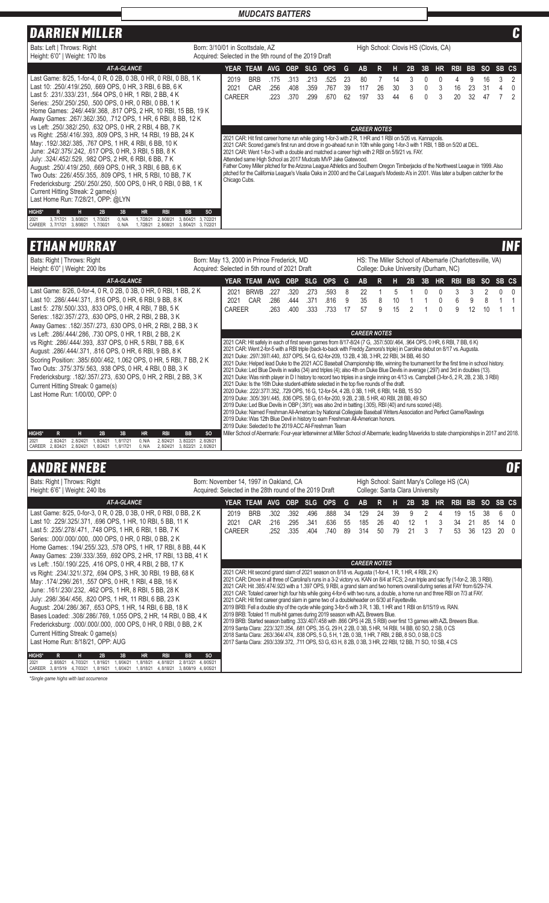# **DARRIEN MILLER C**

| Bats: Left   Throws: Right<br>Height: 6'0"   Weight: 170 lbs                                                                                                                                                                                                                                                                                                                                                                                                                                                                  | Born: 3/10/01 in Scottsdale, AZ<br>High School: Clovis HS (Clovis, CA)<br>Acquired: Selected in the 9th round of the 2019 Draft                                                                                                                                                                                                                                                                                                                                                                                                                                                                        |
|-------------------------------------------------------------------------------------------------------------------------------------------------------------------------------------------------------------------------------------------------------------------------------------------------------------------------------------------------------------------------------------------------------------------------------------------------------------------------------------------------------------------------------|--------------------------------------------------------------------------------------------------------------------------------------------------------------------------------------------------------------------------------------------------------------------------------------------------------------------------------------------------------------------------------------------------------------------------------------------------------------------------------------------------------------------------------------------------------------------------------------------------------|
| AT-A-GLANCE                                                                                                                                                                                                                                                                                                                                                                                                                                                                                                                   | YEAR TEAM AVG OBP SLG OPS<br>G<br>AB<br>R.<br>2B<br>3B<br>HR.<br><b>RBI</b><br>BB<br>SO SB CS<br>н.                                                                                                                                                                                                                                                                                                                                                                                                                                                                                                    |
| Last Game: 8/25, 1-for-4, 0 R, 0 2B, 0 3B, 0 HR, 0 RBI, 0 BB, 1 K<br>Last 10: 250/419/250, 669 OPS, 0 HR, 3 RBI, 6 BB, 6 K<br>Last 5: .231/.333/.231, .564 OPS, 0 HR, 1 RBI, 2 BB, 4 K<br>Series: .250/.250/.250, .500 OPS, 0 HR, 0 RBI, 0 BB, 1 K<br>Home Games: .246/.449/.368, .817 OPS, 2 HR, 10 RBI, 15 BB, 19 K<br>Away Games: .267/.362/.350, .712 OPS, 1 HR, 6 RBI, 8 BB, 12 K<br>vs Left: 250/.382/.250, .632 OPS, 0 HR, 2 RBI, 4 BB, 7 K<br>vs Right: 258/416/393, 809 OPS, 3 HR, 14 RBI, 19 BB, 24 K               | 2019<br><b>BRB</b><br>16<br>3<br>.313<br>.525<br>-23<br>80<br>9<br>.175<br>.213<br>14<br>0<br>4<br>2021<br>CAR<br>.767<br>26<br>23<br>.408<br>39<br>30<br>$\mathbf{0}$<br>3<br>16<br>31<br>.256<br>.359<br>117<br>4<br>CAREER<br>33<br>.370<br>.670<br>ĥ<br>3<br>32<br>47<br>.223<br>.299<br>197<br>20<br>62<br>44<br><b>CAREER NOTES</b><br>2021 CAR: Hit first career home run while going 1-for-3 with 2 R, 1 HR and 1 RBI on 5/26 vs. Kannapolis.                                                                                                                                                  |
| May: .192/.382/.385, .767 OPS, 1 HR, 4 RBI, 6 BB, 10 K<br>June: 242/375/242, 617 OPS, 0 HR, 3 RBI, 5 BB, 8 K<br>July: 324/.452/.529, .982 OPS, 2 HR, 6 RBI, 6 BB, 7 K<br>August: .250/.419/.250, .669 OPS, 0 HR, 3 RBI, 6 BB, 6 K<br>Two Outs: .226/.455/.355, .809 OPS, 1 HR, 5 RBI, 10 BB, 7 K<br>Fredericksburg: .250/.250/.250, .500 OPS, 0 HR, 0 RBI, 0 BB, 1 K<br>Current Hitting Streak: 2 game(s)<br>Last Home Run: 7/28/21, OPP: @LYN<br><b>HIGHS*</b><br><b>HR</b><br><b>RBI</b><br><b>BB</b><br>R<br>н<br>2B<br>3B | 2021 CAR: Scored game's first run and drove in go-ahead run in 10th while going 1-for-3 with 1 RBI, 1 BB on 5/20 at DEL.<br>2021 CAR: Went 1-for-3 with a double and matched a career high with 2 RBI on 5/9/21 vs. FAY.<br>Attended same High School as 2017 Mudcats MVP Jake Gatewood.<br>Father Corey Miller pitched for the Arizona League Athletics and Southern Oregon Timberjacks of the Northwest League in 1999. Also<br>pitched for the California League's Visalia Oaks in 2000 and the Cal League's Modesto A's in 2001. Was later a bullpen catcher for the<br>Chicago Cubs.<br><b>SO</b> |
| 3.8/04/21 3.7/22/21<br>2021<br>3.7/17/21<br>3.8/08/21<br>1.7/30/21<br>0. N/A<br>1.7/28/21<br>2.8/08/21<br>CAREER<br>3.7/17/21<br>3.8/08/21<br>1.7/30/21<br>0. N/A<br>1.7/28/21<br>2.8/08/21<br>3.8/04/21 3.7/22/21                                                                                                                                                                                                                                                                                                            |                                                                                                                                                                                                                                                                                                                                                                                                                                                                                                                                                                                                        |

# **ETHAN MURRAY INF**

| Bats: Right   Throws: Right<br>Height: 6'0"   Weight: 200 lbs                                                                                                                                                                                                                                                                                                                                                                                                                                                                                                                                                                                                                                                                                                                             | Born: May 13, 2000 in Prince Frederick, MD<br>Acquired: Selected in 5th round of 2021 Draft |                               |                                                                                                                                                                                                                                                                                                                                                                                                                                                                                                                                                                                                                                                                                                                                                                                                                                                                                                                                                                                                                                                                                                                                                                                                                                                                                                                                                                                                                              |                      |                      |                      |                      |              |                                       |        | HS: The Miller School of Albemarle (Charlottesville, VA)<br>College: Duke University (Durham, NC) |    |    |           |            |     |           |       |  |
|-------------------------------------------------------------------------------------------------------------------------------------------------------------------------------------------------------------------------------------------------------------------------------------------------------------------------------------------------------------------------------------------------------------------------------------------------------------------------------------------------------------------------------------------------------------------------------------------------------------------------------------------------------------------------------------------------------------------------------------------------------------------------------------------|---------------------------------------------------------------------------------------------|-------------------------------|------------------------------------------------------------------------------------------------------------------------------------------------------------------------------------------------------------------------------------------------------------------------------------------------------------------------------------------------------------------------------------------------------------------------------------------------------------------------------------------------------------------------------------------------------------------------------------------------------------------------------------------------------------------------------------------------------------------------------------------------------------------------------------------------------------------------------------------------------------------------------------------------------------------------------------------------------------------------------------------------------------------------------------------------------------------------------------------------------------------------------------------------------------------------------------------------------------------------------------------------------------------------------------------------------------------------------------------------------------------------------------------------------------------------------|----------------------|----------------------|----------------------|----------------------|--------------|---------------------------------------|--------|---------------------------------------------------------------------------------------------------|----|----|-----------|------------|-----|-----------|-------|--|
| <b>AT-A-GLANCE</b>                                                                                                                                                                                                                                                                                                                                                                                                                                                                                                                                                                                                                                                                                                                                                                        |                                                                                             |                               | <b>YEAR TEAM</b>                                                                                                                                                                                                                                                                                                                                                                                                                                                                                                                                                                                                                                                                                                                                                                                                                                                                                                                                                                                                                                                                                                                                                                                                                                                                                                                                                                                                             | AVG.                 | <b>OBP</b>           | <b>SLG</b>           | <b>OPS</b>           | G            | <b>AB</b>                             | R      | н                                                                                                 | 2B | 3B | <b>HR</b> | <b>RBI</b> | BB. | <b>SO</b> | SB CS |  |
| Last Game: 8/26, 0-for-4, 0 R, 0 2B, 0 3B, 0 HR, 0 RBI, 1 BB, 2 K<br>Last 10: 286/444/371, 816 OPS, 0 HR, 6 RBI, 9 BB, 8 K<br>Last 5: .278/.500/.333, .833 OPS, 0 HR, 4 RBI, 7 BB, 5 K<br>Series: .182/.357/.273, .630 OPS, 0 HR, 2 RBI, 2 BB, 3 K<br>Away Games: .182/.357/.273, .630 OPS, 0 HR, 2 RBI, 2 BB, 3 K<br>vs Left: .286/.444/.286, .730 OPS, 0 HR, 1 RBI, 2 BB, 2 K<br>vs Right: .286/.444/.393, .837 OPS, 0 HR, 5 RBI, 7 BB, 6 K<br>August: .286/.444/.371, .816 OPS, 0 HR, 6 RBI, 9 BB, 8 K<br>Scoring Position: .385/.600/.462, 1.062 OPS, 0 HR, 5 RBI, 7 BB, 2 K<br>Two Outs: .375/.375/.563, .938 OPS, 0 HR, 4 RBI, 0 BB, 3 K<br>Fredericksburg: .182/.357/.273, .630 OPS, 0 HR, 2 RBI, 2 BB, 3 K<br>Current Hitting Streak: 0 game(s)<br>Last Home Run: 1/00/00, OPP: 0 |                                                                                             | 2021<br>2021<br><b>CAREER</b> | <b>BRWB</b><br>CAR<br>2021 CAR: Hit safely in each of first seven games from 8/17-8/24 (7 G, .357/.500/.464, .964 OPS, 0 HR, 6 RBI, 7 BB, 6 K)<br>2021 CAR: Went 2-for-5 with a RBI triple (back-to-back with Freddy Zamora's triple) in Carolina debut on 8/17 vs. Augusta.<br>2021 Duke: .297/.397/.440, .837 OPS, 54 G, 62-for-209, 13 2B, 4 3B, 3 HR, 22 RBI, 34 BB, 46 SO<br>2021 Duke: Helped lead Duke to the 2021 ACC Baseball Championship title, winning the tournament for the first time in school history.<br>2021 Duke: Led Blue Devils in walks (34) and triples (4); also 4th on Duke Blue Devils in average (.297) and 3rd in doubles (13).<br>2021 Duke: Was ninth player in D I history to record two triples in a single inning on 4/13 vs. Campbell (3-for-5, 2 R, 2B, 2 3B, 3 RBI)<br>2021 Duke: Is the 16th Duke student-athlete selected in the top five rounds of the draft.<br>2020 Duke: .222/.377/.352, .729 OPS, 16 G, 12-for-54, 4 2B, 0 3B, 1 HR, 6 RBI, 14 BB, 15 SO<br>2019 Duke: .305/.391/.445, .836 OPS, 58 G, 61-for-200, 9 2B, 2 3B, 5 HR, 40 RBI, 28 BB, 49 SO<br>2019 Duke: Led Blue Devils in OBP (.391); was also 2nd in batting (.305), RBI (40) and runs scored (48).<br>2019 Duke: Named Freshman All-American by National Collegiate Baseball Writers Association and Perfect Game/Rawlings<br>2019 Duke: Was 12th Blue Devil in history to earn Freshman All-American honors. | .227<br>.286<br>.263 | .320<br>.444<br>.400 | .273<br>.371<br>.333 | .593<br>.816<br>.733 | 8<br>9<br>17 | 22<br>35<br>57<br><b>CAREER NOTES</b> | 8<br>9 | 10<br>15                                                                                          |    |    |           | 9          | 12  | 10        |       |  |
| <b>HIGHS*</b><br>н<br>2B<br>3B<br>$\mathbf R$<br><b>HR</b><br><b>RBI</b><br><b>BB</b>                                                                                                                                                                                                                                                                                                                                                                                                                                                                                                                                                                                                                                                                                                     | <sub>SO</sub>                                                                               |                               | 2019 Duke: Selected to the 2019 ACC All-Freshman Team<br>Miller School of Abermarle: Four-year letterwinner at Miller School of Albermarle; leading Mavericks to state championships in 2017 and 2018.                                                                                                                                                                                                                                                                                                                                                                                                                                                                                                                                                                                                                                                                                                                                                                                                                                                                                                                                                                                                                                                                                                                                                                                                                       |                      |                      |                      |                      |              |                                       |        |                                                                                                   |    |    |           |            |     |           |       |  |
| 2021<br>2.8/24/21<br>2.8/24/21<br>8/24/21<br>.8/17/21<br>0. N/A<br>2.8/24/21<br>3.8/22/21<br>CAREER<br>2.8/24/21<br>2.8/24/21<br>1.8/24/21<br>1.8/17/21<br>0. N/A<br>2.8/24/21<br>3.8/22/21                                                                                                                                                                                                                                                                                                                                                                                                                                                                                                                                                                                               | 2.8/26/21<br>2.8/26/21                                                                      |                               |                                                                                                                                                                                                                                                                                                                                                                                                                                                                                                                                                                                                                                                                                                                                                                                                                                                                                                                                                                                                                                                                                                                                                                                                                                                                                                                                                                                                                              |                      |                      |                      |                      |              |                                       |        |                                                                                                   |    |    |           |            |     |           |       |  |

# ANDRE NNEBE OF

| Bats: Right   Throws: Right<br>Height: 6'6"   Weight: 240 lbs                                                                                                                                                                                                                                                                                                                                                                                                                                                                                                                                                                                                                                                                                                                                                                                                                                                                                                                                  | Born: November 14, 1997 in Oakland, CA<br>Acquired: Selected in the 28th round of the 2019 Draft |                                                                                                                                                                                                                                                                                                                                                                                                                                                                                                                                                                                                                                                                                                                                                                                                                                                                                                                                                                                                                                                                                                                                                                                                                                                                                                                    |                   |                      |                      |                      |                      |                | High School: Saint Mary's College HS (CA)<br>College: Santa Clara University |                |                |               |        |           |                |                |                 |               |                      |
|------------------------------------------------------------------------------------------------------------------------------------------------------------------------------------------------------------------------------------------------------------------------------------------------------------------------------------------------------------------------------------------------------------------------------------------------------------------------------------------------------------------------------------------------------------------------------------------------------------------------------------------------------------------------------------------------------------------------------------------------------------------------------------------------------------------------------------------------------------------------------------------------------------------------------------------------------------------------------------------------|--------------------------------------------------------------------------------------------------|--------------------------------------------------------------------------------------------------------------------------------------------------------------------------------------------------------------------------------------------------------------------------------------------------------------------------------------------------------------------------------------------------------------------------------------------------------------------------------------------------------------------------------------------------------------------------------------------------------------------------------------------------------------------------------------------------------------------------------------------------------------------------------------------------------------------------------------------------------------------------------------------------------------------------------------------------------------------------------------------------------------------------------------------------------------------------------------------------------------------------------------------------------------------------------------------------------------------------------------------------------------------------------------------------------------------|-------------------|----------------------|----------------------|----------------------|----------------------|----------------|------------------------------------------------------------------------------|----------------|----------------|---------------|--------|-----------|----------------|----------------|-----------------|---------------|----------------------|
| <b>AT-A-GLANCE</b>                                                                                                                                                                                                                                                                                                                                                                                                                                                                                                                                                                                                                                                                                                                                                                                                                                                                                                                                                                             |                                                                                                  | YEAR TEAM                                                                                                                                                                                                                                                                                                                                                                                                                                                                                                                                                                                                                                                                                                                                                                                                                                                                                                                                                                                                                                                                                                                                                                                                                                                                                                          |                   | AVG OBP              |                      | <b>SLG</b>           | <b>OPS</b>           | G              | <b>AB</b>                                                                    | R              | н              | 2B            | 3B     | <b>HR</b> | RBI BB         |                | <b>SO</b>       | SB CS         |                      |
| Last Game: 8/25, 0-for-3, 0 R, 0 2B, 0 3B, 0 HR, 0 RBI, 0 BB, 2 K<br>Last 10: 229/325/371, 696 OPS, 1 HR, 10 RBI, 5 BB, 11 K<br>Last 5: .235/.278/.471, .748 OPS, 1 HR, 6 RBI, 1 BB, 7 K<br>Series: .000/.000/.000, .000 OPS, 0 HR, 0 RBI, 0 BB, 2 K<br>Home Games: .194/.255/.323, .578 OPS, 1 HR, 17 RBI, 8 BB, 44 K<br>Away Games: .239/.333/.359, .692 OPS, 2 HR, 17 RBI, 13 BB, 41 K<br>l vs    Left: .150/.190/.225, .416    OPS, 0 HR, 4 RBI, 2 BB, 17 K<br>  vs Right: .234/.321/.372, .694 OPS, 3 HR, 30 RBI, 19 BB, 68 K<br>May: .174/.296/.261, .557 OPS, 0 HR, 1 RBI, 4 BB, 16 K<br>June: .161/.230/.232, .462 OPS, 1 HR, 8 RBI, 5 BB, 28 K<br>July: .298/.364/.456, .820 OPS, 1 HR, 11 RBI, 6 BB, 23 K<br>August: 204/286/367, 653 OPS, 1 HR, 14 RBI, 6 BB, 18 K<br>Bases Loaded: .308/.286/.769, 1.055 OPS, 2 HR, 14 RBI, 0 BB, 4 K<br>Fredericksburg: .000/.000/.000, .000 OPS, 0 HR, 0 RBI, 0 BB, 2 K<br>Current Hitting Streak: 0 game(s)<br>Last Home Run: 8/18/21, OPP: AUG |                                                                                                  | 2019<br>2021<br><b>CAREER</b><br>2021 CAR: Hit second grand slam of 2021 season on 8/18 vs. Augusta (1-for-4, 1 R, 1 HR, 4 RBI, 2 K)<br>2021 CAR: Drove in all three of Carolina's runs in a 3-2 victory vs. KAN on 8/4 at FCS; 2-run triple and sac fly (1-for-2, 3B, 3 RBI).<br>2021 CAR: Hit .385/474/.923 with a 1.397 OPS, 9 RBI, a grand slam and two homers overall during series at FAY from 6/29-7/4.<br>2021 CAR: Totaled career high four hits while going 4-for-6 with two runs, a double, a home run and three RBI on 7/3 at FAY.<br>2021 CAR: Hit first career grand slam in game two of a doubleheader on 6/30 at Fayetteville.<br>2019 BRB: Fell a double shy of the cycle while going 3-for-5 with 3 R, 1 3B, 1 HR and 1 RBI on 8/15/19 vs. RAN<br>2019 BRB: Totaled 11 multi-hit games during 2019 season with AZL Brewers Blue.<br>2019 BRB: Started season batting .333/.407/.458 with .866 OPS (4 2B, 5 RBI) over first 13 games with AZL Brewers Blue.<br>2019 Santa Clara: .223/.327/.354, .681 OPS, 35 G, 29 H, 2 2B, 0 3B, 5 HR, 14 RBI, 14 BB, 60 SO, 2 SB, 0 CS<br>2018 Santa Clara: .263/.364/.474, .838 OPS, 5 G, 5 H, 1 2B, 0 3B, 1 HR, 7 RBI, 2 BB, 8 SO, 0 SB, 0 CS<br>2017 Santa Clara: .293/.339/.372, .711 OPS, 53 G, 63 H, 8 2B, 0 3B, 3 HR, 22 RBI, 12 BB, 71 SO, 10 SB, 4 CS | <b>BRB</b><br>CAR | .302<br>.216<br>.252 | .392<br>.295<br>.335 | .496<br>.341<br>.404 | .888<br>.636<br>.740 | 34<br>55<br>89 | 129<br>185<br>314<br><b>CAREER NOTES</b>                                     | 24<br>26<br>50 | 39<br>40<br>79 | 9<br>12<br>21 | 2<br>3 | 3         | 19<br>34<br>53 | 15<br>21<br>36 | 38<br>85<br>123 | 6<br>14<br>20 | $\Omega$<br>$\Omega$ |
| <b>HIGHS*</b><br>3B<br>2B<br><b>HR</b><br><b>RBI</b><br><b>BB</b><br>R<br>2021<br>2.8/08/21<br>4.7/03/21<br>.8/19/21<br>.8/04/21<br>.8/18/21<br>4.8/18/21<br>2.8/13/21<br>CAREER 3.8/15/19<br>.8/19/21<br>.8/18/21<br>4.7/03/21<br>.8/04/21<br>4.8/18/21                                                                                                                                                                                                                                                                                                                                                                                                                                                                                                                                                                                                                                                                                                                                       | <sub>SO</sub><br>4.8/05/21<br>3.8/08/19 4.8/05/21                                                |                                                                                                                                                                                                                                                                                                                                                                                                                                                                                                                                                                                                                                                                                                                                                                                                                                                                                                                                                                                                                                                                                                                                                                                                                                                                                                                    |                   |                      |                      |                      |                      |                |                                                                              |                |                |               |        |           |                |                |                 |               |                      |

*\*Single game highs with last occurrence*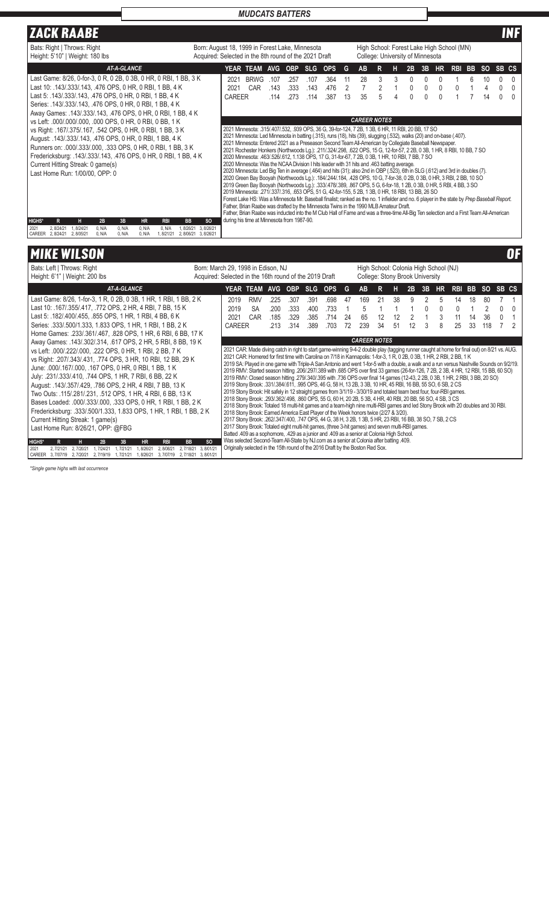| <b>ZACK RAABE</b>                                                                                                                                                                                                                                                                                                                                                                                                                                                                                                                                                                                                                                                                                                                                                                                    |                                                                                                                                                                                                                                                                                                                                                                                                                                                                                                                                                                                                                                                                                                                                                                                                                                                                                                                                                           | INF                                                                                                                                                                                                                                                                                                                                                                                                                                                                                                                                                                                                                                                                                                                                                                                                                                                                                                                                                                                  |
|------------------------------------------------------------------------------------------------------------------------------------------------------------------------------------------------------------------------------------------------------------------------------------------------------------------------------------------------------------------------------------------------------------------------------------------------------------------------------------------------------------------------------------------------------------------------------------------------------------------------------------------------------------------------------------------------------------------------------------------------------------------------------------------------------|-----------------------------------------------------------------------------------------------------------------------------------------------------------------------------------------------------------------------------------------------------------------------------------------------------------------------------------------------------------------------------------------------------------------------------------------------------------------------------------------------------------------------------------------------------------------------------------------------------------------------------------------------------------------------------------------------------------------------------------------------------------------------------------------------------------------------------------------------------------------------------------------------------------------------------------------------------------|--------------------------------------------------------------------------------------------------------------------------------------------------------------------------------------------------------------------------------------------------------------------------------------------------------------------------------------------------------------------------------------------------------------------------------------------------------------------------------------------------------------------------------------------------------------------------------------------------------------------------------------------------------------------------------------------------------------------------------------------------------------------------------------------------------------------------------------------------------------------------------------------------------------------------------------------------------------------------------------|
| Bats: Right   Throws: Right<br>Height: 5'10"   Weight: 180 lbs                                                                                                                                                                                                                                                                                                                                                                                                                                                                                                                                                                                                                                                                                                                                       | Born: August 18, 1999 in Forest Lake, Minnesota<br>Acquired: Selected in the 8th round of the 2021 Draft                                                                                                                                                                                                                                                                                                                                                                                                                                                                                                                                                                                                                                                                                                                                                                                                                                                  | High School: Forest Lake High School (MN)<br>College: University of Minnesota                                                                                                                                                                                                                                                                                                                                                                                                                                                                                                                                                                                                                                                                                                                                                                                                                                                                                                        |
| <b>AT-A-GLANCE</b>                                                                                                                                                                                                                                                                                                                                                                                                                                                                                                                                                                                                                                                                                                                                                                                   | <b>YEAR TEAM</b><br>OBP SLG<br><b>OPS</b><br>AVG                                                                                                                                                                                                                                                                                                                                                                                                                                                                                                                                                                                                                                                                                                                                                                                                                                                                                                          | <b>AB</b><br>G<br><b>HR</b><br><b>RBI</b><br>BB.<br>R<br>3B<br>-SO<br>SB CS<br>2B<br>н                                                                                                                                                                                                                                                                                                                                                                                                                                                                                                                                                                                                                                                                                                                                                                                                                                                                                               |
| Last Game: 8/26, 0-for-3, 0 R, 0 2B, 0 3B, 0 HR, 0 RBI, 1 BB, 3 K<br>Last 10: 143/333/143, 476 OPS, 0 HR, 0 RBI, 1 BB, 4 K<br>Last 5: .143/.333/.143, .476 OPS, 0 HR, 0 RBI, 1 BB, 4 K<br>Series: .143/.333/.143, .476 OPS, 0 HR, 0 RBI, 1 BB, 4 K<br>Away Games: .143/.333/.143, .476 OPS, 0 HR, 0 RBI, 1 BB, 4 K<br>vs Left: .000/.000/.000, .000 OPS, 0 HR, 0 RBI, 0 BB, 1 K<br>vs Right: .167/.375/.167, .542 OPS, 0 HR, 0 RBI, 1 BB, 3 K<br>August: .143/.333/.143, .476 OPS, 0 HR, 0 RBI, 1 BB, 4 K<br>Runners on: .000/.333/.000, .333 OPS, 0 HR, 0 RBI, 1 BB, 3 K<br>Fredericksburg: .143/.333/.143, .476 OPS, 0 HR, 0 RBI, 1 BB, 4 K<br>Current Hitting Streak: 0 game(s)<br>Last Home Run: 1/00/00, OPP: 0<br><b>HIGHS*</b><br><b>BB</b><br>2B<br>3B<br><b>HR</b><br><b>RBI</b><br>R<br>н. | <b>BRWG</b><br>2021<br>.364<br>.107<br>.107<br>.257<br>.143<br>2021<br>CAR<br>.333<br>.143<br>.476<br>.273<br>.387<br><b>CAREER</b><br>.114<br>.114<br>2021 Minnesota: .315/.407/.532, .939 OPS, 36 G, 39-for-124, 7 2B, 1 3B, 6 HR, 11 RBI, 20 BB, 17 SO<br>2021 Minnesota: Led Minnesota in batting (.315), runs (18), hits (39), slugging (.532), walks (20) and on-base (.407).<br>2021 Minnesota: Entered 2021 as a Preseason Second Team All-American by Collegiate Baseball Newspaper.<br>2020 Minnesota: .463/.526/.612, 1.138 OPS, 17 G, 31-for-67, 7 2B, 0 3B, 1 HR, 10 RBI, 7 BB, 7 SO<br>2020 Minnesota: Was the NCAA Division I hits leader with 31 hits and .463 batting average.<br>2019 Minnesota: .271/.337/.316, .653 OPS, 51 G, 42-for-155, 5 2B, 1 3B, 0 HR, 18 RBI, 13 BB, 26 SO<br>Father, Brian Raabe was drafted by the Minnesota Twins in the 1990 MLB Amateur Draft.<br>during his time at Minnesota from 1987-90.<br><b>SO</b> | 28<br>3<br>3<br>10<br>0<br>11<br>0<br>0<br>6<br>0<br>$\mathfrak{D}$<br>0<br>$\Omega$<br>2<br>0<br>$\cup$<br>35<br>13<br>0<br>14<br>5<br><sup>0</sup><br><b>CAREER NOTES</b><br>2021 Rochester Honkers (Northwoods Lg.): .211/.324/.298, .622 OPS, 15 G, 12-for-57, 2 2B, 0 3B, 1 HR, 8 RBI, 10 BB, 7 SO<br>2020 Minnesota: Led Big Ten in average (.464) and hits (31); also 2nd in OBP (.523), 6th in SLG (.612) and 3rd in doubles (7).<br>2020 Green Bay Booyah (Northwoods Lg.): .184/.244/.184, .428 OPS, 10 G, 7-for-38, 0 2B, 0 3B, 0 HR, 3 RBI, 2 BB, 10 SO<br>2019 Green Bay Booyah (Northwoods Lg.): .333/.478/.389, .867 OPS, 5 G, 6-for-18, 1 2B, 0 3B, 0 HR, 5 RBI, 4 BB, 3 SO<br>Forest Lake HS: Was a Minnesota Mr. Baseball finalist; ranked as the no. 1 infielder and no. 6 player in the state by Prep Baseball Report.<br>Father, Brian Raabe was inducted into the M Club Hall of Fame and was a three-time All-Big Ten selection and a First Team All-American |
| 2.8/24/21<br>0. N/A<br>0. N/A<br>1.8/26/21<br>2021<br>1.8/24/21<br>0. N/A<br>0. N/A<br>CAREER 2.8/24/21<br>2.8/05/21<br>0. N/A<br>0. N/A<br>0. N/A<br>1.8/21/21<br>2.8/06/21 3.8/26/21                                                                                                                                                                                                                                                                                                                                                                                                                                                                                                                                                                                                               | 3.8/26/21                                                                                                                                                                                                                                                                                                                                                                                                                                                                                                                                                                                                                                                                                                                                                                                                                                                                                                                                                 |                                                                                                                                                                                                                                                                                                                                                                                                                                                                                                                                                                                                                                                                                                                                                                                                                                                                                                                                                                                      |

# MIKE WILSON OF

| Bats: Left   Throws: Right<br>Height: 6'1"   Weight: 200 lbs                                                                                                                                                                                                                                                    |                                     | Born: March 29, 1998 in Edison, NJ<br>High School: Colonia High School (NJ)<br>Acquired: Selected in the 16th round of the 2019 Draft<br>College: Stony Brook University                                                                                                                                                                                                                                                                                                                                                                                                                                                                                                                        |                  |              |              |              |              |    |         |    |    |    |    |           |            |           |           |       |  |
|-----------------------------------------------------------------------------------------------------------------------------------------------------------------------------------------------------------------------------------------------------------------------------------------------------------------|-------------------------------------|-------------------------------------------------------------------------------------------------------------------------------------------------------------------------------------------------------------------------------------------------------------------------------------------------------------------------------------------------------------------------------------------------------------------------------------------------------------------------------------------------------------------------------------------------------------------------------------------------------------------------------------------------------------------------------------------------|------------------|--------------|--------------|--------------|--------------|----|---------|----|----|----|----|-----------|------------|-----------|-----------|-------|--|
| <b>AT-A-GLANCE</b>                                                                                                                                                                                                                                                                                              |                                     | <b>YEAR TEAM</b>                                                                                                                                                                                                                                                                                                                                                                                                                                                                                                                                                                                                                                                                                |                  | <b>AVG</b>   | <b>OBP</b>   | - SLG        | <b>OPS</b>   | G  | AB      |    |    | 2B | 3B | <b>HR</b> | <b>RBI</b> | <b>BB</b> | <b>SO</b> | SB CS |  |
| Last Game: 8/26, 1-for-3, 1 R, 0 2B, 0 3B, 1 HR, 1 RBI, 1 BB, 2 K                                                                                                                                                                                                                                               |                                     | 2019                                                                                                                                                                                                                                                                                                                                                                                                                                                                                                                                                                                                                                                                                            | <b>RMV</b>       | .225         | .307         | .391         | .698         | 47 | 169     | 21 | 38 | 9  |    | 5         | 14         | 18        | 80        |       |  |
| Last 10: .167/.355/.417, .772 OPS, 2 HR, 4 RBI, 7 BB, 15 K<br>Last 5: .182/.400/.455, .855 OPS, 1 HR, 1 RBI, 4 BB, 6 K                                                                                                                                                                                          |                                     | 2019<br>2021                                                                                                                                                                                                                                                                                                                                                                                                                                                                                                                                                                                                                                                                                    | <b>SA</b><br>CAR | .200<br>.185 | .333<br>.329 | .400<br>.385 | .733<br>.714 | 24 | 5<br>65 | 12 | 12 |    |    | 3         | 11         | 14        | 36        |       |  |
| Series: .333/.500/1.333, 1.833 OPS, 1 HR, 1 RBI, 1 BB, 2 K                                                                                                                                                                                                                                                      |                                     | <b>CAREER</b>                                                                                                                                                                                                                                                                                                                                                                                                                                                                                                                                                                                                                                                                                   |                  | .213         | .314         | .389         | .703         | 72 | 239     | 34 | 51 | 12 | 3  | 8         | 25         | 33        | 118       |       |  |
| Home Games: .233/.361/.467, .828 OPS, 1 HR, 6 RBI, 6 BB, 17 K                                                                                                                                                                                                                                                   | <b>CAREER NOTES</b>                 |                                                                                                                                                                                                                                                                                                                                                                                                                                                                                                                                                                                                                                                                                                 |                  |              |              |              |              |    |         |    |    |    |    |           |            |           |           |       |  |
| Away Games: .143/.302/.314, .617 OPS, 2 HR, 5 RBI, 8 BB, 19 K<br>vs Left: 000/.222/.000, .222 OPS, 0 HR, 1 RBI, 2 BB, 7 K<br>vs Right: .207/.343/.431, .774 OPS, 3 HR, 10 RBI, 12 BB, 29 K<br>June: .000/.167/.000, .167 OPS, 0 HR, 0 RBI, 1 BB, 1 K<br>July: .231/.333/.410, .744 OPS, 1 HR, 7 RBI, 6 BB, 22 K |                                     | 2021 CAR: Made diving catch in right to start game-winning 9-4-2 double play (tagging runner caught at home for final out) on 8/21 vs. AUG.<br>2021 CAR: Homered for first time with Carolina on 7/18 in Kannapolis: 1-for-3, 1 R, 0 2B, 0 3B, 1 HR, 2 RBI, 2 BB, 1 K<br>2019 SA: Played in one game with Triple-A San Antonio and went 1-for-5 with a double, a walk and a run versus Nashville Sounds on 9/2/19.<br>206, 206, 206, 207, 206, 207, 206, 207, 208 with 0.685 OPS over first 33 games (26-for-126, 7 2B, 2 3B, 4 HR, 12 RBI, 15 BB, 60 SO)<br>20 20 20 BMV: Closed season hitting .279/.340/.395 with .736 OPS over final 14 games (12-43, 2 2B, 0 3B, 1 HR, 2 RBI, 3 BB, 20 SO) |                  |              |              |              |              |    |         |    |    |    |    |           |            |           |           |       |  |
| August: .143/.357/.429, .786 OPS, 2 HR, 4 RBI, 7 BB, 13 K<br>Two Outs: .115/.281/.231, .512 OPS, 1 HR, 4 RBI, 6 BB, 13 K<br>Bases Loaded: .000/.333/.000, .333 OPS, 0 HR, 1 RBI, 1 BB, 2 K<br>Fredericksburg: .333/.500/1.333, 1.833 OPS, 1 HR, 1 RBI, 1 BB, 2 K<br>Current Hitting Streak: 1 game(s)           |                                     | 2019 Stony Brook: .331/.384/.611, .995 OPS, 46 G, 58 H, 13 2B, 3 3B, 10 HR, 45 RBI, 16 BB, 55 SO, 6 SB, 2 CS<br>2019 Stony Brook: Hit safely in 12 straight games from 3/1/19 - 3/30/19 and totaled team best four, four-RBI games.<br>2018 Stony Brook: .293/.362/.498, .860 OPS, 55 G, 60 H, 20 2B, 5 3B, 4 HR, 40 RBI, 20 BB, 56 SO, 4 SB, 3 CS<br>2018 Stony Brook: Totaled 18 multi-hit games and a team-high nine multi-RBI games and led Stony Brook with 20 doubles and 30 RBI.<br>2018 Stony Brook: Earned America East Player of the Week honors twice (2/27 & 3/20).<br>2017 Stony Brook: .262/.347/.400, .747 OPS, 44 G, 38 H, 3 2B, 1 3B, 5 HR, 23 RBI, 16 BB, 38 SO, 7 SB, 2 CS   |                  |              |              |              |              |    |         |    |    |    |    |           |            |           |           |       |  |
| Last Home Run: 8/26/21, OPP: @FBG<br><b>HIGHS*</b><br>3B<br><b>RBI</b><br><b>BB</b><br>2B<br><b>HR</b><br>2021<br>.7/21/21<br>.8/26/2<br>2.8/08/21<br>2.7/21/2<br>2.7/20/21<br>7/24/2<br><b>CAREER</b><br>8/26/21<br>2.7/18/21<br>3.7/07/19<br>2.7/20/21<br>2.7/19/19<br>1.7/21/21<br>3.7/07/19                 | <b>SO</b><br>3.8/01/21<br>3.8/01/21 | 2017 Stony Brook: Totaled eight multi-hit games, (three 3-hit games) and seven multi-RBI games.<br>Batted .409 as a sophomore, .429 as a junior and .409 as a senior at Colonia High School.<br>Was selected Second-Team All-State by NJ.com as a senior at Colonia after batting .409.<br>Originally selected in the 15th round of the 2016 Draft by the Boston Red Sox.                                                                                                                                                                                                                                                                                                                       |                  |              |              |              |              |    |         |    |    |    |    |           |            |           |           |       |  |

*\*Single game highs with last occurrence*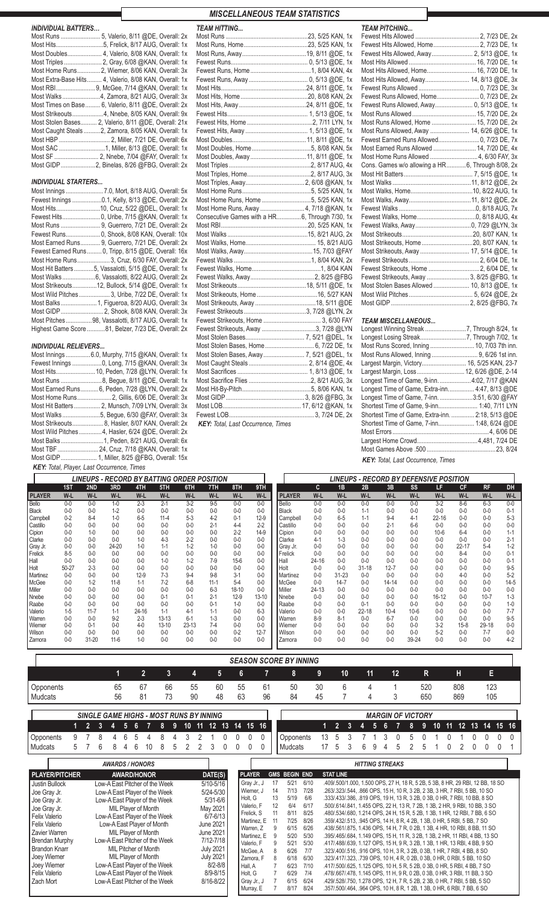| <b>INDIVIDUAL BATTERS</b> |                                                        |
|---------------------------|--------------------------------------------------------|
|                           |                                                        |
|                           |                                                        |
|                           | Most Doubles 4, Valerio, 8/08 KAN, Overall: 1x         |
|                           |                                                        |
|                           | Most Home Runs 2, Wiemer, 8/06 KAN, Overall: 3x        |
|                           | Most Extra-Base Hits 4, Valerio, 8/08 KAN, Overall: 1x |
|                           |                                                        |
|                           | Most Walks 4, Zamora, 8/21 AUG, Overall: 3x            |
|                           | Most Times on Base  6, Valerio, 8/11 @DE, Overall: 2x  |
|                           | Most Strikeouts4, Nnebe, 8/05 KAN, Overall: 9x         |
|                           | Most Stolen Bases 2, Valerio, 8/11 @DE, Overall: 21x   |
|                           | Most Caught Steals  2, Zamora, 8/05 KAN, Overall: 1x   |
|                           |                                                        |
|                           |                                                        |
|                           |                                                        |
|                           |                                                        |

### *INDIVIDUAL STARTERS...*

| Most Innings  7.0, Mort, 8/18 AUG, Overall: 5x       |
|------------------------------------------------------|
| Fewest Innings 0.1, Kelly, 8/13 @DE, Overall: 2x     |
| Most Hits10, Cruz, 5/22 @DEL, Overall: 1x            |
| Fewest Hits 0, Uribe, 7/15 @KAN, Overall: 1x         |
| Most Runs  9, Guerrero, 7/21 DE, Overall: 2x         |
| Fewest Runs 0, Shook, 8/08 KAN, Overall: 10x         |
| Most Earned Runs 9, Guerrero, 7/21 DE, Overall: 2x   |
| Fewest Earned Runs 0, Tripp, 8/15 @DE, Overall: 16x  |
| Most Home Runs 3, Cruz, 6/30 FAY, Overall: 2x        |
| Most Hit Batters5, Vassalotti, 5/15 @DE, Overall: 1x |
|                                                      |
| Most Strikeouts12, Bullock, 5/14 @DE, Overall: 1x    |
| Most Wild Pitches  3, Uribe, 7/22 DE, Overall: 1x    |
| Most Balks1, Figueroa, 8/20 AUG, Overall: 3x         |
|                                                      |
| Most Pitches98, Vassalotti, 8/17 AUG, Overall: 1x    |
| Highest Game Score 81, Belzer, 7/23 DE, Overall: 2x  |

### RELIEF PITCHERS… ........................................................... *INDIVIDUAL RELIEVERS...*

| Most Innings  6.0, Murphy, 7/15 @KAN, Overall: 1x   |
|-----------------------------------------------------|
| Fewest Innings 0, Long, 7/15 @KAN, Overall: 3x      |
| Most Hits 10, Peden, 7/28 @LYN, Overall: 1x         |
|                                                     |
| Most Earned Runs 6, Peden, 7/28 @LYN, Overall: 2x   |
|                                                     |
| Most Hit Batters 2, Munsch, 7/09 LYN, Overall: 3x   |
|                                                     |
| Most Strikeouts 8, Hasler, 8/07 KAN, Overall: 2x    |
| Most Wild Pitches  4, Hasler, 6/24 @DE, Overall: 2x |
| Most Balks1, Peden, 8/21 AUG, Overall: 6x           |
| Most TBF  24, Cruz, 7/18 @KAN, Overall: 1x          |
| Most GIDP  1, Miller, 8/25 @FBG, Overall: 15x       |
| <b>KEY:</b> Total, Player, Last Occurrence, Times   |

### Most Runs ..................................................23, 5/25 KAN, 1x Most Runs, Home.......................................23, 5/25 KAN, 1x Most Runs, Away.......................................19, 8/11 @DE, 1x Fewest Runs............................................... 0, 5/13 @DE, 1x Fewest Runs, Home.....................................1, 8/04 KAN, 4x Fewest Runs, Away .................................... 0, 5/13 @DE, 1x Most Hits....................................................24, 8/11 @DE, 1x Most Hits, Home.........................................20, 8/08 KAN, 2x Most Hits, Away .........................................24, 8/11 @DE, 1x Fewest Hits................................................. 1, 5/13 @DE, 1x Fewest Hits, Home ........................................2, 7/11 LYN, 1x Fewest Hits, Away ...................................... 1, 5/13 @DE, 1x Most Doubles.............................................11, 8/11 @DE, 1x Most Doubles, Home....................................5, 8/08 KAN, 5x Most Doubles, Away ..................................11, 8/11 @DE, 1x Most Triples ..................................................2, 8/17 AUG, 4x Most Triples, Home.......................................2, 8/17 AUG, 3x Most Triples, Away.................................... 2, 6/08 @KAN, 1x Most Home Runs..........................................5, 5/25 KAN, 1x Most Home Runs, Home ..............................5, 5/25 KAN, 1x Most Home Runs, Away ........................... 4, 7/18 @KAN, 1x Consecutive Games with a HR...............6, Through 7/30, 1x Most RBI.....................................................20, 5/25 KAN, 1x Most Walks .................................................15, 8/21 AUG, 2x Most Walks, Home........................................... 15, 8/21 AUG Most Walks, Away..........................................15, 7/03 @FAY Fewest Walks ...............................................1, 8/04 KAN, 2x Fewest Walks, Home..........................................1, 8/04 KAN Fewest Walks, Away.......................................2, 8/25 @FBG Most Strikeouts..........................................18, 5/11 @DE, 1x Most Strikeouts, Home .....................................16, 5/27 KAN Most Strikeouts, Away ................................. Fewest Strikeouts......................................3, 7/28 @LYN, 2x Fewest Strikeouts, Home ................................... 3, 6/30 FAY Fewest Strikeouts, Away .................................3, 7/28 @LYN Most Stolen Bases.................................... 7, 5/21 @DEL, 1x Most Stolen Bases, Home.............................. 6, 7/22 DE, 1x Most Stolen Bases, Away ......................... 7, 5/21 @DEL, 1x Most Caught Steals .................................... 2, 8/14 @DE, 4x Most Sacrifices ........................................... 1, 8/13 @DE, 1x Most Sacrifice Flies ......................................2, 8/21 AUG, 3x Most Hit-By-Pitch..........................................5, 8/06 KAN, 1x Most GIDP................................................ 3, 8/26 @FBG, 3x Most LOB................................................ 17, 6/12 @KAN, 1x Fewest LOB.................................................... 3, 7/24 DE, 2x ............................................................................................... *KEY: Total, Last Occurrence, Times*

*MISCELLANEOUS TEAM STATISTICS*

| <b>TEAM HITTING</b>                             | <b>TEAM PITCHING</b>                              |  |
|-------------------------------------------------|---------------------------------------------------|--|
|                                                 |                                                   |  |
|                                                 | Fewest Hits Allowed, Home 2, 7/23 DE, 1x          |  |
|                                                 | Fewest Hits Allowed, Away 2, 5/13 @DE, 1x         |  |
|                                                 |                                                   |  |
|                                                 | Most Hits Allowed, Home 16, 7/20 DE, 1x           |  |
|                                                 | Most Hits Allowed, Away 14, 8/13 @DE, 3x          |  |
|                                                 |                                                   |  |
|                                                 |                                                   |  |
|                                                 |                                                   |  |
|                                                 |                                                   |  |
|                                                 | Most Runs Allowed, Home  15, 7/20 DE, 2x          |  |
|                                                 | Most Runs Allowed, Away  14, 6/26 @DE, 1x         |  |
|                                                 |                                                   |  |
|                                                 | Most Earned Runs Allowed  14, 7/20 DE, 4x         |  |
|                                                 |                                                   |  |
|                                                 | Cons. Games w/o allowing a HR 6, Through 8/08, 2x |  |
|                                                 |                                                   |  |
|                                                 |                                                   |  |
|                                                 |                                                   |  |
|                                                 |                                                   |  |
| Most Home Runs, Away  4, 7/18 @KAN, 1x          |                                                   |  |
| Consecutive Games with a HR 6, Through 7/30, 1x |                                                   |  |
|                                                 |                                                   |  |
|                                                 |                                                   |  |
|                                                 |                                                   |  |
|                                                 | Most Strikeouts, Away  17, 5/14 @DE, 1x           |  |
|                                                 |                                                   |  |
|                                                 |                                                   |  |
|                                                 | Fewest Strikeouts, Away  3, 8/25 @FBG, 1x         |  |
|                                                 | Most Stolen Bases Allowed  10, 8/13 @DE, 1x       |  |
|                                                 |                                                   |  |
|                                                 |                                                   |  |
|                                                 |                                                   |  |
|                                                 | <b>TEAM MISCELLANEOUS</b>                         |  |
| Fewest Strikeouts, Away 3, 7/28 @LYN            |                                                   |  |
|                                                 |                                                   |  |
| Most Ctolen Besse Heme (2.7/22 DE 1v)           | Most Bung Coored Inning (10.7/02.7th inn          |  |

| Most Runs Scored, Inning  10, 7/03 7th inn.       |  |
|---------------------------------------------------|--|
|                                                   |  |
| Largest Margin, Victory 16, 5/25 KAN, 23-7        |  |
| Largest Margin, Loss  12, 6/26 @DE, 2-14          |  |
| Longest Time of Game, 9-inn. 4:02, 7/17 @KAN      |  |
| Longest Time of Game, Extra-inn 4:47, 8/13 @DE    |  |
| Longest Time of Game, 7-inn. 3:51, 6/30 @FAY      |  |
| Shortest Time of Game, 9-inn 1:40, 7/11 LYN       |  |
| Shortest Time of Game, Extra-inn.  2:18, 5/13 @DE |  |
| Shortest Time of Game, 7-inn 1:48, 6/24 @DE       |  |
|                                                   |  |
|                                                   |  |
|                                                   |  |
|                                                   |  |

*KEY: Total, Last Occurrence, Times*

|                 |         |           |          |         |           | <b>LINEUPS - RECORD BY BATTING ORDER POSITION</b> |          |         |          |               |         |           | <b>LINEUPS - RECORD BY DEFENSIVE POSITION</b> |           |           |           |           |           |         |
|-----------------|---------|-----------|----------|---------|-----------|---------------------------------------------------|----------|---------|----------|---------------|---------|-----------|-----------------------------------------------|-----------|-----------|-----------|-----------|-----------|---------|
|                 | 1ST     | 2ND       | 3RD      | 4TH     | 5TH       | 6TH                                               | 7TH      | 8TH     | 9TH      |               | c       | 1B        | 2B                                            | 3B        | <b>SS</b> | LF.       | <b>CF</b> | <b>RF</b> | DH      |
| <b>PLAYER</b>   | W-L     | $W-L$     | W-L      | W-L     | W-L       | W-L                                               | W-L      | W-L     | W-L      | <b>PLAYER</b> | W-L     | $W-L$     | W-L                                           | W-L       | W-L       | W-L       | W-L       | $W-L$     | W-L     |
| <b>Bello</b>    | $0-0$   | $0-0$     | $1-0$    | $2 - 3$ | $2 - 1$   | $3-2$                                             | $9 - 5$  | $0-0$   | $0 - 0$  | Bello         | $0 - 0$ | $0 - 0$   | $0 - 0$                                       | $0 - 0$   | $0 - 0$   | $3 - 2$   | $8 - 6$   | $6 - 3$   | $0 - 0$ |
| <b>Black</b>    | $0-0$   | $0 - 0$   | $1 - 2$  | $0 - 0$ | $0 - 0$   | $0-0$                                             | $0-0$    | $0 - 0$ | $0 - 0$  | <b>Black</b>  | $0 - 0$ | $0 - 0$   | $1 - 1$                                       | $0 - 0$   | $0 - 0$   | $0 - 0$   | $0-0$     | $0 - 0$   | $0 - 1$ |
| <b>Campbell</b> | $0 - 2$ | $8 - 4$   | $1 - 0$  | $6 - 5$ | $11-4$    | $5-3$                                             | $4-2$    | $0 - 1$ | $12-9$   | Campbell      | $0 - 0$ | $6-5$     | $1 - 1$                                       | $9 - 4$   | 4-1       | $22 - 16$ | $0 - 0$   | $0 - 0$   | $5 - 3$ |
| Castillo        | $0-0$   | $0 - 0$   | $0 - 0$  | $0 - 0$ | $0 - 0$   | $0 - 0$                                           | $2 - 1$  | $4 - 4$ | $2 - 2$  | Castillo      | $0 - 0$ | $0 - 0$   | $0 - 0$                                       | $2 - 1$   | $6-6$     | $0 - 0$   | $0 - 0$   | $0 - 0$   | $0 - 0$ |
| Cipion          | $0-0$   | $1 - 0$   | $0 - 0$  | $0 - 0$ | $0 - 0$   | $0 - 0$                                           | $0 - 0$  | $2 - 2$ | $14-9$   | Cipion        | $0 - 0$ | $0 - 0$   | $0 - 0$                                       | $0 - 0$   | $0 - 0$   | $10 - 6$  | $6 - 4$   | $0 - 0$   | 1-1     |
| Clarke          | $0-0$   | $0-0$     | $0 - 0$  | $1 - 0$ | $4-3$     | $2 - 2$                                           | $0-0$    | $0-0$   | $0 - 0$  | Clarke        | $4-1$   | $1 - 3$   | $0 - 0$                                       | $0 - 0$   | $0 - 0$   | $0 - 0$   | $0 - 0$   | $0 - 0$   | $2 - 1$ |
| Gray Jr.        | $0-0$   | $0 - 0$   | 24-20    | $1 - 0$ | $1 - 1$   | $1 - 2$                                           | $1 - 0$  | $0 - 0$ | $0 - 0$  | Gray Jr.      | $0 - 0$ | $0 - 0$   | $0 - 0$                                       | $0 - 0$   | $0 - 0$   | $0 - 0$   | $22 - 17$ | $5-4$     | $1 - 2$ |
| Frelick         | $8 - 5$ | $0 - 0$   | $0 - 0$  | $0 - 0$ | $0 - 0$   | $0 - 0$                                           | $0 - 0$  | $0 - 0$ | $0 - 0$  | Frelick       | $0 - 0$ | $0 - 0$   | $0 - 0$                                       | $0 - 0$   | $0 - 0$   | $0 - 0$   | $8 - 4$   | $0 - 0$   | $0 - 1$ |
| Hall            | $0 - 0$ | $0 - 0$   | $0 - 0$  | $0 - 0$ | $1-0$     | $1 - 2$                                           | $7-9$    | $15-6$  | $0 - 0$  | Hall          | 24-16   | $0 - 0$   | $0 - 0$                                       | $0 - 0$   | $0 - 0$   | $0 - 0$   | $0-0$     | $0 - 0$   | $0 - 1$ |
| Holt            | 50-27   | $2 - 3$   | $0 - 0$  | $0 - 0$ | $0 - 0$   | $0 - 0$                                           | $0 - 0$  | $0 - 0$ | $0 - 0$  | Holt          | $0 - 0$ | $0 - 0$   | $31 - 18$                                     | $12 - 7$  | $0 - 0$   | $0 - 0$   | $0 - 0$   | $0 - 0$   | $9 - 5$ |
| l Martinez      | $0 - 0$ | $0-0$     | $0 - 0$  | $12-9$  | $7-3$     | $9-4$                                             | $9-8$    | 3-1     | $0 - 0$  | Martinez      | $0 - 0$ | $31 - 23$ | $0 - 0$                                       | $0 - 0$   | $0 - 0$   | $0-0$     | $4-0$     | $0-0$     | $5-2$   |
| McGee           | $0 - 0$ | $1 - 2$   | $11 - 8$ | $1 - 1$ | $7-2$     | $6 - 8$                                           | $11 - 1$ | $5-4$   | $0 - 0$  | McGee         | $0 - 0$ | $14-7$    | $0 - 0$                                       | $14 - 14$ | $0 - 0$   | $0 - 0$   | $0 - 0$   | $0 - 0$   | $14-5$  |
| <b>Miller</b>   | $0 - 0$ | $0 - 0$   | $0 - 0$  | $0 - 0$ | $0 - 0$   | $0 - 0$                                           | $6 - 3$  | 18-10   | $0 - 0$  | Miller        | 24-13   | $0 - 0$   | $0 - 0$                                       | $0 - 0$   | $0 - 0$   | $0 - 0$   | $0 - 0$   | $0 - 0$   | $0 - 0$ |
| l Nnebe         | $0-0$   | $0-0$     | $0 - 0$  | $0 - 0$ | $0 - 1$   | $0 - 1$                                           | $2 - 1$  | $12-9$  | 13-10    | Nnebe         | $0-0$   | $0 - 0$   | $0 - 0$                                       | $0 - 0$   | $0 - 0$   | $16 - 12$ | $0 - 0$   | $10 - 7$  | $1 - 3$ |
| Raabe           | $0 - 0$ | $0 - 0$   | $0 - 0$  | $0 - 0$ | $0-0$     | $0 - 0$                                           | $0 - 1$  | $1-0$   | $0 - 0$  | Raabe         | $0-0$   | $0 - 0$   | $0 - 1$                                       | $0 - 0$   | $0 - 0$   | $0-0$     | $0-0$     | $0 - 0$   | $1 - 0$ |
| Valerio         | $1-5$   | $11 - 7$  | $1 - 1$  | 24-16   | $1 - 1$   | $4-1$                                             | $1 - 1$  | $0-0$   | $6 - 3$  | Valerio       | $0-0$   | $0 - 0$   | 22-18                                         | $10 - 4$  | $10 - 6$  | $0-0$     | $0 - 0$   | $0-0$     | $7 - 7$ |
| Warren          | $0-0$   | $0-0$     | $9 - 2$  | $2 - 3$ | $13 - 13$ | $6-1$                                             | $1 - 3$  | $0-0$   | $0 - 0$  | Warren        | $8 - 9$ | $8 - 1$   | $0 - 0$                                       | $6 - 7$   | $0 - 0$   | $0-0$     | $0 - 0$   | $0-0$     | $9 - 5$ |
| Wiemer          | $0-0$   | $0 - 1$   | $0 - 0$  | 4-0     | $13 - 10$ | 23-13                                             | $7-4$    | $0-0$   | $0 - 0$  | <b>Wiemer</b> | $0-0$   | $0 - 0$   | $0 - 0$                                       | $0 - 0$   | $0 - 0$   | $3-2$     | $15 - 8$  | 29-18     | $0-0$   |
| Wilson          | $0-0$   | $0-0$     | $0-0$    | $0 - 0$ | $0-0$     | $0-0$                                             | $0-0$    | $0 - 2$ | $12 - 7$ | Wilson        | $0 - 0$ | $0 - 0$   | $0 - 0$                                       | $0 - 0$   | $0-0$     | $5 - 2$   | $0-0$     | $7 - 7$   | $0-0$   |
| <b>Zamora</b>   | $0-0$   | $31 - 20$ | $11 - 6$ | $1-0$   | $0-0$     | $0-0$                                             | $0-0$    | $0-0$   | $0 - 0$  | Zamora        | $0-0$   | $0 - 0$   | $0 - 0$                                       | $0 - 0$   | 39-24     | $0-0$     | $0-0$     | $0-0$     | $4 - 2$ |

|           | <b>SEASON SCORE BY INNING</b>                                      |    |    |    |    |    |    |    |    |    |    |    |     |     |     |
|-----------|--------------------------------------------------------------------|----|----|----|----|----|----|----|----|----|----|----|-----|-----|-----|
|           |                                                                    |    |    |    |    | b  |    |    | 9  | 10 | 11 | 12 | R   | н   | Е   |
| Opponents | 65                                                                 | 67 | 66 | 55 | 60 | 55 | 61 | 50 | 30 |    |    |    | 520 | 808 | 123 |
| Mudcats   | 56                                                                 | 81 | 73 | 90 | 48 | 63 | 96 | 84 | 45 |    |    |    | 650 | 869 | 105 |
|           | SINGLE CAME HIGHS, MOST RUNS BY INNING<br><b>MARCIN OF VICTORY</b> |    |    |    |    |    |    |    |    |    |    |    |     |     |     |

| 2                                                                                                                                                                                                                                     | 3 | 4 | -5. | 6                                                                                                                                                                                                                                                                                                                                                                                                         | 8 | 9 | 10 <sup>°</sup> | 11 | 12                                                                                                                                                                                                              | 13           | 14 | 15 16                                                                                                                                                                                  |   |                                      |                                                                                                             |                                                                                                           |    |                  | $2 \quad 3$ | 4 | 5.                     | 6 |                                                                                                                                                                                                                                                                                                                                                                                                                                                                                                                                                                                                                                                                                                                                                                                                                                                                                                                                                                                                                                                                                                                                    | 8 | 9 | 10 | -11 | $\P2$ | 13 | 14 | 15 16 |                  |
|---------------------------------------------------------------------------------------------------------------------------------------------------------------------------------------------------------------------------------------|---|---|-----|-----------------------------------------------------------------------------------------------------------------------------------------------------------------------------------------------------------------------------------------------------------------------------------------------------------------------------------------------------------------------------------------------------------|---|---|-----------------|----|-----------------------------------------------------------------------------------------------------------------------------------------------------------------------------------------------------------------|--------------|----|----------------------------------------------------------------------------------------------------------------------------------------------------------------------------------------|---|--------------------------------------|-------------------------------------------------------------------------------------------------------------|-----------------------------------------------------------------------------------------------------------|----|------------------|-------------|---|------------------------|---|------------------------------------------------------------------------------------------------------------------------------------------------------------------------------------------------------------------------------------------------------------------------------------------------------------------------------------------------------------------------------------------------------------------------------------------------------------------------------------------------------------------------------------------------------------------------------------------------------------------------------------------------------------------------------------------------------------------------------------------------------------------------------------------------------------------------------------------------------------------------------------------------------------------------------------------------------------------------------------------------------------------------------------------------------------------------------------------------------------------------------------|---|---|----|-----|-------|----|----|-------|------------------|
| Opponents                                                                                                                                                                                                                             | 8 | 4 | 6   | 5                                                                                                                                                                                                                                                                                                                                                                                                         | 8 |   |                 |    |                                                                                                                                                                                                                 |              |    | 0                                                                                                                                                                                      | 0 |                                      | Opponents                                                                                                   |                                                                                                           | 13 | 5                |             |   |                        |   |                                                                                                                                                                                                                                                                                                                                                                                                                                                                                                                                                                                                                                                                                                                                                                                                                                                                                                                                                                                                                                                                                                                                    |   |   |    |     |       |    |    |       | $\left( \right)$ |
| l Mudcats<br>5.                                                                                                                                                                                                                       | 6 | 8 | 4   | 6<br>10                                                                                                                                                                                                                                                                                                                                                                                                   | 8 | 5 | 2               | 2  | 3                                                                                                                                                                                                               | $\mathbf{0}$ | 0  | 0                                                                                                                                                                                      | 0 |                                      | Mudcats                                                                                                     |                                                                                                           | 17 | 5                | 3           | 6 | 9                      | 4 | 5                                                                                                                                                                                                                                                                                                                                                                                                                                                                                                                                                                                                                                                                                                                                                                                                                                                                                                                                                                                                                                                                                                                                  |   | 5 |    | 0   | 2     | 0  |    |       |                  |
|                                                                                                                                                                                                                                       |   |   |     | <b>AWARDS/HONORS</b>                                                                                                                                                                                                                                                                                                                                                                                      |   |   |                 |    |                                                                                                                                                                                                                 |              |    |                                                                                                                                                                                        |   |                                      |                                                                                                             |                                                                                                           |    |                  |             |   | <b>HITTING STREAKS</b> |   |                                                                                                                                                                                                                                                                                                                                                                                                                                                                                                                                                                                                                                                                                                                                                                                                                                                                                                                                                                                                                                                                                                                                    |   |   |    |     |       |    |    |       |                  |
| <b>PLAYER/PITCHER</b>                                                                                                                                                                                                                 |   |   |     | <b>AWARD/HONOR</b>                                                                                                                                                                                                                                                                                                                                                                                        |   |   |                 |    | DATE(S)                                                                                                                                                                                                         |              |    | <b>PLAYER</b>                                                                                                                                                                          |   |                                      | <b>GMS BEGIN END</b>                                                                                        |                                                                                                           |    | <b>STAT LINE</b> |             |   |                        |   |                                                                                                                                                                                                                                                                                                                                                                                                                                                                                                                                                                                                                                                                                                                                                                                                                                                                                                                                                                                                                                                                                                                                    |   |   |    |     |       |    |    |       |                  |
| <b>Justin Bullock</b><br>Joe Gray Jr.<br>Joe Gray Jr.<br>Joe Gray Jr.<br>Felix Valerio<br><b>Felix Valerio</b><br>Zavier Warren<br>Brendan Murphy<br>Brandon Knarr<br>Joey Wiemer<br>Joey Wiemer<br><b>Felix Valerio</b><br>Zach Mort |   |   |     | Low-A East Pitcher of the Week<br>Low-A East Player of the Week<br>Low-A East Player of the Week<br>MIL Player of Month<br>Low-A East Player of the Week<br>Low-A East Player of Month<br>MIL Player of Month<br>Low-A East Pitcher of the Week<br><b>MIL Pitcher of Month</b><br>MIL Player of Month<br>Low-A East Player of the Week<br>Low-A East Player of the Week<br>Low-A East Pitcher of the Week |   |   |                 |    | $5/10 - 5/16$<br>$5/24 - 5/30$<br>$5/31 - 6/6$<br>May 2021<br>$6/7 - 6/13$<br><b>June 2021</b><br><b>June 2021</b><br>7/12-7/18<br><b>July 2021</b><br><b>July 2021</b><br>$8/2 - 8/8$<br>8/9-8/15<br>8/16-8/22 |              |    | Gray Jr., J<br>Wiemer, J<br>Holt, G<br>Valerio, F<br>Frelick, S<br>Martinez, E<br>Warren, Z<br>Martinez, E<br>Valerio, F<br>McGee, A<br>Zamora, F<br>Hall, A<br>Holt. G<br>Gray Jr., J |   | 17<br>14<br>13<br>12<br>11<br>9<br>8 | 5/21<br>7/13<br>5/19<br>6/4<br>8/11<br>7/25<br>6/15<br>5/20<br>5/21<br>6/26<br>6/18<br>6/23<br>6/29<br>6/15 | 6/10<br>7/28<br>6/6<br>6/17<br>8/25<br>8/26<br>6/26<br>5/30<br>5/30<br>7/7<br>6/30<br>7/10<br>7/4<br>6/24 |    |                  |             |   |                        |   | .409/.500/1.000, 1.500 OPS, 27 H, 18 R, 5 2B, 5 3B, 8 HR, 29 RBI, 12 BB, 18 SO<br>.263/.323/.544, .866 OPS, 15 H, 10 R, 3 2B, 2 3B, 3 HR, 7 RBI, 5 BB, 10 SO<br>.333/.433/.386, .819 OPS, 19 H, 13 R, 3 2B, 0 3B, 0 HR, 7 RBI, 10 BB, 8 SO<br>.500/.614/.841, 1.455 OPS, 22 H, 13 R, 7 2B, 1 3B, 2 HR, 9 RBI, 10 BB, 3 SO<br>.480/.534/.680, 1.214 OPS, 24 H, 15 R, 5 2B, 1 3B, 1 HR, 12 RBI, 7 BB, 6 SO<br>.359/.432/.513, .945 OPS, 14 H, 8 R, 4 2B, 1 3B, 0 HR, 5 RBI, 5 BB, 7 SO<br>.438/.561/.875, 1.436 OPS, 14 H, 7 R, 0 2B, 1 3B, 4 HR, 10 RBI, 8 BB, 11 SO<br>.395/.465/.684, 1.149 OPS, 15 H, 11 R, 3 2B, 1 3B, 2 HR, 11 RBI, 4 BB, 13 SO<br>.417/.488/.639, 1.127 OPS, 15 H, 9 R, 3 2B, 1 3B, 1 HR, 13 RBI, 4 BB, 9 SO<br>.323/.400/.516, .916 OPS, 10 H, 3 R, 3 2B, 0 3B, 1 HR, 7 RBI, 4 BB, 8 SO<br>.323/.417/.323, .739 OPS, 10 H, 4 R, 0 2B, 0 3B, 0 HR, 0 RBI, 5 BB, 10 SO<br>.417/.500/.625, 1.125 OPS, 10 H, 5 R, 5 2B, 0 3B, 0 HR, 5 RBI, 4 BB, 7 SO<br>.478/.667/.478, 1.145 OPS, 11 H, 9 R, 0 2B, 0 3B, 0 HR, 3 RBI, 11 BB, 3 SO<br>.429/.528/.750, 1.278 OPS, 12 H, 7 R, 5 2B, 2 3B, 0 HR, 7 RBI, 5 BB, 5 SO |   |   |    |     |       |    |    |       |                  |